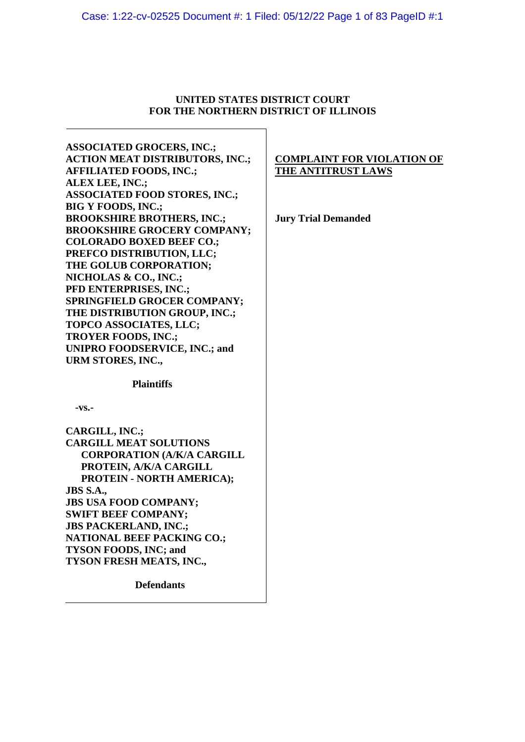### **UNITED STATES DISTRICT COURT FOR THE NORTHERN DISTRICT OF ILLINOIS**

**ASSOCIATED GROCERS, INC.; ACTION MEAT DISTRIBUTORS, INC.; AFFILIATED FOODS, INC.; ALEX LEE, INC.; ASSOCIATED FOOD STORES, INC.; BIG Y FOODS, INC.; BROOKSHIRE BROTHERS, INC.; BROOKSHIRE GROCERY COMPANY; COLORADO BOXED BEEF CO.; PREFCO DISTRIBUTION, LLC; THE GOLUB CORPORATION; NICHOLAS & CO., INC.; PFD ENTERPRISES, INC.; SPRINGFIELD GROCER COMPANY; THE DISTRIBUTION GROUP, INC.; TOPCO ASSOCIATES, LLC; TROYER FOODS, INC.; UNIPRO FOODSERVICE, INC.; and URM STORES, INC.,**

## **COMPLAINT FOR VIOLATION OF THE ANTITRUST LAWS**

**Jury Trial Demanded**

# **-vs.-**

| CARGILL, INC.;                    |  |
|-----------------------------------|--|
| <b>CARGILL MEAT SOLUTIONS</b>     |  |
| <b>CORPORATION (A/K/A CARGILL</b> |  |
| PROTEIN, A/K/A CARGILL            |  |
| PROTEIN - NORTH AMERICA);         |  |
| <b>JBS S.A.,</b>                  |  |
| <b>JBS USA FOOD COMPANY;</b>      |  |
| <b>SWIFT BEEF COMPANY;</b>        |  |
| <b>JBS PACKERLAND, INC.;</b>      |  |
| <b>NATIONAL BEEF PACKING CO.;</b> |  |
| <b>TYSON FOODS, INC; and</b>      |  |
| TYSON FRESH MEATS, INC.,          |  |

**Plaintiffs**

**Defendants**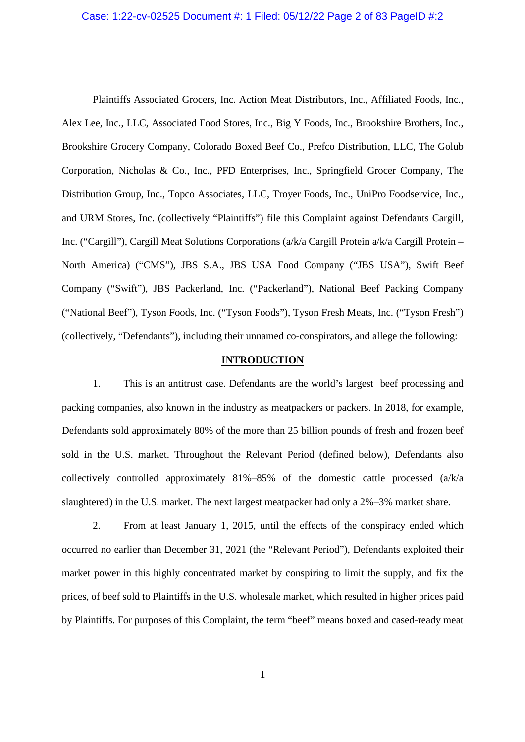#### Case: 1:22-cv-02525 Document #: 1 Filed: 05/12/22 Page 2 of 83 PageID #:2

Plaintiffs Associated Grocers, Inc. Action Meat Distributors, Inc., Affiliated Foods, Inc., Alex Lee, Inc., LLC, Associated Food Stores, Inc., Big Y Foods, Inc., Brookshire Brothers, Inc., Brookshire Grocery Company, Colorado Boxed Beef Co., Prefco Distribution, LLC, The Golub Corporation, Nicholas & Co., Inc., PFD Enterprises, Inc., Springfield Grocer Company, The Distribution Group, Inc., Topco Associates, LLC, Troyer Foods, Inc., UniPro Foodservice, Inc., and URM Stores, Inc. (collectively "Plaintiffs") file this Complaint against Defendants Cargill, Inc. ("Cargill"), Cargill Meat Solutions Corporations (a/k/a Cargill Protein a/k/a Cargill Protein – North America) ("CMS"), JBS S.A., JBS USA Food Company ("JBS USA"), Swift Beef Company ("Swift"), JBS Packerland, Inc. ("Packerland"), National Beef Packing Company ("National Beef"), Tyson Foods, Inc. ("Tyson Foods"), Tyson Fresh Meats, Inc. ("Tyson Fresh") (collectively, "Defendants"), including their unnamed co-conspirators, and allege the following:

#### **INTRODUCTION**

1. This is an antitrust case. Defendants are the world's largest beef processing and packing companies, also known in the industry as meatpackers or packers. In 2018, for example, Defendants sold approximately 80% of the more than 25 billion pounds of fresh and frozen beef sold in the U.S. market. Throughout the Relevant Period (defined below), Defendants also collectively controlled approximately 81%–85% of the domestic cattle processed (a/k/a slaughtered) in the U.S. market. The next largest meatpacker had only a 2%–3% market share.

2. From at least January 1, 2015, until the effects of the conspiracy ended which occurred no earlier than December 31, 2021 (the "Relevant Period"), Defendants exploited their market power in this highly concentrated market by conspiring to limit the supply, and fix the prices, of beef sold to Plaintiffs in the U.S. wholesale market, which resulted in higher prices paid by Plaintiffs. For purposes of this Complaint, the term "beef" means boxed and cased-ready meat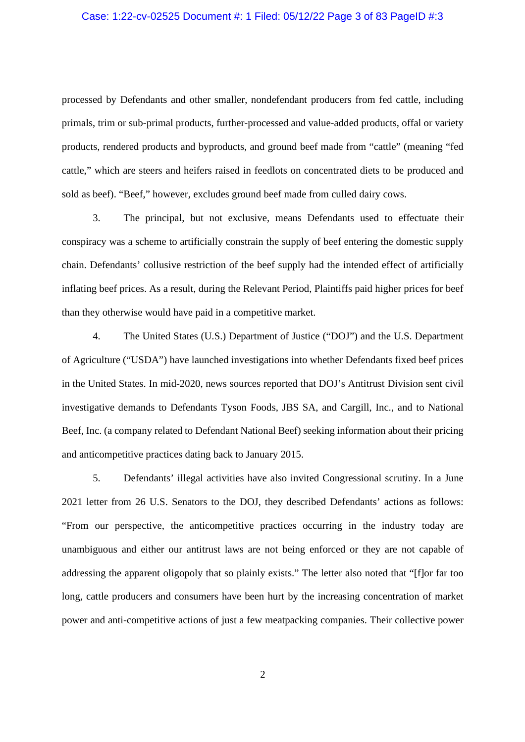## Case: 1:22-cv-02525 Document #: 1 Filed: 05/12/22 Page 3 of 83 PageID #:3

processed by Defendants and other smaller, nondefendant producers from fed cattle, including primals, trim or sub-primal products, further-processed and value-added products, offal or variety products, rendered products and byproducts, and ground beef made from "cattle" (meaning "fed cattle," which are steers and heifers raised in feedlots on concentrated diets to be produced and sold as beef). "Beef," however, excludes ground beef made from culled dairy cows.

3. The principal, but not exclusive, means Defendants used to effectuate their conspiracy was a scheme to artificially constrain the supply of beef entering the domestic supply chain. Defendants' collusive restriction of the beef supply had the intended effect of artificially inflating beef prices. As a result, during the Relevant Period, Plaintiffs paid higher prices for beef than they otherwise would have paid in a competitive market.

4. The United States (U.S.) Department of Justice ("DOJ") and the U.S. Department of Agriculture ("USDA") have launched investigations into whether Defendants fixed beef prices in the United States. In mid-2020, news sources reported that DOJ's Antitrust Division sent civil investigative demands to Defendants Tyson Foods, JBS SA, and Cargill, Inc., and to National Beef, Inc. (a company related to Defendant National Beef) seeking information about their pricing and anticompetitive practices dating back to January 2015.

5. Defendants' illegal activities have also invited Congressional scrutiny. In a June 2021 letter from 26 U.S. Senators to the DOJ, they described Defendants' actions as follows: "From our perspective, the anticompetitive practices occurring in the industry today are unambiguous and either our antitrust laws are not being enforced or they are not capable of addressing the apparent oligopoly that so plainly exists." The letter also noted that "[f]or far too long, cattle producers and consumers have been hurt by the increasing concentration of market power and anti-competitive actions of just a few meatpacking companies. Their collective power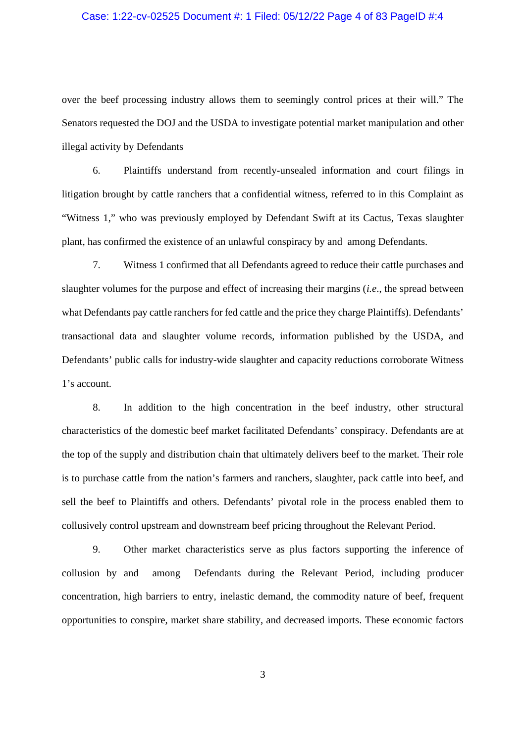## Case: 1:22-cv-02525 Document #: 1 Filed: 05/12/22 Page 4 of 83 PageID #:4

over the beef processing industry allows them to seemingly control prices at their will." The Senators requested the DOJ and the USDA to investigate potential market manipulation and other illegal activity by Defendants

6. Plaintiffs understand from recently-unsealed information and court filings in litigation brought by cattle ranchers that a confidential witness, referred to in this Complaint as "Witness 1," who was previously employed by Defendant Swift at its Cactus, Texas slaughter plant, has confirmed the existence of an unlawful conspiracy by and among Defendants.

7. Witness 1 confirmed that all Defendants agreed to reduce their cattle purchases and slaughter volumes for the purpose and effect of increasing their margins (*i.e*., the spread between what Defendants pay cattle ranchers for fed cattle and the price they charge Plaintiffs). Defendants' transactional data and slaughter volume records, information published by the USDA, and Defendants' public calls for industry-wide slaughter and capacity reductions corroborate Witness 1's account.

8. In addition to the high concentration in the beef industry, other structural characteristics of the domestic beef market facilitated Defendants' conspiracy. Defendants are at the top of the supply and distribution chain that ultimately delivers beef to the market. Their role is to purchase cattle from the nation's farmers and ranchers, slaughter, pack cattle into beef, and sell the beef to Plaintiffs and others. Defendants' pivotal role in the process enabled them to collusively control upstream and downstream beef pricing throughout the Relevant Period.

9. Other market characteristics serve as plus factors supporting the inference of collusion by and among Defendants during the Relevant Period, including producer concentration, high barriers to entry, inelastic demand, the commodity nature of beef, frequent opportunities to conspire, market share stability, and decreased imports. These economic factors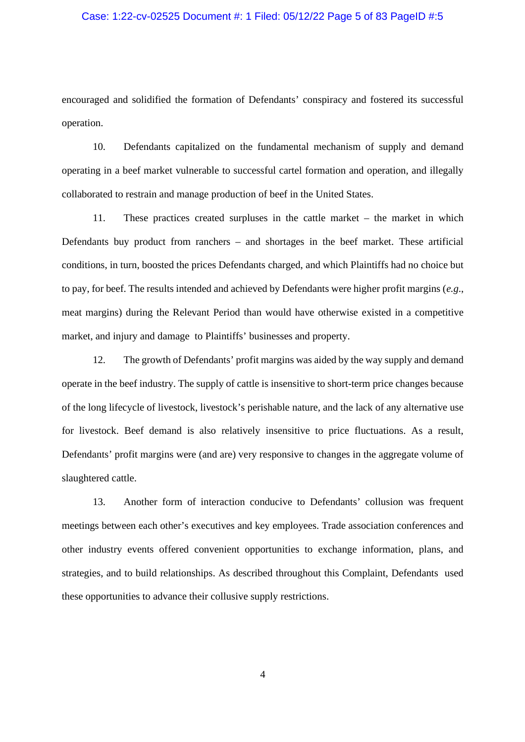## Case: 1:22-cv-02525 Document #: 1 Filed: 05/12/22 Page 5 of 83 PageID #:5

encouraged and solidified the formation of Defendants' conspiracy and fostered its successful operation.

10. Defendants capitalized on the fundamental mechanism of supply and demand operating in a beef market vulnerable to successful cartel formation and operation, and illegally collaborated to restrain and manage production of beef in the United States.

11. These practices created surpluses in the cattle market – the market in which Defendants buy product from ranchers – and shortages in the beef market. These artificial conditions, in turn, boosted the prices Defendants charged, and which Plaintiffs had no choice but to pay, for beef. The results intended and achieved by Defendants were higher profit margins (*e.g*., meat margins) during the Relevant Period than would have otherwise existed in a competitive market, and injury and damage to Plaintiffs' businesses and property.

12. The growth of Defendants' profit margins was aided by the way supply and demand operate in the beef industry. The supply of cattle is insensitive to short-term price changes because of the long lifecycle of livestock, livestock's perishable nature, and the lack of any alternative use for livestock. Beef demand is also relatively insensitive to price fluctuations. As a result, Defendants' profit margins were (and are) very responsive to changes in the aggregate volume of slaughtered cattle.

13. Another form of interaction conducive to Defendants' collusion was frequent meetings between each other's executives and key employees. Trade association conferences and other industry events offered convenient opportunities to exchange information, plans, and strategies, and to build relationships. As described throughout this Complaint, Defendants used these opportunities to advance their collusive supply restrictions.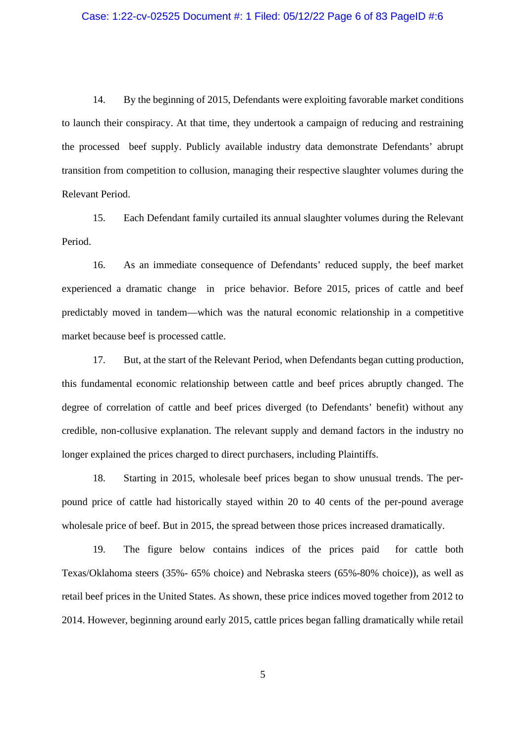## Case: 1:22-cv-02525 Document #: 1 Filed: 05/12/22 Page 6 of 83 PageID #:6

14. By the beginning of 2015, Defendants were exploiting favorable market conditions to launch their conspiracy. At that time, they undertook a campaign of reducing and restraining the processed beef supply. Publicly available industry data demonstrate Defendants' abrupt transition from competition to collusion, managing their respective slaughter volumes during the Relevant Period.

15. Each Defendant family curtailed its annual slaughter volumes during the Relevant Period.

16. As an immediate consequence of Defendants' reduced supply, the beef market experienced a dramatic change in price behavior. Before 2015, prices of cattle and beef predictably moved in tandem—which was the natural economic relationship in a competitive market because beef is processed cattle.

17. But, at the start of the Relevant Period, when Defendants began cutting production, this fundamental economic relationship between cattle and beef prices abruptly changed. The degree of correlation of cattle and beef prices diverged (to Defendants' benefit) without any credible, non-collusive explanation. The relevant supply and demand factors in the industry no longer explained the prices charged to direct purchasers, including Plaintiffs.

18. Starting in 2015, wholesale beef prices began to show unusual trends. The perpound price of cattle had historically stayed within 20 to 40 cents of the per-pound average wholesale price of beef. But in 2015, the spread between those prices increased dramatically.

19. The figure below contains indices of the prices paid for cattle both Texas/Oklahoma steers (35%- 65% choice) and Nebraska steers (65%-80% choice)), as well as retail beef prices in the United States. As shown, these price indices moved together from 2012 to 2014. However, beginning around early 2015, cattle prices began falling dramatically while retail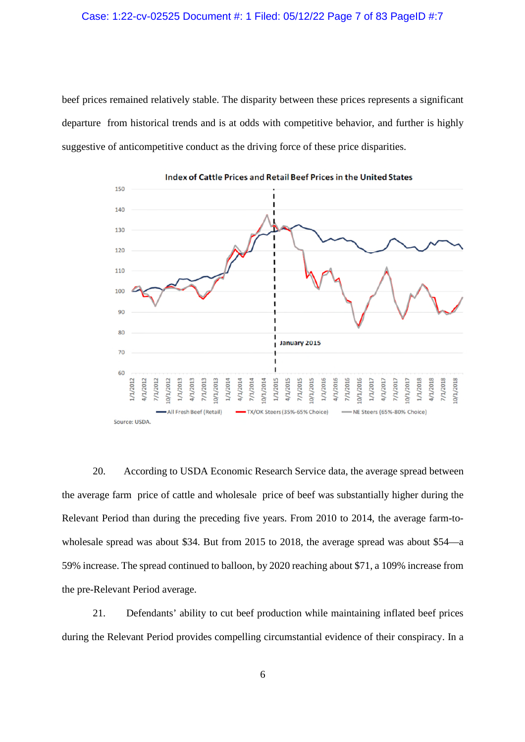#### Case: 1:22-cv-02525 Document #: 1 Filed: 05/12/22 Page 7 of 83 PageID #:7

beef prices remained relatively stable. The disparity between these prices represents a significant departure from historical trends and is at odds with competitive behavior, and further is highly suggestive of anticompetitive conduct as the driving force of these price disparities.



Index of Cattle Prices and Retail Beef Prices in the United States

20. According to USDA Economic Research Service data, the average spread between the average farm price of cattle and wholesale price of beef was substantially higher during the Relevant Period than during the preceding five years. From 2010 to 2014, the average farm-towholesale spread was about \$34. But from 2015 to 2018, the average spread was about \$54—a 59% increase. The spread continued to balloon, by 2020 reaching about \$71, a 109% increase from the pre-Relevant Period average.

21. Defendants' ability to cut beef production while maintaining inflated beef prices during the Relevant Period provides compelling circumstantial evidence of their conspiracy. In a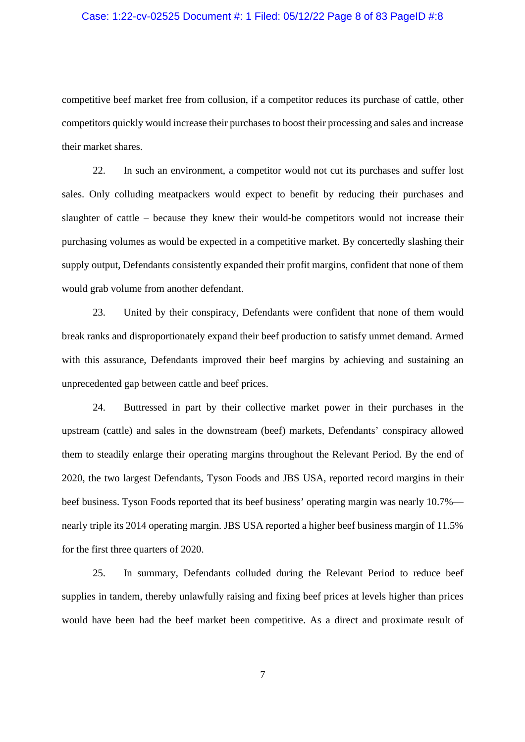## Case: 1:22-cv-02525 Document #: 1 Filed: 05/12/22 Page 8 of 83 PageID #:8

competitive beef market free from collusion, if a competitor reduces its purchase of cattle, other competitors quickly would increase their purchases to boost their processing and sales and increase their market shares.

22. In such an environment, a competitor would not cut its purchases and suffer lost sales. Only colluding meatpackers would expect to benefit by reducing their purchases and slaughter of cattle – because they knew their would-be competitors would not increase their purchasing volumes as would be expected in a competitive market. By concertedly slashing their supply output, Defendants consistently expanded their profit margins, confident that none of them would grab volume from another defendant.

23. United by their conspiracy, Defendants were confident that none of them would break ranks and disproportionately expand their beef production to satisfy unmet demand. Armed with this assurance, Defendants improved their beef margins by achieving and sustaining an unprecedented gap between cattle and beef prices.

24. Buttressed in part by their collective market power in their purchases in the upstream (cattle) and sales in the downstream (beef) markets, Defendants' conspiracy allowed them to steadily enlarge their operating margins throughout the Relevant Period. By the end of 2020, the two largest Defendants, Tyson Foods and JBS USA, reported record margins in their beef business. Tyson Foods reported that its beef business' operating margin was nearly 10.7% nearly triple its 2014 operating margin. JBS USA reported a higher beef business margin of 11.5% for the first three quarters of 2020.

25. In summary, Defendants colluded during the Relevant Period to reduce beef supplies in tandem, thereby unlawfully raising and fixing beef prices at levels higher than prices would have been had the beef market been competitive. As a direct and proximate result of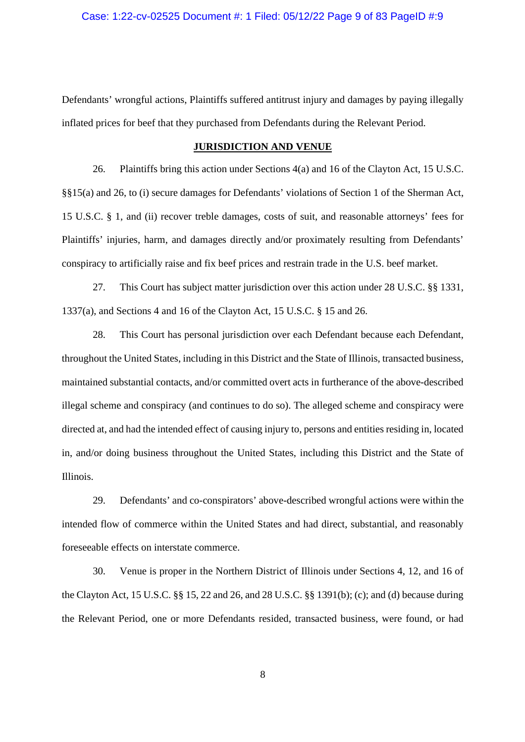Defendants' wrongful actions, Plaintiffs suffered antitrust injury and damages by paying illegally inflated prices for beef that they purchased from Defendants during the Relevant Period.

### **JURISDICTION AND VENUE**

26. Plaintiffs bring this action under Sections 4(a) and 16 of the Clayton Act, 15 U.S.C. §§15(a) and 26, to (i) secure damages for Defendants' violations of Section 1 of the Sherman Act, 15 U.S.C. § 1, and (ii) recover treble damages, costs of suit, and reasonable attorneys' fees for Plaintiffs' injuries, harm, and damages directly and/or proximately resulting from Defendants' conspiracy to artificially raise and fix beef prices and restrain trade in the U.S. beef market.

27. This Court has subject matter jurisdiction over this action under 28 U.S.C. §§ 1331, 1337(a), and Sections 4 and 16 of the Clayton Act, 15 U.S.C. § 15 and 26.

28. This Court has personal jurisdiction over each Defendant because each Defendant, throughout the United States, including in this District and the State of Illinois, transacted business, maintained substantial contacts, and/or committed overt acts in furtherance of the above-described illegal scheme and conspiracy (and continues to do so). The alleged scheme and conspiracy were directed at, and had the intended effect of causing injury to, persons and entities residing in, located in, and/or doing business throughout the United States, including this District and the State of Illinois.

29. Defendants' and co-conspirators' above-described wrongful actions were within the intended flow of commerce within the United States and had direct, substantial, and reasonably foreseeable effects on interstate commerce.

30. Venue is proper in the Northern District of Illinois under Sections 4, 12, and 16 of the Clayton Act, 15 U.S.C. §§ 15, 22 and 26, and 28 U.S.C. §§ 1391(b); (c); and (d) because during the Relevant Period, one or more Defendants resided, transacted business, were found, or had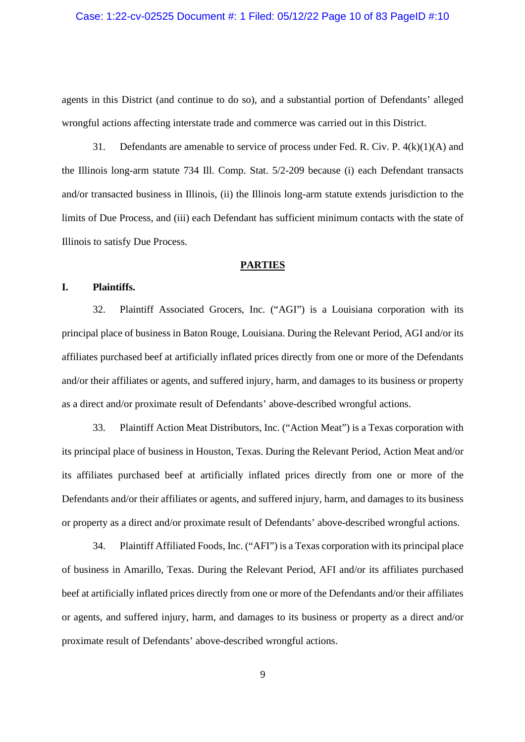#### Case: 1:22-cv-02525 Document #: 1 Filed: 05/12/22 Page 10 of 83 PageID #:10

agents in this District (and continue to do so), and a substantial portion of Defendants' alleged wrongful actions affecting interstate trade and commerce was carried out in this District.

31. Defendants are amenable to service of process under Fed. R. Civ. P. 4(k)(1)(A) and the Illinois long-arm statute 734 Ill. Comp. Stat. 5/2-209 because (i) each Defendant transacts and/or transacted business in Illinois, (ii) the Illinois long-arm statute extends jurisdiction to the limits of Due Process, and (iii) each Defendant has sufficient minimum contacts with the state of Illinois to satisfy Due Process.

#### **PARTIES**

#### **I. Plaintiffs.**

32. Plaintiff Associated Grocers, Inc. ("AGI") is a Louisiana corporation with its principal place of business in Baton Rouge, Louisiana. During the Relevant Period, AGI and/or its affiliates purchased beef at artificially inflated prices directly from one or more of the Defendants and/or their affiliates or agents, and suffered injury, harm, and damages to its business or property as a direct and/or proximate result of Defendants' above-described wrongful actions.

33. Plaintiff Action Meat Distributors, Inc. ("Action Meat") is a Texas corporation with its principal place of business in Houston, Texas. During the Relevant Period, Action Meat and/or its affiliates purchased beef at artificially inflated prices directly from one or more of the Defendants and/or their affiliates or agents, and suffered injury, harm, and damages to its business or property as a direct and/or proximate result of Defendants' above-described wrongful actions.

34. Plaintiff Affiliated Foods, Inc. ("AFI") is a Texas corporation with its principal place of business in Amarillo, Texas. During the Relevant Period, AFI and/or its affiliates purchased beef at artificially inflated prices directly from one or more of the Defendants and/or their affiliates or agents, and suffered injury, harm, and damages to its business or property as a direct and/or proximate result of Defendants' above-described wrongful actions.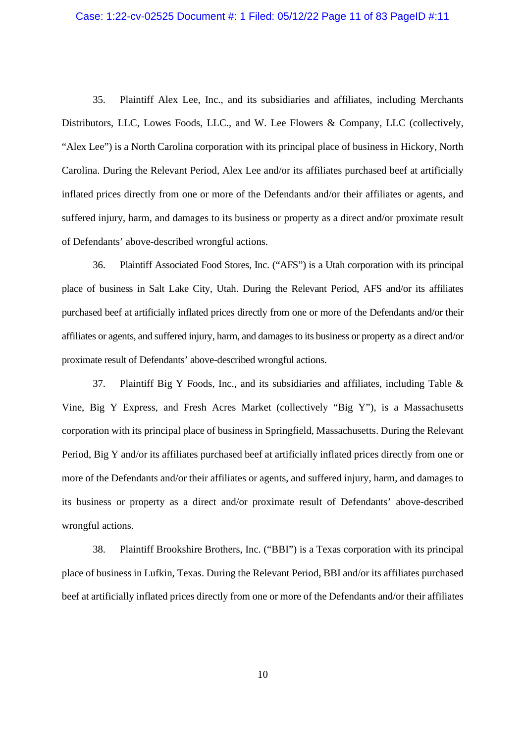## Case: 1:22-cv-02525 Document #: 1 Filed: 05/12/22 Page 11 of 83 PageID #:11

35. Plaintiff Alex Lee, Inc., and its subsidiaries and affiliates, including Merchants Distributors, LLC, Lowes Foods, LLC., and W. Lee Flowers & Company, LLC (collectively, "Alex Lee") is a North Carolina corporation with its principal place of business in Hickory, North Carolina. During the Relevant Period, Alex Lee and/or its affiliates purchased beef at artificially inflated prices directly from one or more of the Defendants and/or their affiliates or agents, and suffered injury, harm, and damages to its business or property as a direct and/or proximate result of Defendants' above-described wrongful actions.

36. Plaintiff Associated Food Stores, Inc. ("AFS") is a Utah corporation with its principal place of business in Salt Lake City, Utah. During the Relevant Period, AFS and/or its affiliates purchased beef at artificially inflated prices directly from one or more of the Defendants and/or their affiliates or agents, and suffered injury, harm, and damages to its business or property as a direct and/or proximate result of Defendants' above-described wrongful actions.

37. Plaintiff Big Y Foods, Inc., and its subsidiaries and affiliates, including Table & Vine, Big Y Express, and Fresh Acres Market (collectively "Big Y"), is a Massachusetts corporation with its principal place of business in Springfield, Massachusetts. During the Relevant Period, Big Y and/or its affiliates purchased beef at artificially inflated prices directly from one or more of the Defendants and/or their affiliates or agents, and suffered injury, harm, and damages to its business or property as a direct and/or proximate result of Defendants' above-described wrongful actions.

38. Plaintiff Brookshire Brothers, Inc. ("BBI") is a Texas corporation with its principal place of business in Lufkin, Texas. During the Relevant Period, BBI and/or its affiliates purchased beef at artificially inflated prices directly from one or more of the Defendants and/or their affiliates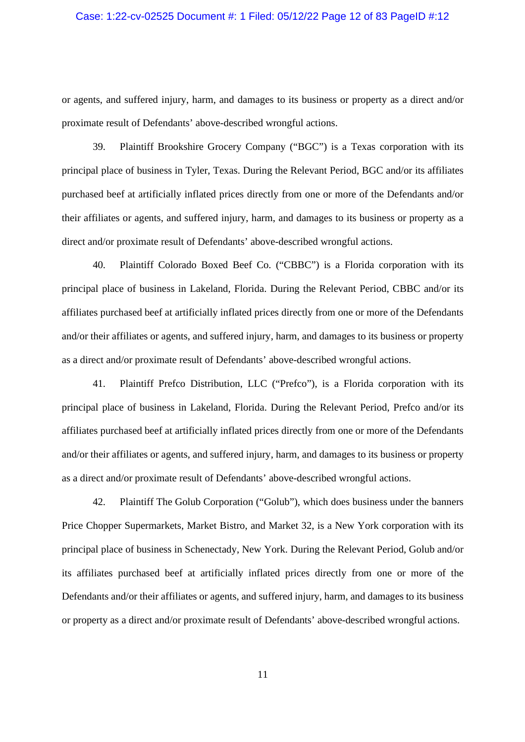## Case: 1:22-cv-02525 Document #: 1 Filed: 05/12/22 Page 12 of 83 PageID #:12

or agents, and suffered injury, harm, and damages to its business or property as a direct and/or proximate result of Defendants' above-described wrongful actions.

39. Plaintiff Brookshire Grocery Company ("BGC") is a Texas corporation with its principal place of business in Tyler, Texas. During the Relevant Period, BGC and/or its affiliates purchased beef at artificially inflated prices directly from one or more of the Defendants and/or their affiliates or agents, and suffered injury, harm, and damages to its business or property as a direct and/or proximate result of Defendants' above-described wrongful actions.

40. Plaintiff Colorado Boxed Beef Co. ("CBBC") is a Florida corporation with its principal place of business in Lakeland, Florida. During the Relevant Period, CBBC and/or its affiliates purchased beef at artificially inflated prices directly from one or more of the Defendants and/or their affiliates or agents, and suffered injury, harm, and damages to its business or property as a direct and/or proximate result of Defendants' above-described wrongful actions.

41. Plaintiff Prefco Distribution, LLC ("Prefco"), is a Florida corporation with its principal place of business in Lakeland, Florida. During the Relevant Period, Prefco and/or its affiliates purchased beef at artificially inflated prices directly from one or more of the Defendants and/or their affiliates or agents, and suffered injury, harm, and damages to its business or property as a direct and/or proximate result of Defendants' above-described wrongful actions.

42. Plaintiff The Golub Corporation ("Golub"), which does business under the banners Price Chopper Supermarkets, Market Bistro, and Market 32, is a New York corporation with its principal place of business in Schenectady, New York. During the Relevant Period, Golub and/or its affiliates purchased beef at artificially inflated prices directly from one or more of the Defendants and/or their affiliates or agents, and suffered injury, harm, and damages to its business or property as a direct and/or proximate result of Defendants' above-described wrongful actions.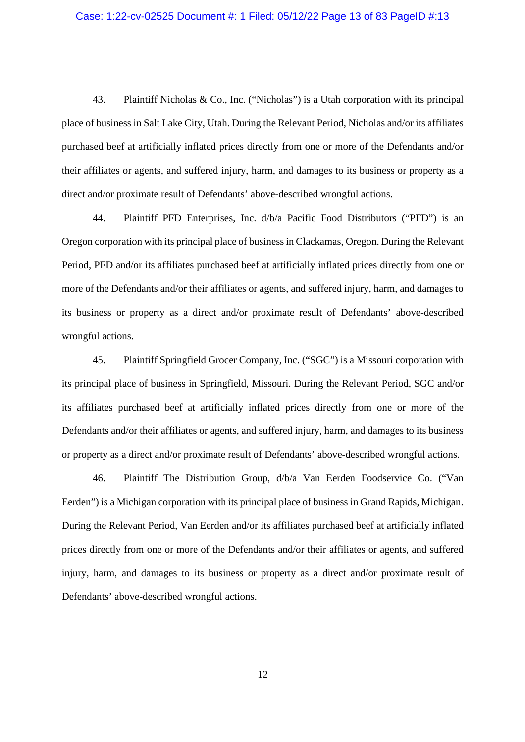#### Case: 1:22-cv-02525 Document #: 1 Filed: 05/12/22 Page 13 of 83 PageID #:13

43. Plaintiff Nicholas & Co., Inc. ("Nicholas") is a Utah corporation with its principal place of business in Salt Lake City, Utah. During the Relevant Period, Nicholas and/or its affiliates purchased beef at artificially inflated prices directly from one or more of the Defendants and/or their affiliates or agents, and suffered injury, harm, and damages to its business or property as a direct and/or proximate result of Defendants' above-described wrongful actions.

44. Plaintiff PFD Enterprises, Inc. d/b/a Pacific Food Distributors ("PFD") is an Oregon corporation with its principal place of business in Clackamas, Oregon. During the Relevant Period, PFD and/or its affiliates purchased beef at artificially inflated prices directly from one or more of the Defendants and/or their affiliates or agents, and suffered injury, harm, and damages to its business or property as a direct and/or proximate result of Defendants' above-described wrongful actions.

45. Plaintiff Springfield Grocer Company, Inc. ("SGC") is a Missouri corporation with its principal place of business in Springfield, Missouri. During the Relevant Period, SGC and/or its affiliates purchased beef at artificially inflated prices directly from one or more of the Defendants and/or their affiliates or agents, and suffered injury, harm, and damages to its business or property as a direct and/or proximate result of Defendants' above-described wrongful actions.

46. Plaintiff The Distribution Group, d/b/a Van Eerden Foodservice Co. ("Van Eerden") is a Michigan corporation with its principal place of business in Grand Rapids, Michigan. During the Relevant Period, Van Eerden and/or its affiliates purchased beef at artificially inflated prices directly from one or more of the Defendants and/or their affiliates or agents, and suffered injury, harm, and damages to its business or property as a direct and/or proximate result of Defendants' above-described wrongful actions.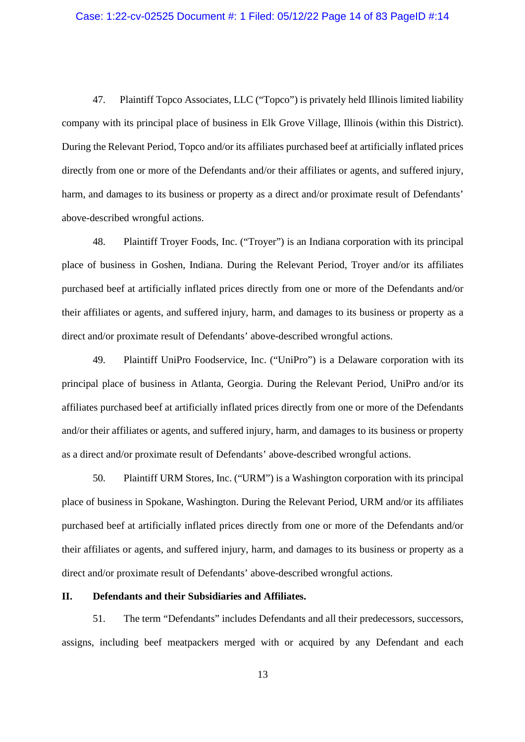## Case: 1:22-cv-02525 Document #: 1 Filed: 05/12/22 Page 14 of 83 PageID #:14

47. Plaintiff Topco Associates, LLC ("Topco") is privately held Illinois limited liability company with its principal place of business in Elk Grove Village, Illinois (within this District). During the Relevant Period, Topco and/or its affiliates purchased beef at artificially inflated prices directly from one or more of the Defendants and/or their affiliates or agents, and suffered injury, harm, and damages to its business or property as a direct and/or proximate result of Defendants' above-described wrongful actions.

48. Plaintiff Troyer Foods, Inc. ("Troyer") is an Indiana corporation with its principal place of business in Goshen, Indiana. During the Relevant Period, Troyer and/or its affiliates purchased beef at artificially inflated prices directly from one or more of the Defendants and/or their affiliates or agents, and suffered injury, harm, and damages to its business or property as a direct and/or proximate result of Defendants' above-described wrongful actions.

49. Plaintiff UniPro Foodservice, Inc. ("UniPro") is a Delaware corporation with its principal place of business in Atlanta, Georgia. During the Relevant Period, UniPro and/or its affiliates purchased beef at artificially inflated prices directly from one or more of the Defendants and/or their affiliates or agents, and suffered injury, harm, and damages to its business or property as a direct and/or proximate result of Defendants' above-described wrongful actions.

50. Plaintiff URM Stores, Inc. ("URM") is a Washington corporation with its principal place of business in Spokane, Washington. During the Relevant Period, URM and/or its affiliates purchased beef at artificially inflated prices directly from one or more of the Defendants and/or their affiliates or agents, and suffered injury, harm, and damages to its business or property as a direct and/or proximate result of Defendants' above-described wrongful actions.

## **II. Defendants and their Subsidiaries and Affiliates.**

51. The term "Defendants" includes Defendants and all their predecessors, successors, assigns, including beef meatpackers merged with or acquired by any Defendant and each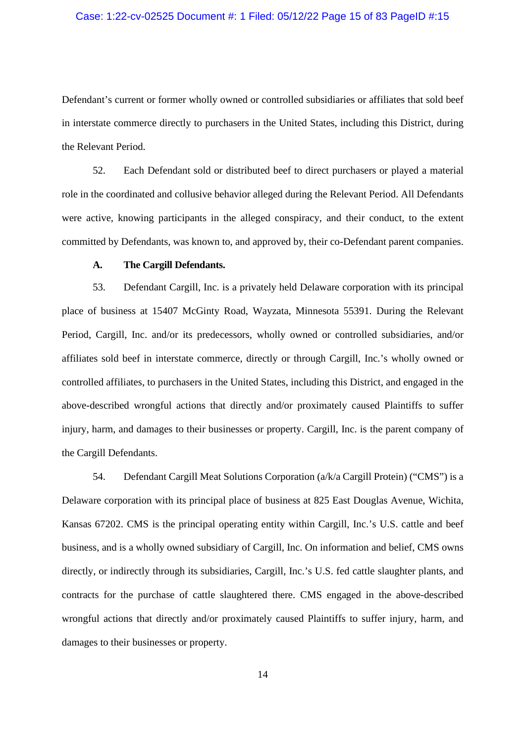#### Case: 1:22-cv-02525 Document #: 1 Filed: 05/12/22 Page 15 of 83 PageID #:15

Defendant's current or former wholly owned or controlled subsidiaries or affiliates that sold beef in interstate commerce directly to purchasers in the United States, including this District, during the Relevant Period.

52. Each Defendant sold or distributed beef to direct purchasers or played a material role in the coordinated and collusive behavior alleged during the Relevant Period. All Defendants were active, knowing participants in the alleged conspiracy, and their conduct, to the extent committed by Defendants, was known to, and approved by, their co-Defendant parent companies.

## **A. The Cargill Defendants.**

53. Defendant Cargill, Inc. is a privately held Delaware corporation with its principal place of business at 15407 McGinty Road, Wayzata, Minnesota 55391. During the Relevant Period, Cargill, Inc. and/or its predecessors, wholly owned or controlled subsidiaries, and/or affiliates sold beef in interstate commerce, directly or through Cargill, Inc.'s wholly owned or controlled affiliates, to purchasers in the United States, including this District, and engaged in the above-described wrongful actions that directly and/or proximately caused Plaintiffs to suffer injury, harm, and damages to their businesses or property. Cargill, Inc. is the parent company of the Cargill Defendants.

54. Defendant Cargill Meat Solutions Corporation (a/k/a Cargill Protein) ("CMS") is a Delaware corporation with its principal place of business at 825 East Douglas Avenue, Wichita, Kansas 67202. CMS is the principal operating entity within Cargill, Inc.'s U.S. cattle and beef business, and is a wholly owned subsidiary of Cargill, Inc. On information and belief, CMS owns directly, or indirectly through its subsidiaries, Cargill, Inc.'s U.S. fed cattle slaughter plants, and contracts for the purchase of cattle slaughtered there. CMS engaged in the above-described wrongful actions that directly and/or proximately caused Plaintiffs to suffer injury, harm, and damages to their businesses or property.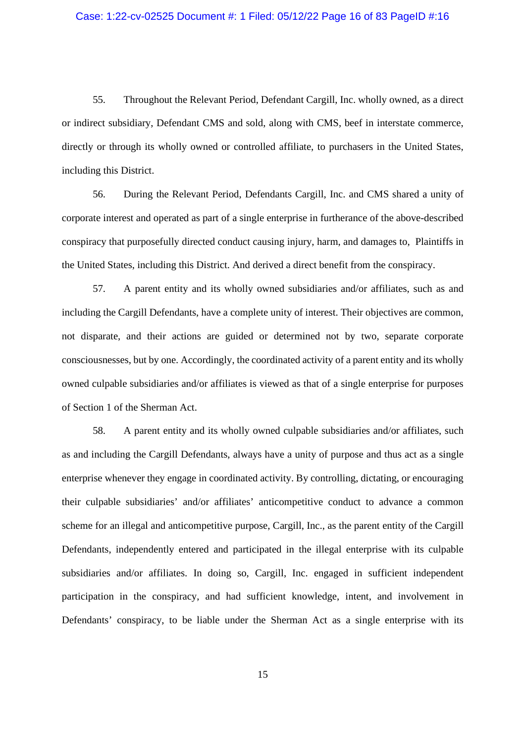#### Case: 1:22-cv-02525 Document #: 1 Filed: 05/12/22 Page 16 of 83 PageID #:16

55. Throughout the Relevant Period, Defendant Cargill, Inc. wholly owned, as a direct or indirect subsidiary, Defendant CMS and sold, along with CMS, beef in interstate commerce, directly or through its wholly owned or controlled affiliate, to purchasers in the United States, including this District.

56. During the Relevant Period, Defendants Cargill, Inc. and CMS shared a unity of corporate interest and operated as part of a single enterprise in furtherance of the above-described conspiracy that purposefully directed conduct causing injury, harm, and damages to, Plaintiffs in the United States, including this District. And derived a direct benefit from the conspiracy.

57. A parent entity and its wholly owned subsidiaries and/or affiliates, such as and including the Cargill Defendants, have a complete unity of interest. Their objectives are common, not disparate, and their actions are guided or determined not by two, separate corporate consciousnesses, but by one. Accordingly, the coordinated activity of a parent entity and its wholly owned culpable subsidiaries and/or affiliates is viewed as that of a single enterprise for purposes of Section 1 of the Sherman Act.

58. A parent entity and its wholly owned culpable subsidiaries and/or affiliates, such as and including the Cargill Defendants, always have a unity of purpose and thus act as a single enterprise whenever they engage in coordinated activity. By controlling, dictating, or encouraging their culpable subsidiaries' and/or affiliates' anticompetitive conduct to advance a common scheme for an illegal and anticompetitive purpose, Cargill, Inc., as the parent entity of the Cargill Defendants, independently entered and participated in the illegal enterprise with its culpable subsidiaries and/or affiliates. In doing so, Cargill, Inc. engaged in sufficient independent participation in the conspiracy, and had sufficient knowledge, intent, and involvement in Defendants' conspiracy, to be liable under the Sherman Act as a single enterprise with its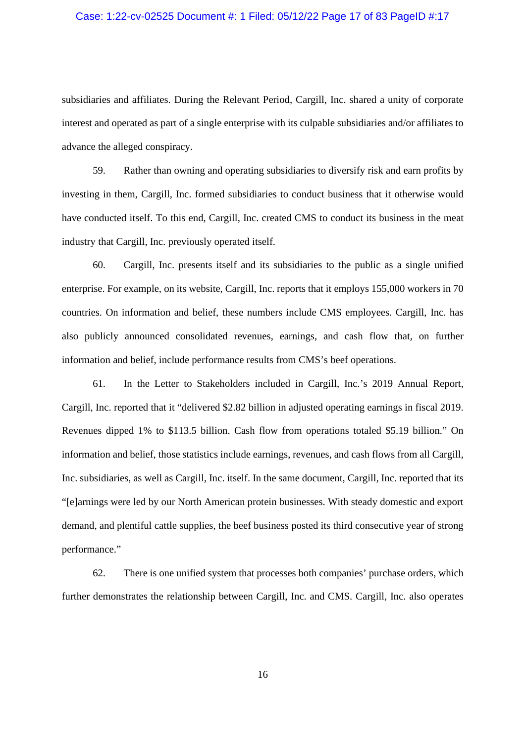#### Case: 1:22-cv-02525 Document #: 1 Filed: 05/12/22 Page 17 of 83 PageID #:17

subsidiaries and affiliates. During the Relevant Period, Cargill, Inc. shared a unity of corporate interest and operated as part of a single enterprise with its culpable subsidiaries and/or affiliates to advance the alleged conspiracy.

59. Rather than owning and operating subsidiaries to diversify risk and earn profits by investing in them, Cargill, Inc. formed subsidiaries to conduct business that it otherwise would have conducted itself. To this end, Cargill, Inc. created CMS to conduct its business in the meat industry that Cargill, Inc. previously operated itself.

60. Cargill, Inc. presents itself and its subsidiaries to the public as a single unified enterprise. For example, on its website, Cargill, Inc. reports that it employs 155,000 workers in 70 countries. On information and belief, these numbers include CMS employees. Cargill, Inc. has also publicly announced consolidated revenues, earnings, and cash flow that, on further information and belief, include performance results from CMS's beef operations.

61. In the Letter to Stakeholders included in Cargill, Inc.'s 2019 Annual Report, Cargill, Inc. reported that it "delivered \$2.82 billion in adjusted operating earnings in fiscal 2019. Revenues dipped 1% to \$113.5 billion. Cash flow from operations totaled \$5.19 billion." On information and belief, those statistics include earnings, revenues, and cash flows from all Cargill, Inc. subsidiaries, as well as Cargill, Inc. itself. In the same document, Cargill, Inc. reported that its "[e]arnings were led by our North American protein businesses. With steady domestic and export demand, and plentiful cattle supplies, the beef business posted its third consecutive year of strong performance."

62. There is one unified system that processes both companies' purchase orders, which further demonstrates the relationship between Cargill, Inc. and CMS. Cargill, Inc. also operates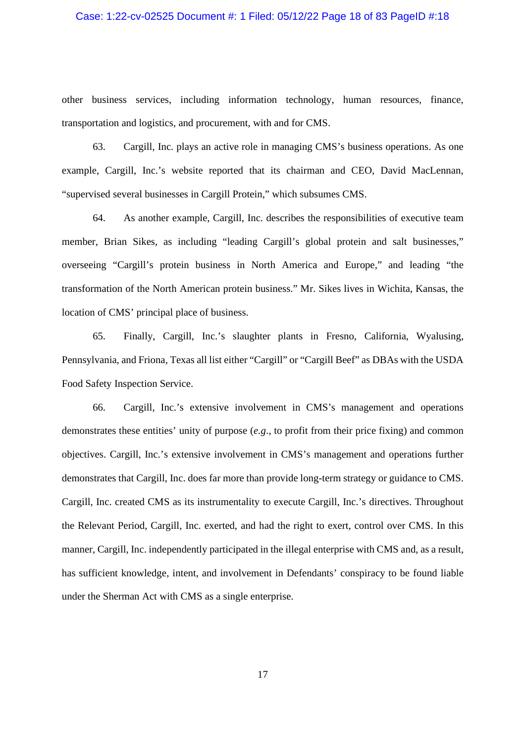## Case: 1:22-cv-02525 Document #: 1 Filed: 05/12/22 Page 18 of 83 PageID #:18

other business services, including information technology, human resources, finance, transportation and logistics, and procurement, with and for CMS.

63. Cargill, Inc. plays an active role in managing CMS's business operations. As one example, Cargill, Inc.'s website reported that its chairman and CEO, David MacLennan, "supervised several businesses in Cargill Protein," which subsumes CMS.

64. As another example, Cargill, Inc. describes the responsibilities of executive team member, Brian Sikes, as including "leading Cargill's global protein and salt businesses," overseeing "Cargill's protein business in North America and Europe," and leading "the transformation of the North American protein business." Mr. Sikes lives in Wichita, Kansas, the location of CMS' principal place of business.

65. Finally, Cargill, Inc.'s slaughter plants in Fresno, California, Wyalusing, Pennsylvania, and Friona, Texas all list either "Cargill" or "Cargill Beef" as DBAs with the USDA Food Safety Inspection Service.

66. Cargill, Inc.'s extensive involvement in CMS's management and operations demonstrates these entities' unity of purpose (*e.g*., to profit from their price fixing) and common objectives. Cargill, Inc.'s extensive involvement in CMS's management and operations further demonstrates that Cargill, Inc. does far more than provide long-term strategy or guidance to CMS. Cargill, Inc. created CMS as its instrumentality to execute Cargill, Inc.'s directives. Throughout the Relevant Period, Cargill, Inc. exerted, and had the right to exert, control over CMS. In this manner, Cargill, Inc. independently participated in the illegal enterprise with CMS and, as a result, has sufficient knowledge, intent, and involvement in Defendants' conspiracy to be found liable under the Sherman Act with CMS as a single enterprise.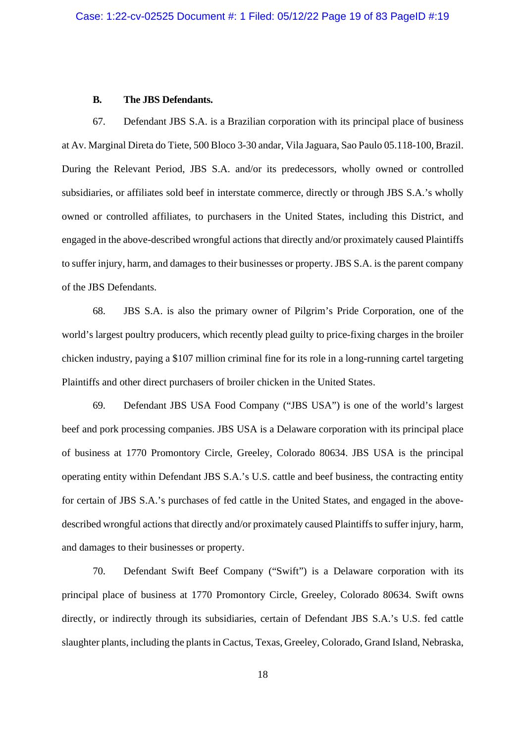#### **B. The JBS Defendants.**

67. Defendant JBS S.A. is a Brazilian corporation with its principal place of business at Av. Marginal Direta do Tiete, 500 Bloco 3-30 andar, Vila Jaguara, Sao Paulo 05.118-100, Brazil. During the Relevant Period, JBS S.A. and/or its predecessors, wholly owned or controlled subsidiaries, or affiliates sold beef in interstate commerce, directly or through JBS S.A.'s wholly owned or controlled affiliates, to purchasers in the United States, including this District, and engaged in the above-described wrongful actions that directly and/or proximately caused Plaintiffs to suffer injury, harm, and damages to their businesses or property. JBS S.A. is the parent company of the JBS Defendants.

68. JBS S.A. is also the primary owner of Pilgrim's Pride Corporation, one of the world's largest poultry producers, which recently plead guilty to price-fixing charges in the broiler chicken industry, paying a \$107 million criminal fine for its role in a long-running cartel targeting Plaintiffs and other direct purchasers of broiler chicken in the United States.

69. Defendant JBS USA Food Company ("JBS USA") is one of the world's largest beef and pork processing companies. JBS USA is a Delaware corporation with its principal place of business at 1770 Promontory Circle, Greeley, Colorado 80634. JBS USA is the principal operating entity within Defendant JBS S.A.'s U.S. cattle and beef business, the contracting entity for certain of JBS S.A.'s purchases of fed cattle in the United States, and engaged in the abovedescribed wrongful actions that directly and/or proximately caused Plaintiffs to suffer injury, harm, and damages to their businesses or property.

70. Defendant Swift Beef Company ("Swift") is a Delaware corporation with its principal place of business at 1770 Promontory Circle, Greeley, Colorado 80634. Swift owns directly, or indirectly through its subsidiaries, certain of Defendant JBS S.A.'s U.S. fed cattle slaughter plants, including the plants in Cactus, Texas, Greeley, Colorado, Grand Island, Nebraska,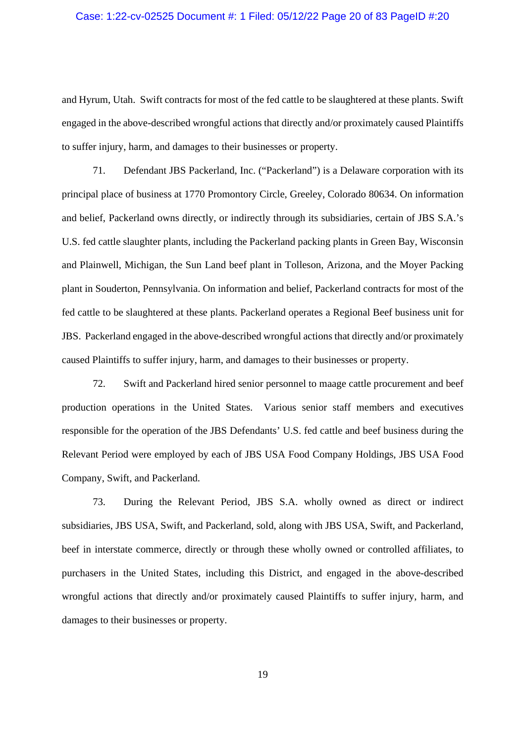#### Case: 1:22-cv-02525 Document #: 1 Filed: 05/12/22 Page 20 of 83 PageID #:20

and Hyrum, Utah. Swift contracts for most of the fed cattle to be slaughtered at these plants. Swift engaged in the above-described wrongful actions that directly and/or proximately caused Plaintiffs to suffer injury, harm, and damages to their businesses or property.

71. Defendant JBS Packerland, Inc. ("Packerland") is a Delaware corporation with its principal place of business at 1770 Promontory Circle, Greeley, Colorado 80634. On information and belief, Packerland owns directly, or indirectly through its subsidiaries, certain of JBS S.A.'s U.S. fed cattle slaughter plants, including the Packerland packing plants in Green Bay, Wisconsin and Plainwell, Michigan, the Sun Land beef plant in Tolleson, Arizona, and the Moyer Packing plant in Souderton, Pennsylvania. On information and belief, Packerland contracts for most of the fed cattle to be slaughtered at these plants. Packerland operates a Regional Beef business unit for JBS. Packerland engaged in the above-described wrongful actions that directly and/or proximately caused Plaintiffs to suffer injury, harm, and damages to their businesses or property.

72. Swift and Packerland hired senior personnel to maage cattle procurement and beef production operations in the United States. Various senior staff members and executives responsible for the operation of the JBS Defendants' U.S. fed cattle and beef business during the Relevant Period were employed by each of JBS USA Food Company Holdings, JBS USA Food Company, Swift, and Packerland.

73. During the Relevant Period, JBS S.A. wholly owned as direct or indirect subsidiaries, JBS USA, Swift, and Packerland, sold, along with JBS USA, Swift, and Packerland, beef in interstate commerce, directly or through these wholly owned or controlled affiliates, to purchasers in the United States, including this District, and engaged in the above-described wrongful actions that directly and/or proximately caused Plaintiffs to suffer injury, harm, and damages to their businesses or property.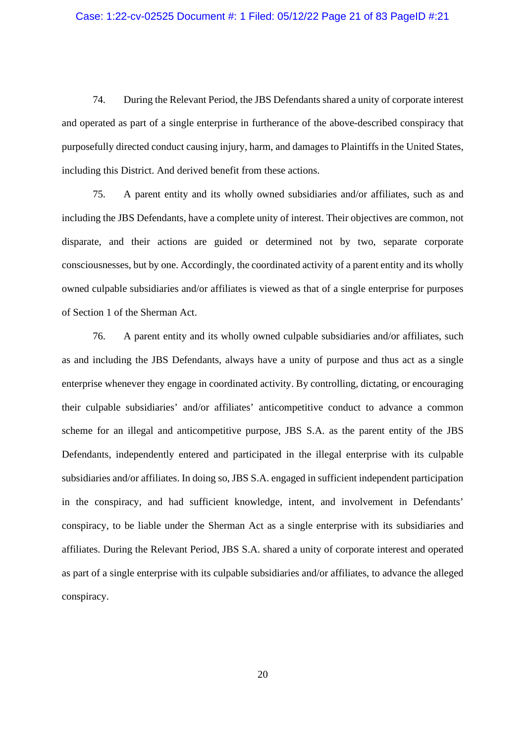#### Case: 1:22-cv-02525 Document #: 1 Filed: 05/12/22 Page 21 of 83 PageID #:21

74. During the Relevant Period, the JBS Defendants shared a unity of corporate interest and operated as part of a single enterprise in furtherance of the above-described conspiracy that purposefully directed conduct causing injury, harm, and damages to Plaintiffs in the United States, including this District. And derived benefit from these actions.

75. A parent entity and its wholly owned subsidiaries and/or affiliates, such as and including the JBS Defendants, have a complete unity of interest. Their objectives are common, not disparate, and their actions are guided or determined not by two, separate corporate consciousnesses, but by one. Accordingly, the coordinated activity of a parent entity and its wholly owned culpable subsidiaries and/or affiliates is viewed as that of a single enterprise for purposes of Section 1 of the Sherman Act.

76. A parent entity and its wholly owned culpable subsidiaries and/or affiliates, such as and including the JBS Defendants, always have a unity of purpose and thus act as a single enterprise whenever they engage in coordinated activity. By controlling, dictating, or encouraging their culpable subsidiaries' and/or affiliates' anticompetitive conduct to advance a common scheme for an illegal and anticompetitive purpose, JBS S.A. as the parent entity of the JBS Defendants, independently entered and participated in the illegal enterprise with its culpable subsidiaries and/or affiliates. In doing so, JBS S.A. engaged in sufficient independent participation in the conspiracy, and had sufficient knowledge, intent, and involvement in Defendants' conspiracy, to be liable under the Sherman Act as a single enterprise with its subsidiaries and affiliates. During the Relevant Period, JBS S.A. shared a unity of corporate interest and operated as part of a single enterprise with its culpable subsidiaries and/or affiliates, to advance the alleged conspiracy.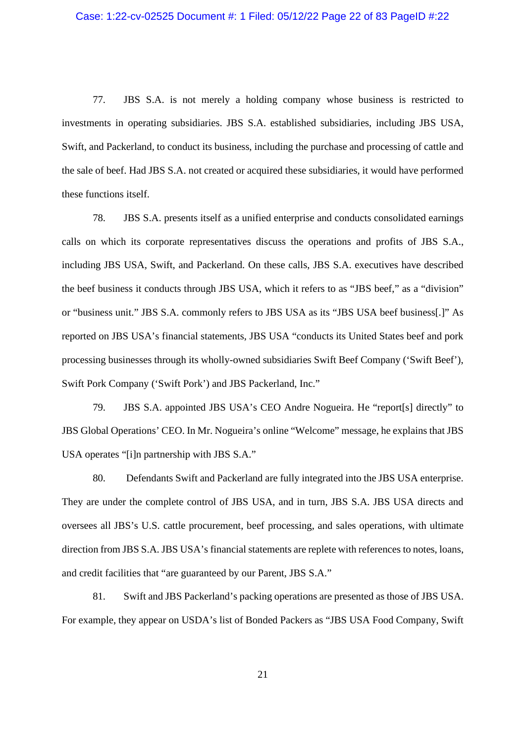77. JBS S.A. is not merely a holding company whose business is restricted to investments in operating subsidiaries. JBS S.A. established subsidiaries, including JBS USA, Swift, and Packerland, to conduct its business, including the purchase and processing of cattle and the sale of beef. Had JBS S.A. not created or acquired these subsidiaries, it would have performed these functions itself.

78. JBS S.A. presents itself as a unified enterprise and conducts consolidated earnings calls on which its corporate representatives discuss the operations and profits of JBS S.A., including JBS USA, Swift, and Packerland. On these calls, JBS S.A. executives have described the beef business it conducts through JBS USA, which it refers to as "JBS beef," as a "division" or "business unit." JBS S.A. commonly refers to JBS USA as its "JBS USA beef business[.]" As reported on JBS USA's financial statements, JBS USA "conducts its United States beef and pork processing businesses through its wholly-owned subsidiaries Swift Beef Company ('Swift Beef'), Swift Pork Company ('Swift Pork') and JBS Packerland, Inc."

79. JBS S.A. appointed JBS USA's CEO Andre Nogueira. He "report[s] directly" to JBS Global Operations' CEO. In Mr. Nogueira's online "Welcome" message, he explains that JBS USA operates "[i]n partnership with JBS S.A."

80. Defendants Swift and Packerland are fully integrated into the JBS USA enterprise. They are under the complete control of JBS USA, and in turn, JBS S.A. JBS USA directs and oversees all JBS's U.S. cattle procurement, beef processing, and sales operations, with ultimate direction from JBS S.A. JBS USA's financial statements are replete with references to notes, loans, and credit facilities that "are guaranteed by our Parent, JBS S.A."

81. Swift and JBS Packerland's packing operations are presented as those of JBS USA. For example, they appear on USDA's list of Bonded Packers as "JBS USA Food Company, Swift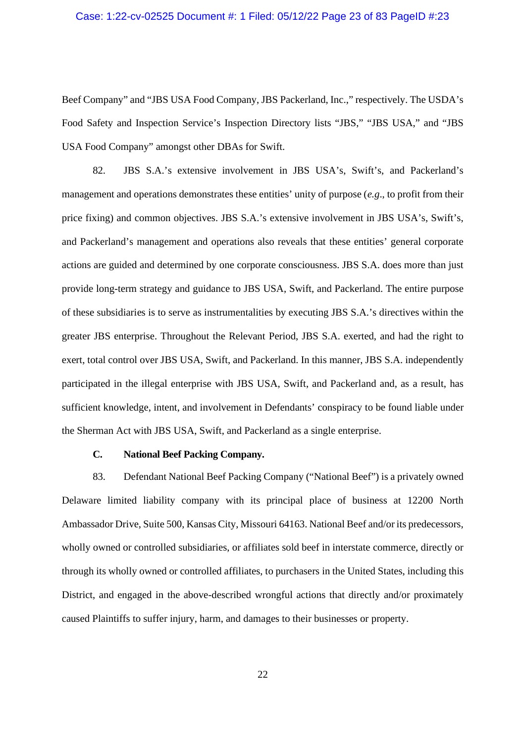#### Case: 1:22-cv-02525 Document #: 1 Filed: 05/12/22 Page 23 of 83 PageID #:23

Beef Company" and "JBS USA Food Company, JBS Packerland, Inc.," respectively. The USDA's Food Safety and Inspection Service's Inspection Directory lists "JBS," "JBS USA," and "JBS USA Food Company" amongst other DBAs for Swift.

82. JBS S.A.'s extensive involvement in JBS USA's, Swift's, and Packerland's management and operations demonstrates these entities' unity of purpose (*e.g*., to profit from their price fixing) and common objectives. JBS S.A.'s extensive involvement in JBS USA's, Swift's, and Packerland's management and operations also reveals that these entities' general corporate actions are guided and determined by one corporate consciousness. JBS S.A. does more than just provide long-term strategy and guidance to JBS USA, Swift, and Packerland. The entire purpose of these subsidiaries is to serve as instrumentalities by executing JBS S.A.'s directives within the greater JBS enterprise. Throughout the Relevant Period, JBS S.A. exerted, and had the right to exert, total control over JBS USA, Swift, and Packerland. In this manner, JBS S.A. independently participated in the illegal enterprise with JBS USA, Swift, and Packerland and, as a result, has sufficient knowledge, intent, and involvement in Defendants' conspiracy to be found liable under the Sherman Act with JBS USA, Swift, and Packerland as a single enterprise.

## **C. National Beef Packing Company.**

83. Defendant National Beef Packing Company ("National Beef") is a privately owned Delaware limited liability company with its principal place of business at 12200 North Ambassador Drive, Suite 500, Kansas City, Missouri 64163. National Beef and/or its predecessors, wholly owned or controlled subsidiaries, or affiliates sold beef in interstate commerce, directly or through its wholly owned or controlled affiliates, to purchasers in the United States, including this District, and engaged in the above-described wrongful actions that directly and/or proximately caused Plaintiffs to suffer injury, harm, and damages to their businesses or property.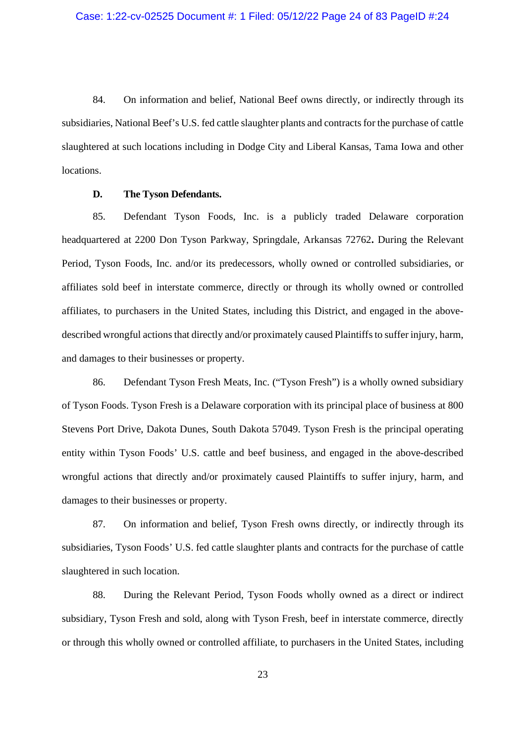84. On information and belief, National Beef owns directly, or indirectly through its subsidiaries, National Beef's U.S. fed cattle slaughter plants and contracts for the purchase of cattle slaughtered at such locations including in Dodge City and Liberal Kansas, Tama Iowa and other locations.

## **D. The Tyson Defendants.**

85. Defendant Tyson Foods, Inc. is a publicly traded Delaware corporation headquartered at 2200 Don Tyson Parkway, Springdale, Arkansas 72762**.** During the Relevant Period, Tyson Foods, Inc. and/or its predecessors, wholly owned or controlled subsidiaries, or affiliates sold beef in interstate commerce, directly or through its wholly owned or controlled affiliates, to purchasers in the United States, including this District, and engaged in the abovedescribed wrongful actions that directly and/or proximately caused Plaintiffs to suffer injury, harm, and damages to their businesses or property.

86. Defendant Tyson Fresh Meats, Inc. ("Tyson Fresh") is a wholly owned subsidiary of Tyson Foods. Tyson Fresh is a Delaware corporation with its principal place of business at 800 Stevens Port Drive, Dakota Dunes, South Dakota 57049. Tyson Fresh is the principal operating entity within Tyson Foods' U.S. cattle and beef business, and engaged in the above-described wrongful actions that directly and/or proximately caused Plaintiffs to suffer injury, harm, and damages to their businesses or property.

87. On information and belief, Tyson Fresh owns directly, or indirectly through its subsidiaries, Tyson Foods' U.S. fed cattle slaughter plants and contracts for the purchase of cattle slaughtered in such location.

88. During the Relevant Period, Tyson Foods wholly owned as a direct or indirect subsidiary, Tyson Fresh and sold, along with Tyson Fresh, beef in interstate commerce, directly or through this wholly owned or controlled affiliate, to purchasers in the United States, including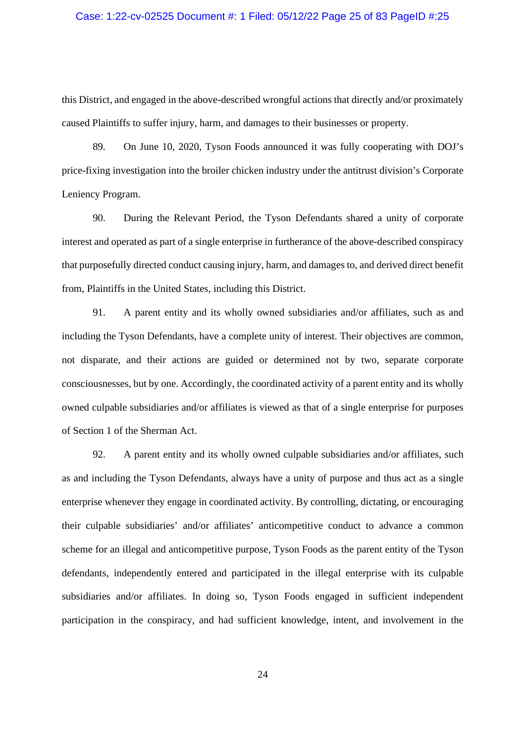## Case: 1:22-cv-02525 Document #: 1 Filed: 05/12/22 Page 25 of 83 PageID #:25

this District, and engaged in the above-described wrongful actions that directly and/or proximately caused Plaintiffs to suffer injury, harm, and damages to their businesses or property.

89. On June 10, 2020, Tyson Foods announced it was fully cooperating with DOJ's price-fixing investigation into the broiler chicken industry under the antitrust division's Corporate Leniency Program.

90. During the Relevant Period, the Tyson Defendants shared a unity of corporate interest and operated as part of a single enterprise in furtherance of the above-described conspiracy that purposefully directed conduct causing injury, harm, and damages to, and derived direct benefit from, Plaintiffs in the United States, including this District.

91. A parent entity and its wholly owned subsidiaries and/or affiliates, such as and including the Tyson Defendants, have a complete unity of interest. Their objectives are common, not disparate, and their actions are guided or determined not by two, separate corporate consciousnesses, but by one. Accordingly, the coordinated activity of a parent entity and its wholly owned culpable subsidiaries and/or affiliates is viewed as that of a single enterprise for purposes of Section 1 of the Sherman Act.

92. A parent entity and its wholly owned culpable subsidiaries and/or affiliates, such as and including the Tyson Defendants, always have a unity of purpose and thus act as a single enterprise whenever they engage in coordinated activity. By controlling, dictating, or encouraging their culpable subsidiaries' and/or affiliates' anticompetitive conduct to advance a common scheme for an illegal and anticompetitive purpose, Tyson Foods as the parent entity of the Tyson defendants, independently entered and participated in the illegal enterprise with its culpable subsidiaries and/or affiliates. In doing so, Tyson Foods engaged in sufficient independent participation in the conspiracy, and had sufficient knowledge, intent, and involvement in the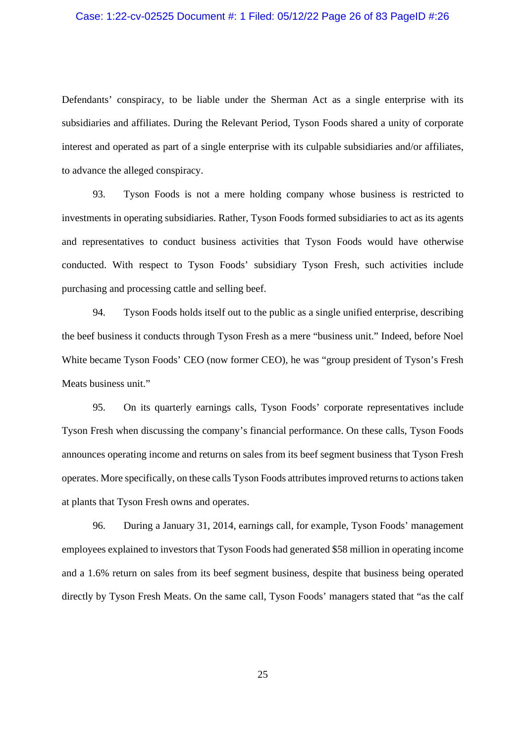## Case: 1:22-cv-02525 Document #: 1 Filed: 05/12/22 Page 26 of 83 PageID #:26

Defendants' conspiracy, to be liable under the Sherman Act as a single enterprise with its subsidiaries and affiliates. During the Relevant Period, Tyson Foods shared a unity of corporate interest and operated as part of a single enterprise with its culpable subsidiaries and/or affiliates, to advance the alleged conspiracy.

93. Tyson Foods is not a mere holding company whose business is restricted to investments in operating subsidiaries. Rather, Tyson Foods formed subsidiaries to act as its agents and representatives to conduct business activities that Tyson Foods would have otherwise conducted. With respect to Tyson Foods' subsidiary Tyson Fresh, such activities include purchasing and processing cattle and selling beef.

94. Tyson Foods holds itself out to the public as a single unified enterprise, describing the beef business it conducts through Tyson Fresh as a mere "business unit." Indeed, before Noel White became Tyson Foods' CEO (now former CEO), he was "group president of Tyson's Fresh Meats business unit."

95. On its quarterly earnings calls, Tyson Foods' corporate representatives include Tyson Fresh when discussing the company's financial performance. On these calls, Tyson Foods announces operating income and returns on sales from its beef segment business that Tyson Fresh operates. More specifically, on these calls Tyson Foods attributes improved returns to actions taken at plants that Tyson Fresh owns and operates.

96. During a January 31, 2014, earnings call, for example, Tyson Foods' management employees explained to investors that Tyson Foods had generated \$58 million in operating income and a 1.6% return on sales from its beef segment business, despite that business being operated directly by Tyson Fresh Meats. On the same call, Tyson Foods' managers stated that "as the calf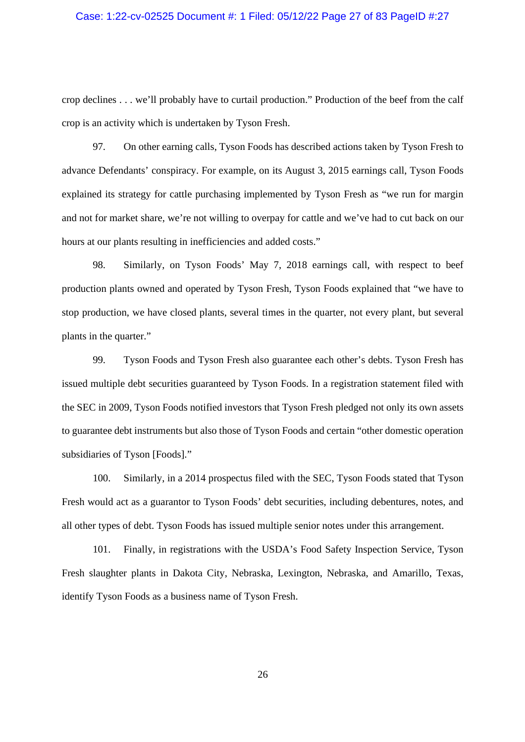#### Case: 1:22-cv-02525 Document #: 1 Filed: 05/12/22 Page 27 of 83 PageID #:27

crop declines . . . we'll probably have to curtail production." Production of the beef from the calf crop is an activity which is undertaken by Tyson Fresh.

97. On other earning calls, Tyson Foods has described actions taken by Tyson Fresh to advance Defendants' conspiracy. For example, on its August 3, 2015 earnings call, Tyson Foods explained its strategy for cattle purchasing implemented by Tyson Fresh as "we run for margin and not for market share, we're not willing to overpay for cattle and we've had to cut back on our hours at our plants resulting in inefficiencies and added costs."

98. Similarly, on Tyson Foods' May 7, 2018 earnings call, with respect to beef production plants owned and operated by Tyson Fresh, Tyson Foods explained that "we have to stop production, we have closed plants, several times in the quarter, not every plant, but several plants in the quarter."

99. Tyson Foods and Tyson Fresh also guarantee each other's debts. Tyson Fresh has issued multiple debt securities guaranteed by Tyson Foods. In a registration statement filed with the SEC in 2009, Tyson Foods notified investors that Tyson Fresh pledged not only its own assets to guarantee debt instruments but also those of Tyson Foods and certain "other domestic operation subsidiaries of Tyson [Foods]."

100. Similarly, in a 2014 prospectus filed with the SEC, Tyson Foods stated that Tyson Fresh would act as a guarantor to Tyson Foods' debt securities, including debentures, notes, and all other types of debt. Tyson Foods has issued multiple senior notes under this arrangement.

101. Finally, in registrations with the USDA's Food Safety Inspection Service, Tyson Fresh slaughter plants in Dakota City, Nebraska, Lexington, Nebraska, and Amarillo, Texas, identify Tyson Foods as a business name of Tyson Fresh.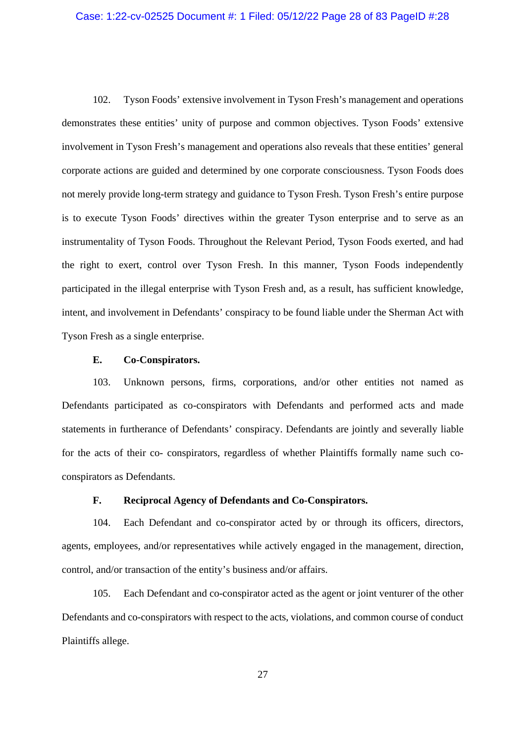#### Case: 1:22-cv-02525 Document #: 1 Filed: 05/12/22 Page 28 of 83 PageID #:28

102. Tyson Foods' extensive involvement in Tyson Fresh's management and operations demonstrates these entities' unity of purpose and common objectives. Tyson Foods' extensive involvement in Tyson Fresh's management and operations also reveals that these entities' general corporate actions are guided and determined by one corporate consciousness. Tyson Foods does not merely provide long-term strategy and guidance to Tyson Fresh. Tyson Fresh's entire purpose is to execute Tyson Foods' directives within the greater Tyson enterprise and to serve as an instrumentality of Tyson Foods. Throughout the Relevant Period, Tyson Foods exerted, and had the right to exert, control over Tyson Fresh. In this manner, Tyson Foods independently participated in the illegal enterprise with Tyson Fresh and, as a result, has sufficient knowledge, intent, and involvement in Defendants' conspiracy to be found liable under the Sherman Act with Tyson Fresh as a single enterprise.

### **E. Co-Conspirators.**

103. Unknown persons, firms, corporations, and/or other entities not named as Defendants participated as co-conspirators with Defendants and performed acts and made statements in furtherance of Defendants' conspiracy. Defendants are jointly and severally liable for the acts of their co- conspirators, regardless of whether Plaintiffs formally name such coconspirators as Defendants.

## **F. Reciprocal Agency of Defendants and Co-Conspirators.**

104. Each Defendant and co-conspirator acted by or through its officers, directors, agents, employees, and/or representatives while actively engaged in the management, direction, control, and/or transaction of the entity's business and/or affairs.

105. Each Defendant and co-conspirator acted as the agent or joint venturer of the other Defendants and co-conspirators with respect to the acts, violations, and common course of conduct Plaintiffs allege.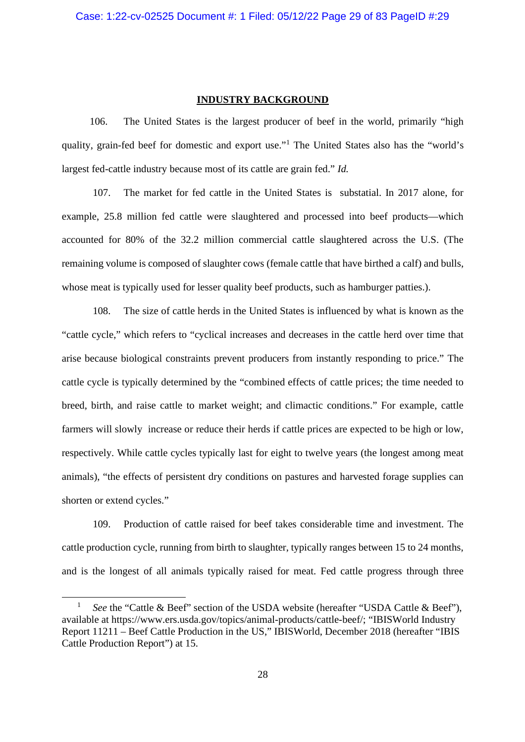## **INDUSTRY BACKGROUND**

106. The United States is the largest producer of beef in the world, primarily "high quality, grain-fed beef for domestic and export use."<sup>1</sup> The United States also has the "world's largest fed-cattle industry because most of its cattle are grain fed." *Id.*

107. The market for fed cattle in the United States is substatial. In 2017 alone, for example, 25.8 million fed cattle were slaughtered and processed into beef products—which accounted for 80% of the 32.2 million commercial cattle slaughtered across the U.S. (The remaining volume is composed of slaughter cows (female cattle that have birthed a calf) and bulls, whose meat is typically used for lesser quality beef products, such as hamburger patties.).

108. The size of cattle herds in the United States is influenced by what is known as the "cattle cycle," which refers to "cyclical increases and decreases in the cattle herd over time that arise because biological constraints prevent producers from instantly responding to price." The cattle cycle is typically determined by the "combined effects of cattle prices; the time needed to breed, birth, and raise cattle to market weight; and climactic conditions." For example, cattle farmers will slowly increase or reduce their herds if cattle prices are expected to be high or low, respectively. While cattle cycles typically last for eight to twelve years (the longest among meat animals), "the effects of persistent dry conditions on pastures and harvested forage supplies can shorten or extend cycles."

109. Production of cattle raised for beef takes considerable time and investment. The cattle production cycle, running from birth to slaughter, typically ranges between 15 to 24 months, and is the longest of all animals typically raised for meat. Fed cattle progress through three

<sup>1</sup> *See* the "Cattle & Beef" section of the USDA website (hereafter "USDA Cattle & Beef"), available at https://www.ers.usda.gov/topics/animal-products/cattle-beef/; "IBISWorld Industry Report 11211 – Beef Cattle Production in the US," IBISWorld, December 2018 (hereafter "IBIS Cattle Production Report") at 15.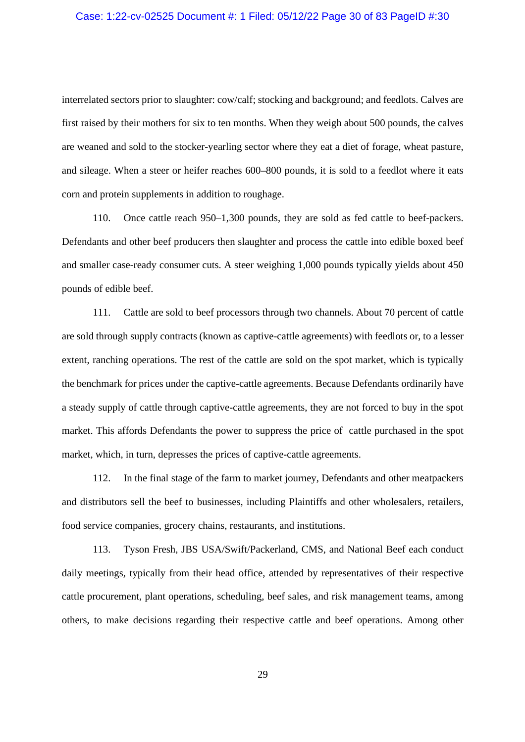#### Case: 1:22-cv-02525 Document #: 1 Filed: 05/12/22 Page 30 of 83 PageID #:30

interrelated sectors prior to slaughter: cow/calf; stocking and background; and feedlots. Calves are first raised by their mothers for six to ten months. When they weigh about 500 pounds, the calves are weaned and sold to the stocker-yearling sector where they eat a diet of forage, wheat pasture, and sileage. When a steer or heifer reaches 600–800 pounds, it is sold to a feedlot where it eats corn and protein supplements in addition to roughage.

110. Once cattle reach 950–1,300 pounds, they are sold as fed cattle to beef-packers. Defendants and other beef producers then slaughter and process the cattle into edible boxed beef and smaller case-ready consumer cuts. A steer weighing 1,000 pounds typically yields about 450 pounds of edible beef.

111. Cattle are sold to beef processors through two channels. About 70 percent of cattle are sold through supply contracts (known as captive-cattle agreements) with feedlots or, to a lesser extent, ranching operations. The rest of the cattle are sold on the spot market, which is typically the benchmark for prices under the captive-cattle agreements. Because Defendants ordinarily have a steady supply of cattle through captive-cattle agreements, they are not forced to buy in the spot market. This affords Defendants the power to suppress the price of cattle purchased in the spot market, which, in turn, depresses the prices of captive-cattle agreements.

112. In the final stage of the farm to market journey, Defendants and other meatpackers and distributors sell the beef to businesses, including Plaintiffs and other wholesalers, retailers, food service companies, grocery chains, restaurants, and institutions.

113. Tyson Fresh, JBS USA/Swift/Packerland, CMS, and National Beef each conduct daily meetings, typically from their head office, attended by representatives of their respective cattle procurement, plant operations, scheduling, beef sales, and risk management teams, among others, to make decisions regarding their respective cattle and beef operations. Among other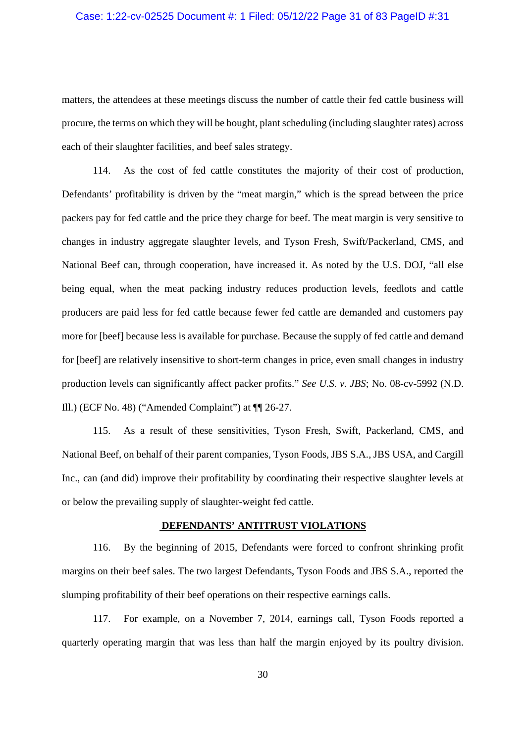## Case: 1:22-cv-02525 Document #: 1 Filed: 05/12/22 Page 31 of 83 PageID #:31

matters, the attendees at these meetings discuss the number of cattle their fed cattle business will procure, the terms on which they will be bought, plant scheduling (including slaughter rates) across each of their slaughter facilities, and beef sales strategy.

114. As the cost of fed cattle constitutes the majority of their cost of production, Defendants' profitability is driven by the "meat margin," which is the spread between the price packers pay for fed cattle and the price they charge for beef. The meat margin is very sensitive to changes in industry aggregate slaughter levels, and Tyson Fresh, Swift/Packerland, CMS, and National Beef can, through cooperation, have increased it. As noted by the U.S. DOJ, "all else being equal, when the meat packing industry reduces production levels, feedlots and cattle producers are paid less for fed cattle because fewer fed cattle are demanded and customers pay more for [beef] because less is available for purchase. Because the supply of fed cattle and demand for [beef] are relatively insensitive to short-term changes in price, even small changes in industry production levels can significantly affect packer profits." *See U.S. v. JBS*; No. 08-cv-5992 (N.D. Ill.) (ECF No. 48) ("Amended Complaint") at ¶¶ 26-27.

115. As a result of these sensitivities, Tyson Fresh, Swift, Packerland, CMS, and National Beef, on behalf of their parent companies, Tyson Foods, JBS S.A., JBS USA, and Cargill Inc., can (and did) improve their profitability by coordinating their respective slaughter levels at or below the prevailing supply of slaughter-weight fed cattle.

## **DEFENDANTS' ANTITRUST VIOLATIONS**

116. By the beginning of 2015, Defendants were forced to confront shrinking profit margins on their beef sales. The two largest Defendants, Tyson Foods and JBS S.A., reported the slumping profitability of their beef operations on their respective earnings calls.

117. For example, on a November 7, 2014, earnings call, Tyson Foods reported a quarterly operating margin that was less than half the margin enjoyed by its poultry division.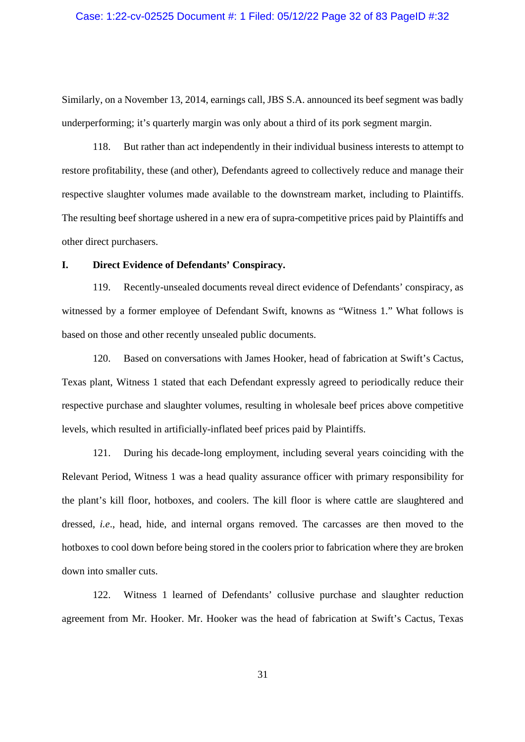#### Case: 1:22-cv-02525 Document #: 1 Filed: 05/12/22 Page 32 of 83 PageID #:32

Similarly, on a November 13, 2014, earnings call, JBS S.A. announced its beef segment was badly underperforming; it's quarterly margin was only about a third of its pork segment margin.

118. But rather than act independently in their individual business interests to attempt to restore profitability, these (and other), Defendants agreed to collectively reduce and manage their respective slaughter volumes made available to the downstream market, including to Plaintiffs. The resulting beef shortage ushered in a new era of supra-competitive prices paid by Plaintiffs and other direct purchasers.

## **I. Direct Evidence of Defendants' Conspiracy.**

119. Recently-unsealed documents reveal direct evidence of Defendants' conspiracy, as witnessed by a former employee of Defendant Swift, knowns as "Witness 1." What follows is based on those and other recently unsealed public documents.

120. Based on conversations with James Hooker, head of fabrication at Swift's Cactus, Texas plant, Witness 1 stated that each Defendant expressly agreed to periodically reduce their respective purchase and slaughter volumes, resulting in wholesale beef prices above competitive levels, which resulted in artificially-inflated beef prices paid by Plaintiffs.

121. During his decade-long employment, including several years coinciding with the Relevant Period, Witness 1 was a head quality assurance officer with primary responsibility for the plant's kill floor, hotboxes, and coolers. The kill floor is where cattle are slaughtered and dressed, *i.e*., head, hide, and internal organs removed. The carcasses are then moved to the hotboxes to cool down before being stored in the coolers prior to fabrication where they are broken down into smaller cuts.

122. Witness 1 learned of Defendants' collusive purchase and slaughter reduction agreement from Mr. Hooker. Mr. Hooker was the head of fabrication at Swift's Cactus, Texas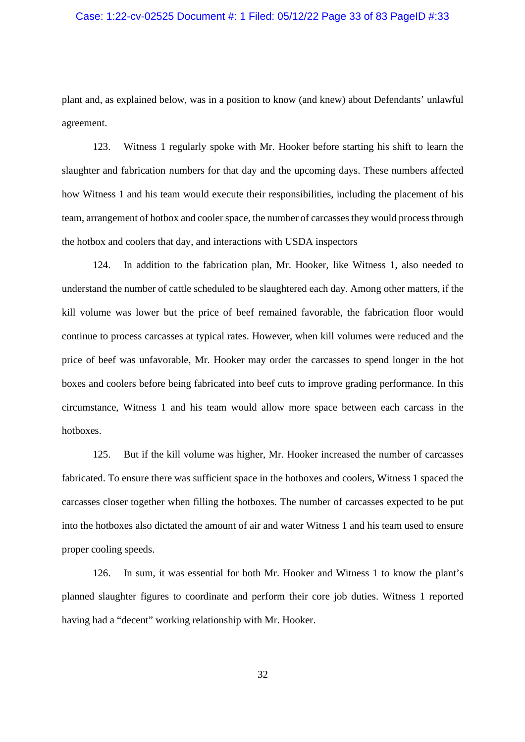#### Case: 1:22-cv-02525 Document #: 1 Filed: 05/12/22 Page 33 of 83 PageID #:33

plant and, as explained below, was in a position to know (and knew) about Defendants' unlawful agreement.

123. Witness 1 regularly spoke with Mr. Hooker before starting his shift to learn the slaughter and fabrication numbers for that day and the upcoming days. These numbers affected how Witness 1 and his team would execute their responsibilities, including the placement of his team, arrangement of hotbox and cooler space, the number of carcasses they would process through the hotbox and coolers that day, and interactions with USDA inspectors

124. In addition to the fabrication plan, Mr. Hooker, like Witness 1, also needed to understand the number of cattle scheduled to be slaughtered each day. Among other matters, if the kill volume was lower but the price of beef remained favorable, the fabrication floor would continue to process carcasses at typical rates. However, when kill volumes were reduced and the price of beef was unfavorable, Mr. Hooker may order the carcasses to spend longer in the hot boxes and coolers before being fabricated into beef cuts to improve grading performance. In this circumstance, Witness 1 and his team would allow more space between each carcass in the hotboxes.

125. But if the kill volume was higher, Mr. Hooker increased the number of carcasses fabricated. To ensure there was sufficient space in the hotboxes and coolers, Witness 1 spaced the carcasses closer together when filling the hotboxes. The number of carcasses expected to be put into the hotboxes also dictated the amount of air and water Witness 1 and his team used to ensure proper cooling speeds.

126. In sum, it was essential for both Mr. Hooker and Witness 1 to know the plant's planned slaughter figures to coordinate and perform their core job duties. Witness 1 reported having had a "decent" working relationship with Mr. Hooker.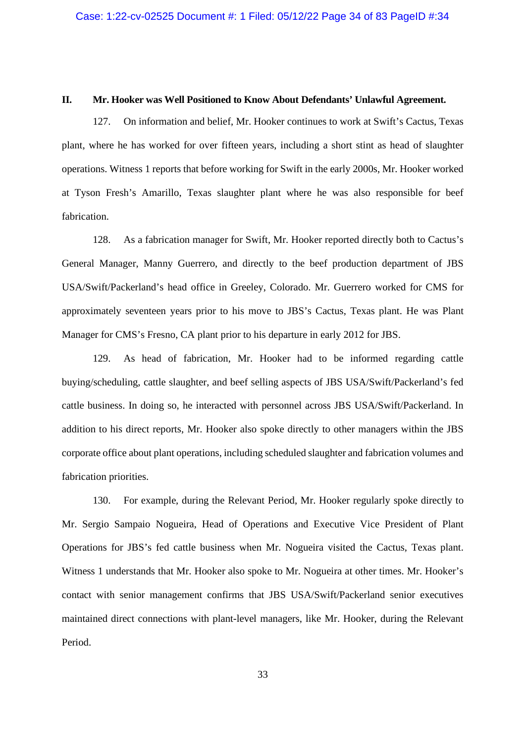#### **II. Mr. Hooker was Well Positioned to Know About Defendants' Unlawful Agreement.**

127. On information and belief, Mr. Hooker continues to work at Swift's Cactus, Texas plant, where he has worked for over fifteen years, including a short stint as head of slaughter operations. Witness 1 reports that before working for Swift in the early 2000s, Mr. Hooker worked at Tyson Fresh's Amarillo, Texas slaughter plant where he was also responsible for beef fabrication.

128. As a fabrication manager for Swift, Mr. Hooker reported directly both to Cactus's General Manager, Manny Guerrero, and directly to the beef production department of JBS USA/Swift/Packerland's head office in Greeley, Colorado. Mr. Guerrero worked for CMS for approximately seventeen years prior to his move to JBS's Cactus, Texas plant. He was Plant Manager for CMS's Fresno, CA plant prior to his departure in early 2012 for JBS.

129. As head of fabrication, Mr. Hooker had to be informed regarding cattle buying/scheduling, cattle slaughter, and beef selling aspects of JBS USA/Swift/Packerland's fed cattle business. In doing so, he interacted with personnel across JBS USA/Swift/Packerland. In addition to his direct reports, Mr. Hooker also spoke directly to other managers within the JBS corporate office about plant operations, including scheduled slaughter and fabrication volumes and fabrication priorities.

130. For example, during the Relevant Period, Mr. Hooker regularly spoke directly to Mr. Sergio Sampaio Nogueira, Head of Operations and Executive Vice President of Plant Operations for JBS's fed cattle business when Mr. Nogueira visited the Cactus, Texas plant. Witness 1 understands that Mr. Hooker also spoke to Mr. Nogueira at other times. Mr. Hooker's contact with senior management confirms that JBS USA/Swift/Packerland senior executives maintained direct connections with plant-level managers, like Mr. Hooker, during the Relevant Period.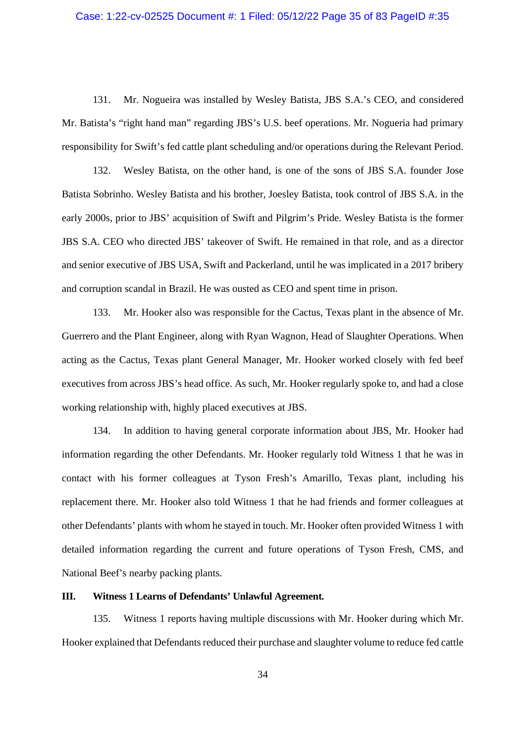## Case: 1:22-cv-02525 Document #: 1 Filed: 05/12/22 Page 35 of 83 PageID #:35

131. Mr. Nogueira was installed by Wesley Batista, JBS S.A.'s CEO, and considered Mr. Batista's "right hand man" regarding JBS's U.S. beef operations. Mr. Nogueria had primary responsibility for Swift's fed cattle plant scheduling and/or operations during the Relevant Period.

132. Wesley Batista, on the other hand, is one of the sons of JBS S.A. founder Jose Batista Sobrinho. Wesley Batista and his brother, Joesley Batista, took control of JBS S.A. in the early 2000s, prior to JBS' acquisition of Swift and Pilgrim's Pride. Wesley Batista is the former JBS S.A. CEO who directed JBS' takeover of Swift. He remained in that role, and as a director and senior executive of JBS USA, Swift and Packerland, until he was implicated in a 2017 bribery and corruption scandal in Brazil. He was ousted as CEO and spent time in prison.

133. Mr. Hooker also was responsible for the Cactus, Texas plant in the absence of Mr. Guerrero and the Plant Engineer, along with Ryan Wagnon, Head of Slaughter Operations. When acting as the Cactus, Texas plant General Manager, Mr. Hooker worked closely with fed beef executives from across JBS's head office. As such, Mr. Hooker regularly spoke to, and had a close working relationship with, highly placed executives at JBS.

134. In addition to having general corporate information about JBS, Mr. Hooker had information regarding the other Defendants. Mr. Hooker regularly told Witness 1 that he was in contact with his former colleagues at Tyson Fresh's Amarillo, Texas plant, including his replacement there. Mr. Hooker also told Witness 1 that he had friends and former colleagues at other Defendants' plants with whom he stayed in touch. Mr. Hooker often provided Witness 1 with detailed information regarding the current and future operations of Tyson Fresh, CMS, and National Beef's nearby packing plants.

#### **III. Witness 1 Learns of Defendants' Unlawful Agreement.**

135. Witness 1 reports having multiple discussions with Mr. Hooker during which Mr. Hooker explained that Defendants reduced their purchase and slaughter volume to reduce fed cattle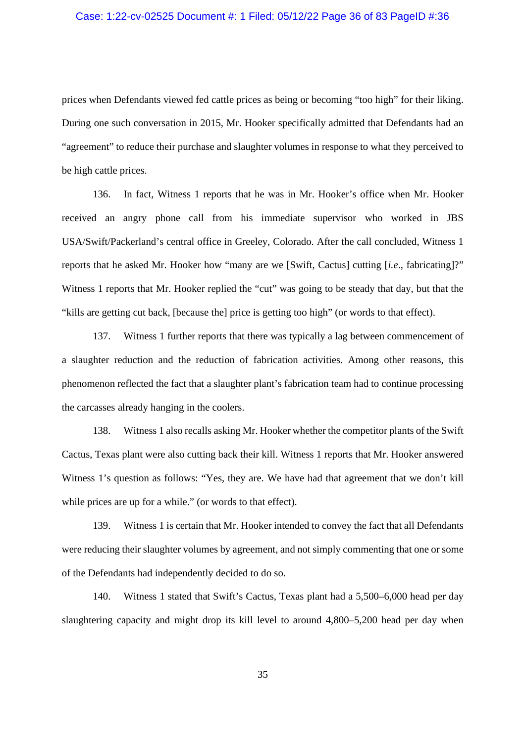## Case: 1:22-cv-02525 Document #: 1 Filed: 05/12/22 Page 36 of 83 PageID #:36

prices when Defendants viewed fed cattle prices as being or becoming "too high" for their liking. During one such conversation in 2015, Mr. Hooker specifically admitted that Defendants had an "agreement" to reduce their purchase and slaughter volumes in response to what they perceived to be high cattle prices.

136. In fact, Witness 1 reports that he was in Mr. Hooker's office when Mr. Hooker received an angry phone call from his immediate supervisor who worked in JBS USA/Swift/Packerland's central office in Greeley, Colorado. After the call concluded, Witness 1 reports that he asked Mr. Hooker how "many are we [Swift, Cactus] cutting [*i.e*., fabricating]?" Witness 1 reports that Mr. Hooker replied the "cut" was going to be steady that day, but that the "kills are getting cut back, [because the] price is getting too high" (or words to that effect).

137. Witness 1 further reports that there was typically a lag between commencement of a slaughter reduction and the reduction of fabrication activities. Among other reasons, this phenomenon reflected the fact that a slaughter plant's fabrication team had to continue processing the carcasses already hanging in the coolers.

138. Witness 1 also recalls asking Mr. Hooker whether the competitor plants of the Swift Cactus, Texas plant were also cutting back their kill. Witness 1 reports that Mr. Hooker answered Witness 1's question as follows: "Yes, they are. We have had that agreement that we don't kill while prices are up for a while." (or words to that effect).

139. Witness 1 is certain that Mr. Hooker intended to convey the fact that all Defendants were reducing their slaughter volumes by agreement, and not simply commenting that one or some of the Defendants had independently decided to do so.

140. Witness 1 stated that Swift's Cactus, Texas plant had a 5,500–6,000 head per day slaughtering capacity and might drop its kill level to around 4,800–5,200 head per day when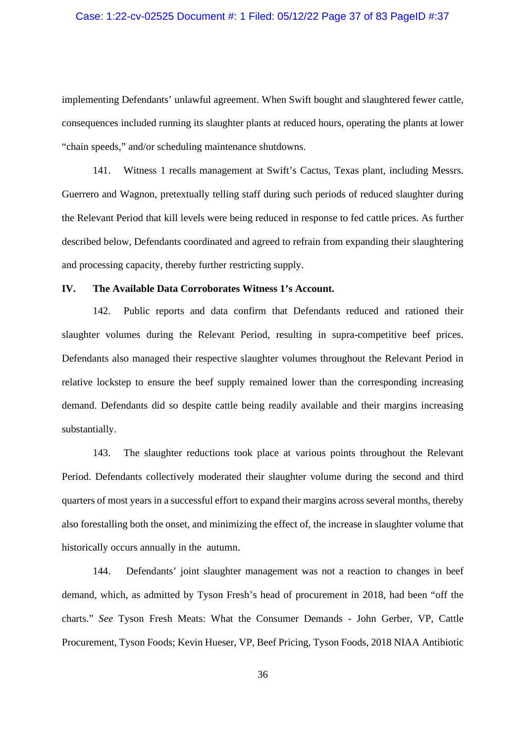### Case: 1:22-cv-02525 Document #: 1 Filed: 05/12/22 Page 37 of 83 PageID #:37

implementing Defendants' unlawful agreement. When Swift bought and slaughtered fewer cattle, consequences included running its slaughter plants at reduced hours, operating the plants at lower "chain speeds," and/or scheduling maintenance shutdowns.

141. Witness 1 recalls management at Swift's Cactus, Texas plant, including Messrs. Guerrero and Wagnon, pretextually telling staff during such periods of reduced slaughter during the Relevant Period that kill levels were being reduced in response to fed cattle prices. As further described below, Defendants coordinated and agreed to refrain from expanding their slaughtering and processing capacity, thereby further restricting supply.

### **IV. The Available Data Corroborates Witness 1's Account.**

142. Public reports and data confirm that Defendants reduced and rationed their slaughter volumes during the Relevant Period, resulting in supra-competitive beef prices. Defendants also managed their respective slaughter volumes throughout the Relevant Period in relative lockstep to ensure the beef supply remained lower than the corresponding increasing demand. Defendants did so despite cattle being readily available and their margins increasing substantially.

143. The slaughter reductions took place at various points throughout the Relevant Period. Defendants collectively moderated their slaughter volume during the second and third quarters of most years in a successful effort to expand their margins across several months, thereby also forestalling both the onset, and minimizing the effect of, the increase in slaughter volume that historically occurs annually in the autumn.

144. Defendants' joint slaughter management was not a reaction to changes in beef demand, which, as admitted by Tyson Fresh's head of procurement in 2018, had been "off the charts." *See* Tyson Fresh Meats: What the Consumer Demands - John Gerber, VP, Cattle Procurement, Tyson Foods; Kevin Hueser, VP, Beef Pricing, Tyson Foods, 2018 NIAA Antibiotic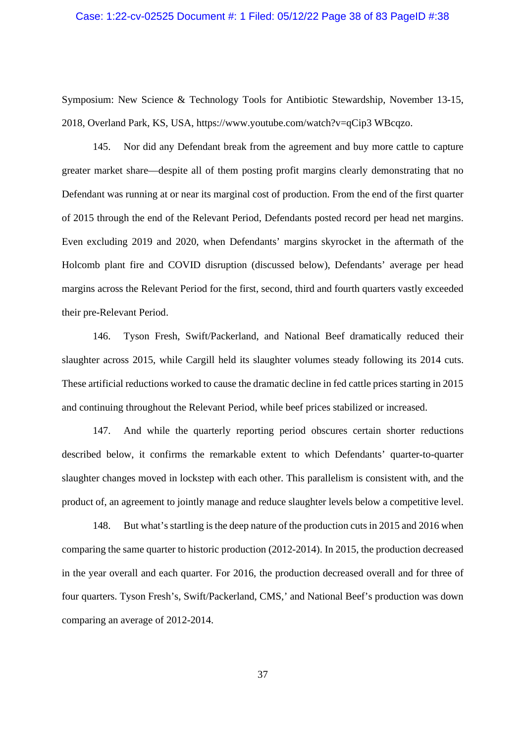## Case: 1:22-cv-02525 Document #: 1 Filed: 05/12/22 Page 38 of 83 PageID #:38

Symposium: New Science & Technology Tools for Antibiotic Stewardship, November 13-15, 2018, Overland Park, KS, USA, https://www.youtube.com/watch?v=qCip3 WBcqzo.

145. Nor did any Defendant break from the agreement and buy more cattle to capture greater market share—despite all of them posting profit margins clearly demonstrating that no Defendant was running at or near its marginal cost of production. From the end of the first quarter of 2015 through the end of the Relevant Period, Defendants posted record per head net margins. Even excluding 2019 and 2020, when Defendants' margins skyrocket in the aftermath of the Holcomb plant fire and COVID disruption (discussed below), Defendants' average per head margins across the Relevant Period for the first, second, third and fourth quarters vastly exceeded their pre-Relevant Period.

146. Tyson Fresh, Swift/Packerland, and National Beef dramatically reduced their slaughter across 2015, while Cargill held its slaughter volumes steady following its 2014 cuts. These artificial reductions worked to cause the dramatic decline in fed cattle prices starting in 2015 and continuing throughout the Relevant Period, while beef prices stabilized or increased.

147. And while the quarterly reporting period obscures certain shorter reductions described below, it confirms the remarkable extent to which Defendants' quarter-to-quarter slaughter changes moved in lockstep with each other. This parallelism is consistent with, and the product of, an agreement to jointly manage and reduce slaughter levels below a competitive level.

148. But what's startling is the deep nature of the production cuts in 2015 and 2016 when comparing the same quarter to historic production (2012-2014). In 2015, the production decreased in the year overall and each quarter. For 2016, the production decreased overall and for three of four quarters. Tyson Fresh's, Swift/Packerland, CMS,' and National Beef's production was down comparing an average of 2012-2014.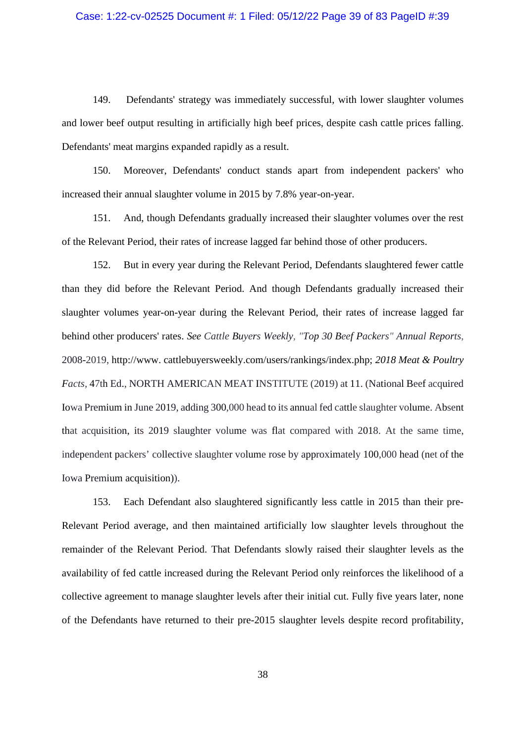# Case: 1:22-cv-02525 Document #: 1 Filed: 05/12/22 Page 39 of 83 PageID #:39

149. Defendants' strategy was immediately successful, with lower slaughter volumes and lower beef output resulting in artificially high beef prices, despite cash cattle prices falling. Defendants' meat margins expanded rapidly as a result.

150. Moreover, Defendants' conduct stands apart from independent packers' who increased their annual slaughter volume in 2015 by 7.8% year-on-year.

151. And, though Defendants gradually increased their slaughter volumes over the rest of the Relevant Period, their rates of increase lagged far behind those of other producers.

152. But in every year during the Relevant Period, Defendants slaughtered fewer cattle than they did before the Relevant Period. And though Defendants gradually increased their slaughter volumes year-on-year during the Relevant Period, their rates of increase lagged far behind other producers' rates. *See Cattle Buyers Weekly, "Top 30 Beef Packers" Annual Reports*, 2008-2019, http://www. cattlebuyersweekly.com/users/rankings/index.php; *2018 Meat & Poultry Facts,* 47th Ed., NORTH AMERICAN MEAT INSTITUTE (2019) at 11. (National Beef acquired Iowa Premium in June 2019, adding 300,000 head to its annual fed cattle slaughter volume. Absent that acquisition, its 2019 slaughter volume was flat compared with 2018. At the same time, independent packers' collective slaughter volume rose by approximately 100,000 head (net of the Iowa Premium acquisition)).

153. Each Defendant also slaughtered significantly less cattle in 2015 than their pre-Relevant Period average, and then maintained artificially low slaughter levels throughout the remainder of the Relevant Period. That Defendants slowly raised their slaughter levels as the availability of fed cattle increased during the Relevant Period only reinforces the likelihood of a collective agreement to manage slaughter levels after their initial cut. Fully five years later, none of the Defendants have returned to their pre-2015 slaughter levels despite record profitability,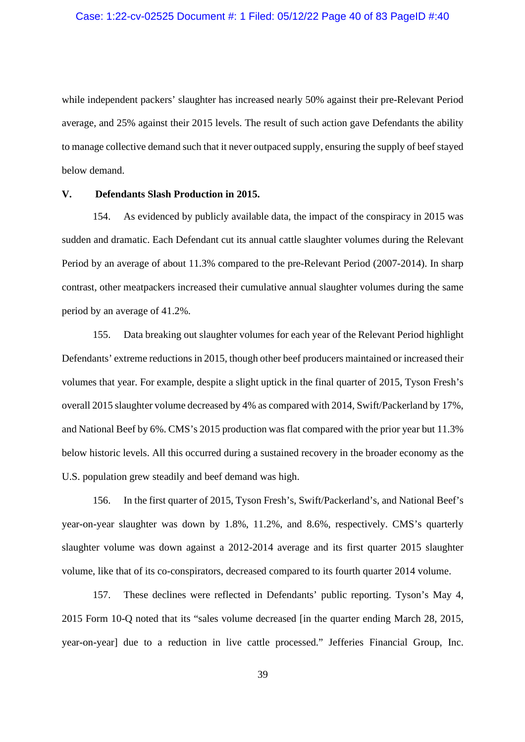### Case: 1:22-cv-02525 Document #: 1 Filed: 05/12/22 Page 40 of 83 PageID #:40

while independent packers' slaughter has increased nearly 50% against their pre-Relevant Period average, and 25% against their 2015 levels. The result of such action gave Defendants the ability to manage collective demand such that it never outpaced supply, ensuring the supply of beef stayed below demand.

#### **V. Defendants Slash Production in 2015.**

154. As evidenced by publicly available data, the impact of the conspiracy in 2015 was sudden and dramatic. Each Defendant cut its annual cattle slaughter volumes during the Relevant Period by an average of about 11.3% compared to the pre-Relevant Period (2007-2014). In sharp contrast, other meatpackers increased their cumulative annual slaughter volumes during the same period by an average of 41.2%.

155. Data breaking out slaughter volumes for each year of the Relevant Period highlight Defendants' extreme reductions in 2015, though other beef producers maintained or increased their volumes that year. For example, despite a slight uptick in the final quarter of 2015, Tyson Fresh's overall 2015 slaughter volume decreased by 4% as compared with 2014, Swift/Packerland by 17%, and National Beef by 6%. CMS's 2015 production was flat compared with the prior year but 11.3% below historic levels. All this occurred during a sustained recovery in the broader economy as the U.S. population grew steadily and beef demand was high.

156. In the first quarter of 2015, Tyson Fresh's, Swift/Packerland's, and National Beef's year-on-year slaughter was down by 1.8%, 11.2%, and 8.6%, respectively. CMS's quarterly slaughter volume was down against a 2012-2014 average and its first quarter 2015 slaughter volume, like that of its co-conspirators, decreased compared to its fourth quarter 2014 volume.

157. These declines were reflected in Defendants' public reporting. Tyson's May 4, 2015 Form 10-Q noted that its "sales volume decreased [in the quarter ending March 28, 2015, year-on-year] due to a reduction in live cattle processed." Jefferies Financial Group, Inc.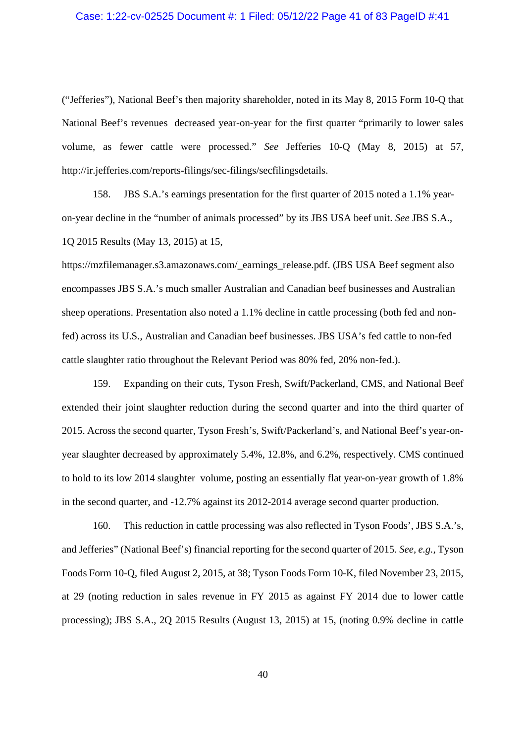#### Case: 1:22-cv-02525 Document #: 1 Filed: 05/12/22 Page 41 of 83 PageID #:41

("Jefferies"), National Beef's then majority shareholder, noted in its May 8, 2015 Form 10-Q that National Beef's revenues decreased year-on-year for the first quarter "primarily to lower sales volume, as fewer cattle were processed." *See* Jefferies 10-Q (May 8, 2015) at 57, http://ir.jefferies.com/reports-filings/sec-filings/secfilingsdetails.

158. JBS S.A.'s earnings presentation for the first quarter of 2015 noted a 1.1% yearon-year decline in the "number of animals processed" by its JBS USA beef unit. *See* JBS S.A., 1Q 2015 Results (May 13, 2015) at 15,

https://mzfilemanager.s3.amazonaws.com/\_earnings\_release.pdf. (JBS USA Beef segment also encompasses JBS S.A.'s much smaller Australian and Canadian beef businesses and Australian sheep operations. Presentation also noted a 1.1% decline in cattle processing (both fed and nonfed) across its U.S., Australian and Canadian beef businesses. JBS USA's fed cattle to non-fed cattle slaughter ratio throughout the Relevant Period was 80% fed, 20% non-fed.).

159. Expanding on their cuts, Tyson Fresh, Swift/Packerland, CMS, and National Beef extended their joint slaughter reduction during the second quarter and into the third quarter of 2015. Across the second quarter, Tyson Fresh's, Swift/Packerland's, and National Beef's year-onyear slaughter decreased by approximately 5.4%, 12.8%, and 6.2%, respectively. CMS continued to hold to its low 2014 slaughter volume, posting an essentially flat year-on-year growth of 1.8% in the second quarter, and -12.7% against its 2012-2014 average second quarter production.

160. This reduction in cattle processing was also reflected in Tyson Foods', JBS S.A.'s, and Jefferies" (National Beef's) financial reporting for the second quarter of 2015. *See, e.g.,* Tyson Foods Form 10-Q, filed August 2, 2015, at 38; Tyson Foods Form 10-K, filed November 23, 2015, at 29 (noting reduction in sales revenue in FY 2015 as against FY 2014 due to lower cattle processing); JBS S.A., 2Q 2015 Results (August 13, 2015) at 15, (noting 0.9% decline in cattle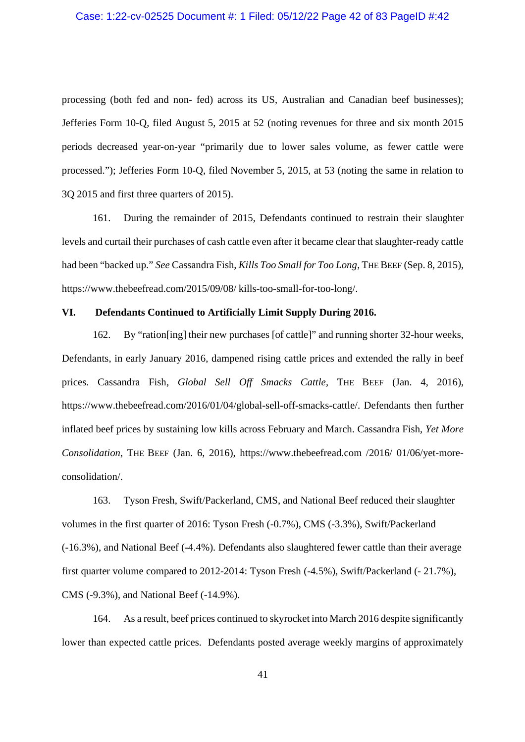processing (both fed and non- fed) across its US, Australian and Canadian beef businesses); Jefferies Form 10-Q, filed August 5, 2015 at 52 (noting revenues for three and six month 2015 periods decreased year-on-year "primarily due to lower sales volume, as fewer cattle were processed."); Jefferies Form 10-Q, filed November 5, 2015, at 53 (noting the same in relation to 3Q 2015 and first three quarters of 2015).

161. During the remainder of 2015, Defendants continued to restrain their slaughter levels and curtail their purchases of cash cattle even after it became clear that slaughter-ready cattle had been "backed up." *See* Cassandra Fish, *Kills Too Small for Too Long*, THE BEEF (Sep. 8, 2015), https://www.thebeefread.com/2015/09/08/ kills-too-small-for-too-long/.

#### **VI. Defendants Continued to Artificially Limit Supply During 2016.**

162. By "ration[ing] their new purchases [of cattle]" and running shorter 32-hour weeks, Defendants, in early January 2016, dampened rising cattle prices and extended the rally in beef prices. Cassandra Fish, *Global Sell Off Smacks Cattle*, THE BEEF (Jan. 4, 2016), https://www.thebeefread.com/2016/01/04/global-sell-off-smacks-cattle/. Defendants then further inflated beef prices by sustaining low kills across February and March. Cassandra Fish, *Yet More Consolidation*, THE BEEF (Jan. 6, 2016), https://www.thebeefread.com /2016/ 01/06/yet-moreconsolidation/.

163. Tyson Fresh, Swift/Packerland, CMS, and National Beef reduced their slaughter volumes in the first quarter of 2016: Tyson Fresh (-0.7%), CMS (-3.3%), Swift/Packerland (-16.3%), and National Beef (-4.4%). Defendants also slaughtered fewer cattle than their average first quarter volume compared to 2012-2014: Tyson Fresh (-4.5%), Swift/Packerland (- 21.7%), CMS (-9.3%), and National Beef (-14.9%).

164. As a result, beef prices continued to skyrocket into March 2016 despite significantly lower than expected cattle prices. Defendants posted average weekly margins of approximately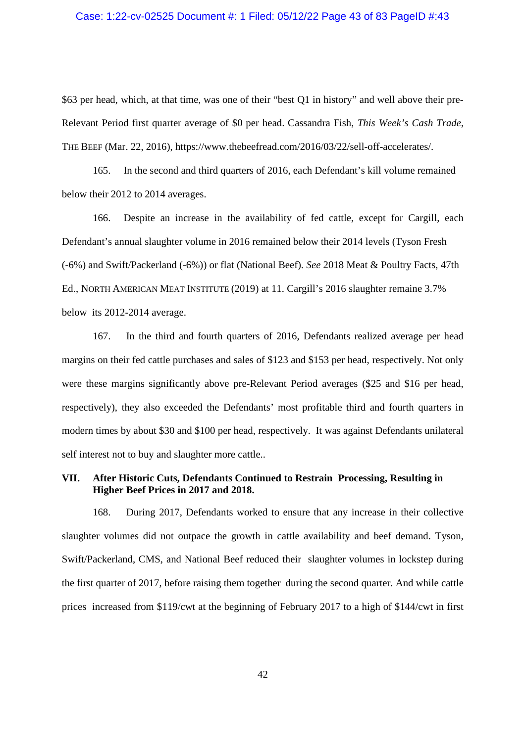#### Case: 1:22-cv-02525 Document #: 1 Filed: 05/12/22 Page 43 of 83 PageID #:43

\$63 per head, which, at that time, was one of their "best Q1 in history" and well above their pre-Relevant Period first quarter average of \$0 per head. Cassandra Fish, *This Week's Cash Trade*, THE BEEF (Mar. 22, 2016), https://www.thebeefread.com/2016/03/22/sell-off-accelerates/.

165. In the second and third quarters of 2016, each Defendant's kill volume remained below their 2012 to 2014 averages.

166. Despite an increase in the availability of fed cattle, except for Cargill, each Defendant's annual slaughter volume in 2016 remained below their 2014 levels (Tyson Fresh (-6%) and Swift/Packerland (-6%)) or flat (National Beef). *See* 2018 Meat & Poultry Facts, 47th Ed., NORTH AMERICAN MEAT INSTITUTE (2019) at 11. Cargill's 2016 slaughter remaine 3.7% below its 2012-2014 average.

167. In the third and fourth quarters of 2016, Defendants realized average per head margins on their fed cattle purchases and sales of \$123 and \$153 per head, respectively. Not only were these margins significantly above pre-Relevant Period averages (\$25 and \$16 per head, respectively), they also exceeded the Defendants' most profitable third and fourth quarters in modern times by about \$30 and \$100 per head, respectively. It was against Defendants unilateral self interest not to buy and slaughter more cattle..

## **VII. After Historic Cuts, Defendants Continued to Restrain Processing, Resulting in Higher Beef Prices in 2017 and 2018.**

168. During 2017, Defendants worked to ensure that any increase in their collective slaughter volumes did not outpace the growth in cattle availability and beef demand. Tyson, Swift/Packerland, CMS, and National Beef reduced their slaughter volumes in lockstep during the first quarter of 2017, before raising them together during the second quarter. And while cattle prices increased from \$119/cwt at the beginning of February 2017 to a high of \$144/cwt in first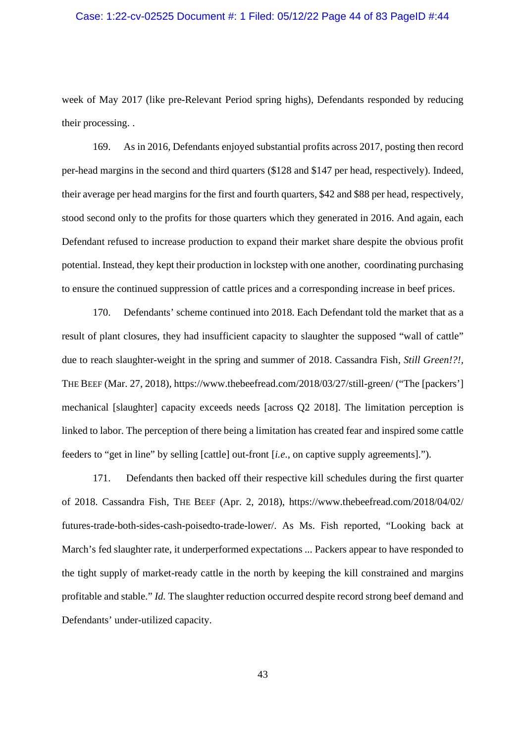### Case: 1:22-cv-02525 Document #: 1 Filed: 05/12/22 Page 44 of 83 PageID #:44

week of May 2017 (like pre-Relevant Period spring highs), Defendants responded by reducing their processing. .

169. As in 2016, Defendants enjoyed substantial profits across 2017, posting then record per-head margins in the second and third quarters (\$128 and \$147 per head, respectively). Indeed, their average per head margins for the first and fourth quarters, \$42 and \$88 per head, respectively, stood second only to the profits for those quarters which they generated in 2016. And again, each Defendant refused to increase production to expand their market share despite the obvious profit potential. Instead, they kept their production in lockstep with one another, coordinating purchasing to ensure the continued suppression of cattle prices and a corresponding increase in beef prices.

170. Defendants' scheme continued into 2018. Each Defendant told the market that as a result of plant closures, they had insufficient capacity to slaughter the supposed "wall of cattle" due to reach slaughter-weight in the spring and summer of 2018. Cassandra Fish*, Still Green!?!,* THE BEEF (Mar. 27, 2018), https://www.thebeefread.com/2018/03/27/still-green/ ("The [packers'] mechanical [slaughter] capacity exceeds needs [across Q2 2018]. The limitation perception is linked to labor. The perception of there being a limitation has created fear and inspired some cattle feeders to "get in line" by selling [cattle] out-front [*i.e*., on captive supply agreements].").

171. Defendants then backed off their respective kill schedules during the first quarter of 2018. Cassandra Fish, THE BEEF (Apr. 2, 2018), https://www.thebeefread.com/2018/04/02/ futures-trade-both-sides-cash-poisedto-trade-lower/. As Ms. Fish reported, "Looking back at March's fed slaughter rate, it underperformed expectations ... Packers appear to have responded to the tight supply of market-ready cattle in the north by keeping the kill constrained and margins profitable and stable." *Id.* The slaughter reduction occurred despite record strong beef demand and Defendants' under-utilized capacity.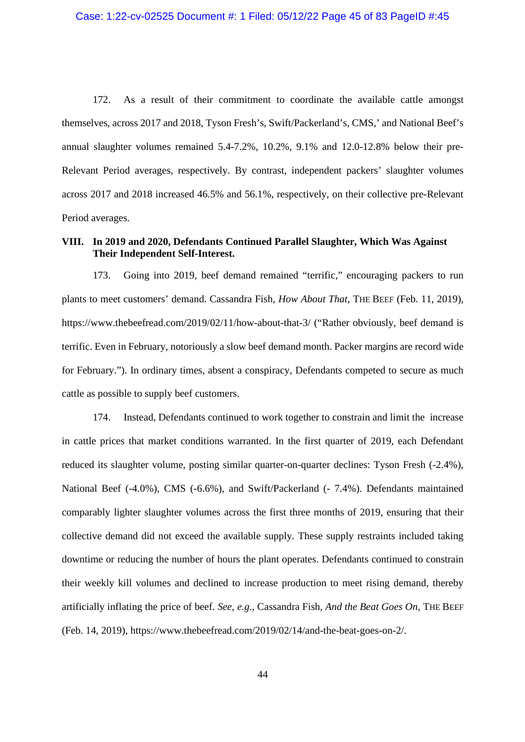172. As a result of their commitment to coordinate the available cattle amongst themselves, across 2017 and 2018, Tyson Fresh's, Swift/Packerland's, CMS,' and National Beef's annual slaughter volumes remained 5.4-7.2%, 10.2%, 9.1% and 12.0-12.8% below their pre-Relevant Period averages, respectively. By contrast, independent packers' slaughter volumes across 2017 and 2018 increased 46.5% and 56.1%, respectively, on their collective pre-Relevant Period averages.

## **VIII. In 2019 and 2020, Defendants Continued Parallel Slaughter, Which Was Against Their Independent Self-Interest.**

173. Going into 2019, beef demand remained "terrific," encouraging packers to run plants to meet customers' demand. Cassandra Fish*, How About That*, THE BEEF (Feb. 11, 2019), https://www.thebeefread.com/2019/02/11/how-about-that-3/ ("Rather obviously, beef demand is terrific. Even in February, notoriously a slow beef demand month. Packer margins are record wide for February."). In ordinary times, absent a conspiracy, Defendants competed to secure as much cattle as possible to supply beef customers.

174. Instead, Defendants continued to work together to constrain and limit the increase in cattle prices that market conditions warranted. In the first quarter of 2019, each Defendant reduced its slaughter volume, posting similar quarter-on-quarter declines: Tyson Fresh (-2.4%), National Beef (-4.0%), CMS (-6.6%), and Swift/Packerland (- 7.4%). Defendants maintained comparably lighter slaughter volumes across the first three months of 2019, ensuring that their collective demand did not exceed the available supply. These supply restraints included taking downtime or reducing the number of hours the plant operates. Defendants continued to constrain their weekly kill volumes and declined to increase production to meet rising demand, thereby artificially inflating the price of beef. *See, e.g*., Cassandra Fish*, And the Beat Goes On*, THE BEEF (Feb. 14, 2019), https://www.thebeefread.com/2019/02/14/and-the-beat-goes-on-2/.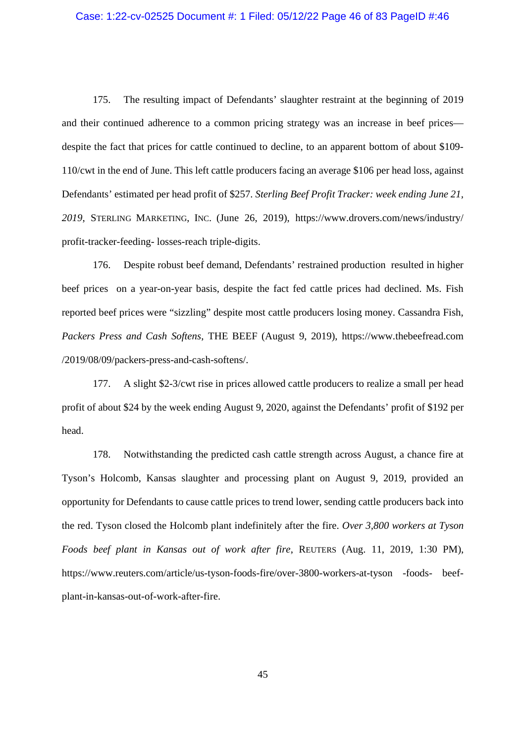## Case: 1:22-cv-02525 Document #: 1 Filed: 05/12/22 Page 46 of 83 PageID #:46

175. The resulting impact of Defendants' slaughter restraint at the beginning of 2019 and their continued adherence to a common pricing strategy was an increase in beef prices despite the fact that prices for cattle continued to decline, to an apparent bottom of about \$109- 110/cwt in the end of June. This left cattle producers facing an average \$106 per head loss, against Defendants' estimated per head profit of \$257. *Sterling Beef Profit Tracker: week ending June 21, 2019*, STERLING MARKETING, INC. (June 26, 2019), https://www.drovers.com/news/industry/ profit-tracker-feeding- losses-reach triple-digits.

176. Despite robust beef demand, Defendants' restrained production resulted in higher beef prices on a year-on-year basis, despite the fact fed cattle prices had declined. Ms. Fish reported beef prices were "sizzling" despite most cattle producers losing money. Cassandra Fish, *Packers Press and Cash Softens*, THE BEEF (August 9, 2019), https://www.thebeefread.com /2019/08/09/packers-press-and-cash-softens/.

177. A slight \$2-3/cwt rise in prices allowed cattle producers to realize a small per head profit of about \$24 by the week ending August 9, 2020, against the Defendants' profit of \$192 per head.

178. Notwithstanding the predicted cash cattle strength across August, a chance fire at Tyson's Holcomb, Kansas slaughter and processing plant on August 9, 2019, provided an opportunity for Defendants to cause cattle prices to trend lower, sending cattle producers back into the red. Tyson closed the Holcomb plant indefinitely after the fire. *Over 3,800 workers at Tyson Foods beef plant in Kansas out of work after fire*, REUTERS (Aug. 11, 2019, 1:30 PM), https://www.reuters.com/article/us-tyson-foods-fire/over-3800-workers-at-tyson -foods- beefplant-in-kansas-out-of-work-after-fire.

45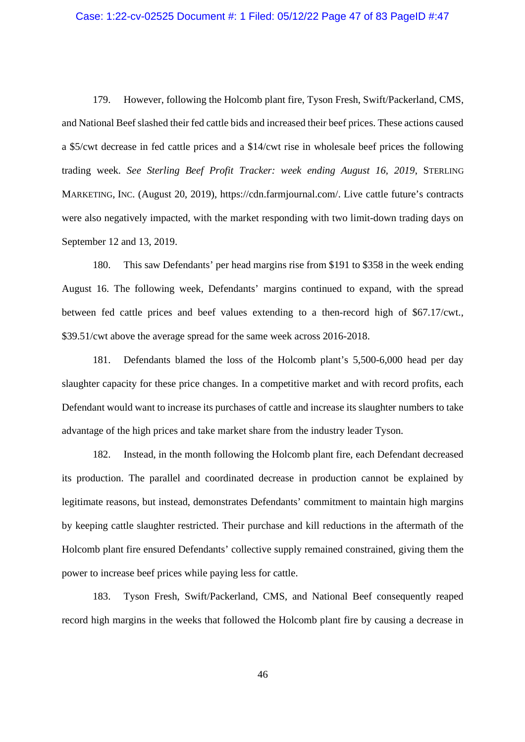# Case: 1:22-cv-02525 Document #: 1 Filed: 05/12/22 Page 47 of 83 PageID #:47

179. However, following the Holcomb plant fire, Tyson Fresh, Swift/Packerland, CMS, and National Beef slashed their fed cattle bids and increased their beef prices. These actions caused a \$5/cwt decrease in fed cattle prices and a \$14/cwt rise in wholesale beef prices the following trading week. *See Sterling Beef Profit Tracker: week ending August 16, 2019*, STERLING MARKETING, INC. (August 20, 2019), https://cdn.farmjournal.com/. Live cattle future's contracts were also negatively impacted, with the market responding with two limit-down trading days on September 12 and 13, 2019.

180. This saw Defendants' per head margins rise from \$191 to \$358 in the week ending August 16. The following week, Defendants' margins continued to expand, with the spread between fed cattle prices and beef values extending to a then-record high of \$67.17/cwt., \$39.51/cwt above the average spread for the same week across 2016-2018.

181. Defendants blamed the loss of the Holcomb plant's 5,500-6,000 head per day slaughter capacity for these price changes. In a competitive market and with record profits, each Defendant would want to increase its purchases of cattle and increase its slaughter numbers to take advantage of the high prices and take market share from the industry leader Tyson.

182. Instead, in the month following the Holcomb plant fire, each Defendant decreased its production. The parallel and coordinated decrease in production cannot be explained by legitimate reasons, but instead, demonstrates Defendants' commitment to maintain high margins by keeping cattle slaughter restricted. Their purchase and kill reductions in the aftermath of the Holcomb plant fire ensured Defendants' collective supply remained constrained, giving them the power to increase beef prices while paying less for cattle.

183. Tyson Fresh, Swift/Packerland, CMS, and National Beef consequently reaped record high margins in the weeks that followed the Holcomb plant fire by causing a decrease in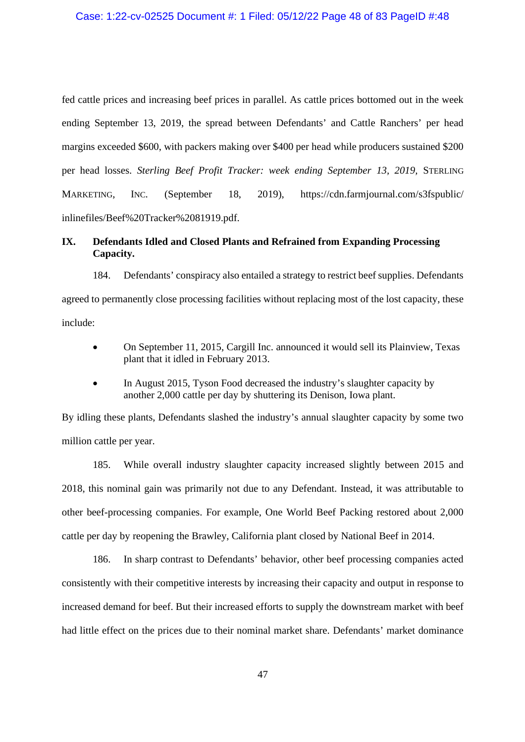fed cattle prices and increasing beef prices in parallel. As cattle prices bottomed out in the week ending September 13, 2019, the spread between Defendants' and Cattle Ranchers' per head margins exceeded \$600, with packers making over \$400 per head while producers sustained \$200 per head losses. *Sterling Beef Profit Tracker: week ending September 13, 2019,* STERLING MARKETING, INC. (September 18, 2019), https://cdn.farmjournal.com/s3fspublic/ inlinefiles/Beef%20Tracker%2081919.pdf.

## **IX. Defendants Idled and Closed Plants and Refrained from Expanding Processing Capacity.**

184. Defendants' conspiracy also entailed a strategy to restrict beef supplies. Defendants agreed to permanently close processing facilities without replacing most of the lost capacity, these include:

- On September 11, 2015, Cargill Inc. announced it would sell its Plainview, Texas plant that it idled in February 2013.
- In August 2015, Tyson Food decreased the industry's slaughter capacity by another 2,000 cattle per day by shuttering its Denison, Iowa plant.

By idling these plants, Defendants slashed the industry's annual slaughter capacity by some two million cattle per year.

185. While overall industry slaughter capacity increased slightly between 2015 and 2018, this nominal gain was primarily not due to any Defendant. Instead, it was attributable to other beef-processing companies. For example, One World Beef Packing restored about 2,000 cattle per day by reopening the Brawley, California plant closed by National Beef in 2014.

186. In sharp contrast to Defendants' behavior, other beef processing companies acted consistently with their competitive interests by increasing their capacity and output in response to increased demand for beef. But their increased efforts to supply the downstream market with beef had little effect on the prices due to their nominal market share. Defendants' market dominance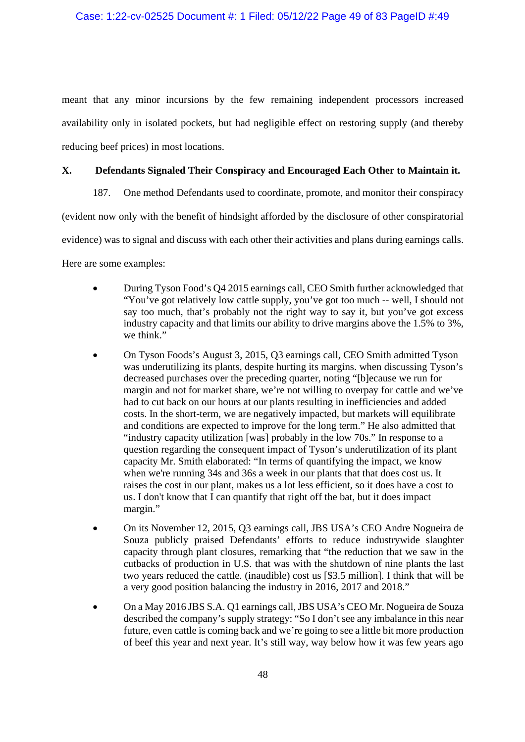meant that any minor incursions by the few remaining independent processors increased availability only in isolated pockets, but had negligible effect on restoring supply (and thereby reducing beef prices) in most locations.

## **X. Defendants Signaled Their Conspiracy and Encouraged Each Other to Maintain it.**

187. One method Defendants used to coordinate, promote, and monitor their conspiracy

(evident now only with the benefit of hindsight afforded by the disclosure of other conspiratorial

evidence) was to signal and discuss with each other their activities and plans during earnings calls.

Here are some examples:

- During Tyson Food's Q4 2015 earnings call, CEO Smith further acknowledged that "You've got relatively low cattle supply, you've got too much -- well, I should not say too much, that's probably not the right way to say it, but you've got excess industry capacity and that limits our ability to drive margins above the 1.5% to 3%, we think."
- On Tyson Foods's August 3, 2015, Q3 earnings call, CEO Smith admitted Tyson was underutilizing its plants, despite hurting its margins. when discussing Tyson's decreased purchases over the preceding quarter, noting "[b]ecause we run for margin and not for market share, we're not willing to overpay for cattle and we've had to cut back on our hours at our plants resulting in inefficiencies and added costs. In the short-term, we are negatively impacted, but markets will equilibrate and conditions are expected to improve for the long term." He also admitted that "industry capacity utilization [was] probably in the low 70s." In response to a question regarding the consequent impact of Tyson's underutilization of its plant capacity Mr. Smith elaborated: "In terms of quantifying the impact, we know when we're running 34s and 36s a week in our plants that that does cost us. It raises the cost in our plant, makes us a lot less efficient, so it does have a cost to us. I don't know that  $\overline{I}$  can quantify that right off the bat, but it does impact margin."
- On its November 12, 2015, Q3 earnings call, JBS USA's CEO Andre Nogueira de Souza publicly praised Defendants' efforts to reduce industrywide slaughter capacity through plant closures, remarking that "the reduction that we saw in the cutbacks of production in U.S. that was with the shutdown of nine plants the last two years reduced the cattle. (inaudible) cost us [\$3.5 million]. I think that will be a very good position balancing the industry in 2016, 2017 and 2018."
- On a May 2016 JBS S.A. Q1 earnings call, JBS USA's CEO Mr. Nogueira de Souza described the company's supply strategy: "So I don't see any imbalance in this near future, even cattle is coming back and we're going to see a little bit more production of beef this year and next year. It's still way, way below how it was few years ago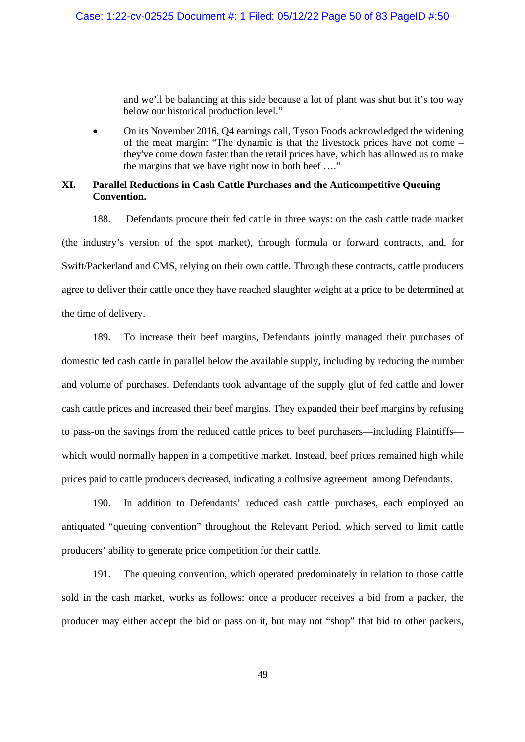and we'll be balancing at this side because a lot of plant was shut but it's too way below our historical production level."

 On its November 2016, Q4 earnings call, Tyson Foods acknowledged the widening of the meat margin: "The dynamic is that the livestock prices have not come – they've come down faster than the retail prices have, which has allowed us to make the margins that we have right now in both beef …."

### **XI. Parallel Reductions in Cash Cattle Purchases and the Anticompetitive Queuing Convention.**

188. Defendants procure their fed cattle in three ways: on the cash cattle trade market (the industry's version of the spot market), through formula or forward contracts, and, for Swift/Packerland and CMS, relying on their own cattle. Through these contracts, cattle producers agree to deliver their cattle once they have reached slaughter weight at a price to be determined at the time of delivery.

189. To increase their beef margins, Defendants jointly managed their purchases of domestic fed cash cattle in parallel below the available supply, including by reducing the number and volume of purchases. Defendants took advantage of the supply glut of fed cattle and lower cash cattle prices and increased their beef margins. They expanded their beef margins by refusing to pass-on the savings from the reduced cattle prices to beef purchasers—including Plaintiffs which would normally happen in a competitive market. Instead, beef prices remained high while prices paid to cattle producers decreased, indicating a collusive agreement among Defendants.

190. In addition to Defendants' reduced cash cattle purchases, each employed an antiquated "queuing convention" throughout the Relevant Period, which served to limit cattle producers' ability to generate price competition for their cattle.

191. The queuing convention, which operated predominately in relation to those cattle sold in the cash market, works as follows: once a producer receives a bid from a packer, the producer may either accept the bid or pass on it, but may not "shop" that bid to other packers,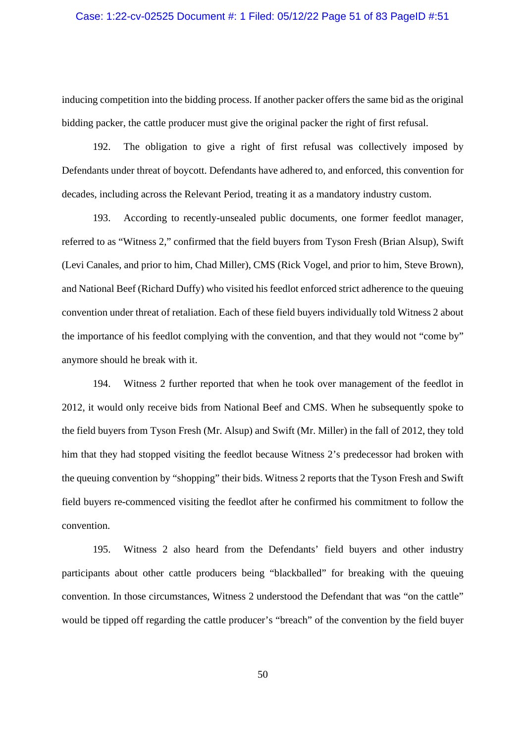### Case: 1:22-cv-02525 Document #: 1 Filed: 05/12/22 Page 51 of 83 PageID #:51

inducing competition into the bidding process. If another packer offers the same bid as the original bidding packer, the cattle producer must give the original packer the right of first refusal.

192. The obligation to give a right of first refusal was collectively imposed by Defendants under threat of boycott. Defendants have adhered to, and enforced, this convention for decades, including across the Relevant Period, treating it as a mandatory industry custom.

193. According to recently-unsealed public documents, one former feedlot manager, referred to as "Witness 2," confirmed that the field buyers from Tyson Fresh (Brian Alsup), Swift (Levi Canales, and prior to him, Chad Miller), CMS (Rick Vogel, and prior to him, Steve Brown), and National Beef (Richard Duffy) who visited his feedlot enforced strict adherence to the queuing convention under threat of retaliation. Each of these field buyers individually told Witness 2 about the importance of his feedlot complying with the convention, and that they would not "come by" anymore should he break with it.

194. Witness 2 further reported that when he took over management of the feedlot in 2012, it would only receive bids from National Beef and CMS. When he subsequently spoke to the field buyers from Tyson Fresh (Mr. Alsup) and Swift (Mr. Miller) in the fall of 2012, they told him that they had stopped visiting the feedlot because Witness 2's predecessor had broken with the queuing convention by "shopping" their bids. Witness 2 reports that the Tyson Fresh and Swift field buyers re-commenced visiting the feedlot after he confirmed his commitment to follow the convention.

195. Witness 2 also heard from the Defendants' field buyers and other industry participants about other cattle producers being "blackballed" for breaking with the queuing convention. In those circumstances, Witness 2 understood the Defendant that was "on the cattle" would be tipped off regarding the cattle producer's "breach" of the convention by the field buyer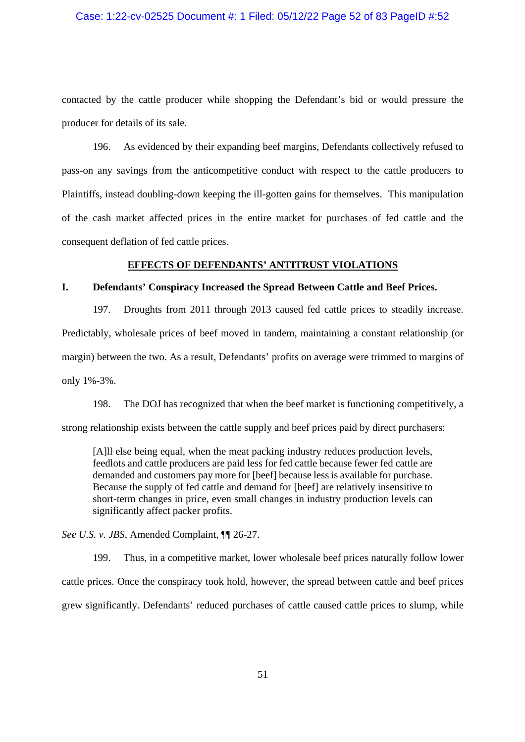### Case: 1:22-cv-02525 Document #: 1 Filed: 05/12/22 Page 52 of 83 PageID #:52

contacted by the cattle producer while shopping the Defendant's bid or would pressure the producer for details of its sale.

196. As evidenced by their expanding beef margins, Defendants collectively refused to pass-on any savings from the anticompetitive conduct with respect to the cattle producers to Plaintiffs, instead doubling-down keeping the ill-gotten gains for themselves. This manipulation of the cash market affected prices in the entire market for purchases of fed cattle and the consequent deflation of fed cattle prices.

### **EFFECTS OF DEFENDANTS' ANTITRUST VIOLATIONS**

## **I. Defendants' Conspiracy Increased the Spread Between Cattle and Beef Prices.**

197. Droughts from 2011 through 2013 caused fed cattle prices to steadily increase. Predictably, wholesale prices of beef moved in tandem, maintaining a constant relationship (or margin) between the two. As a result, Defendants' profits on average were trimmed to margins of only 1%-3%.

198. The DOJ has recognized that when the beef market is functioning competitively, a

strong relationship exists between the cattle supply and beef prices paid by direct purchasers:

[A]ll else being equal, when the meat packing industry reduces production levels, feedlots and cattle producers are paid less for fed cattle because fewer fed cattle are demanded and customers pay more for [beef] because less is available for purchase. Because the supply of fed cattle and demand for [beef] are relatively insensitive to short-term changes in price, even small changes in industry production levels can significantly affect packer profits.

### *See U.S. v. JBS*, Amended Complaint, ¶¶ 26-27.

199. Thus, in a competitive market, lower wholesale beef prices naturally follow lower cattle prices. Once the conspiracy took hold, however, the spread between cattle and beef prices grew significantly. Defendants' reduced purchases of cattle caused cattle prices to slump, while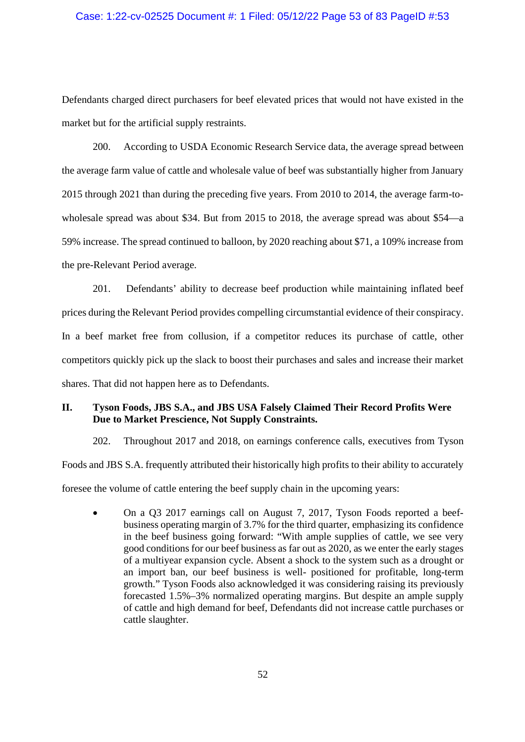### Case: 1:22-cv-02525 Document #: 1 Filed: 05/12/22 Page 53 of 83 PageID #:53

Defendants charged direct purchasers for beef elevated prices that would not have existed in the market but for the artificial supply restraints.

200. According to USDA Economic Research Service data, the average spread between the average farm value of cattle and wholesale value of beef was substantially higher from January 2015 through 2021 than during the preceding five years. From 2010 to 2014, the average farm-towholesale spread was about \$34. But from 2015 to 2018, the average spread was about \$54—a 59% increase. The spread continued to balloon, by 2020 reaching about \$71, a 109% increase from the pre-Relevant Period average.

201. Defendants' ability to decrease beef production while maintaining inflated beef prices during the Relevant Period provides compelling circumstantial evidence of their conspiracy. In a beef market free from collusion, if a competitor reduces its purchase of cattle, other competitors quickly pick up the slack to boost their purchases and sales and increase their market shares. That did not happen here as to Defendants.

## **II. Tyson Foods, JBS S.A., and JBS USA Falsely Claimed Their Record Profits Were Due to Market Prescience, Not Supply Constraints.**

202. Throughout 2017 and 2018, on earnings conference calls, executives from Tyson Foods and JBS S.A. frequently attributed their historically high profits to their ability to accurately foresee the volume of cattle entering the beef supply chain in the upcoming years:

 On a Q3 2017 earnings call on August 7, 2017, Tyson Foods reported a beefbusiness operating margin of 3.7% for the third quarter, emphasizing its confidence in the beef business going forward: "With ample supplies of cattle, we see very good conditions for our beef business as far out as 2020, as we enter the early stages of a multiyear expansion cycle. Absent a shock to the system such as a drought or an import ban, our beef business is well- positioned for profitable, long-term growth." Tyson Foods also acknowledged it was considering raising its previously forecasted 1.5%–3% normalized operating margins. But despite an ample supply of cattle and high demand for beef, Defendants did not increase cattle purchases or cattle slaughter.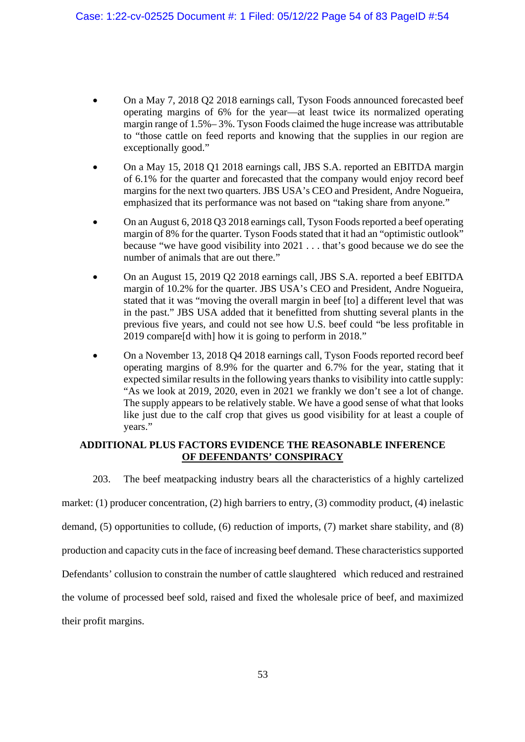- On a May 7, 2018 Q2 2018 earnings call, Tyson Foods announced forecasted beef operating margins of 6% for the year—at least twice its normalized operating margin range of 1.5%– 3%. Tyson Foods claimed the huge increase was attributable to "those cattle on feed reports and knowing that the supplies in our region are exceptionally good."
- On a May 15, 2018 Q1 2018 earnings call, JBS S.A. reported an EBITDA margin of 6.1% for the quarter and forecasted that the company would enjoy record beef margins for the next two quarters. JBS USA's CEO and President, Andre Nogueira, emphasized that its performance was not based on "taking share from anyone."
- On an August 6, 2018 Q3 2018 earnings call, Tyson Foods reported a beef operating margin of 8% for the quarter. Tyson Foods stated that it had an "optimistic outlook" because "we have good visibility into 2021 . . . that's good because we do see the number of animals that are out there."
- On an August 15, 2019 Q2 2018 earnings call, JBS S.A. reported a beef EBITDA margin of 10.2% for the quarter. JBS USA's CEO and President, Andre Nogueira, stated that it was "moving the overall margin in beef [to] a different level that was in the past." JBS USA added that it benefitted from shutting several plants in the previous five years, and could not see how U.S. beef could "be less profitable in 2019 compare[d with] how it is going to perform in 2018."
- On a November 13, 2018 Q4 2018 earnings call, Tyson Foods reported record beef operating margins of 8.9% for the quarter and 6.7% for the year, stating that it expected similar results in the following years thanks to visibility into cattle supply: "As we look at 2019, 2020, even in 2021 we frankly we don't see a lot of change. The supply appears to be relatively stable. We have a good sense of what that looks like just due to the calf crop that gives us good visibility for at least a couple of years."

## **ADDITIONAL PLUS FACTORS EVIDENCE THE REASONABLE INFERENCE OF DEFENDANTS' CONSPIRACY**

203. The beef meatpacking industry bears all the characteristics of a highly cartelized

market: (1) producer concentration, (2) high barriers to entry, (3) commodity product, (4) inelastic

demand, (5) opportunities to collude, (6) reduction of imports, (7) market share stability, and (8)

production and capacity cuts in the face of increasing beef demand. These characteristics supported

Defendants' collusion to constrain the number of cattle slaughtered which reduced and restrained

the volume of processed beef sold, raised and fixed the wholesale price of beef, and maximized

their profit margins.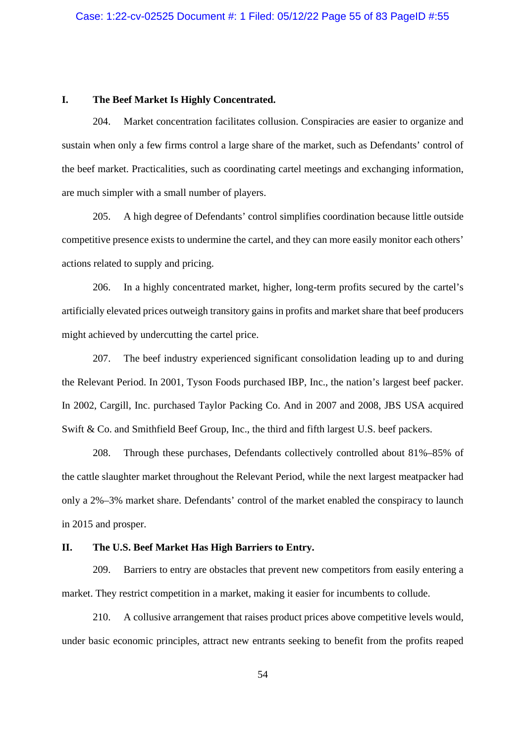#### **I. The Beef Market Is Highly Concentrated.**

204. Market concentration facilitates collusion. Conspiracies are easier to organize and sustain when only a few firms control a large share of the market, such as Defendants' control of the beef market. Practicalities, such as coordinating cartel meetings and exchanging information, are much simpler with a small number of players.

205. A high degree of Defendants' control simplifies coordination because little outside competitive presence exists to undermine the cartel, and they can more easily monitor each others' actions related to supply and pricing.

206. In a highly concentrated market, higher, long-term profits secured by the cartel's artificially elevated prices outweigh transitory gains in profits and market share that beef producers might achieved by undercutting the cartel price.

207. The beef industry experienced significant consolidation leading up to and during the Relevant Period. In 2001, Tyson Foods purchased IBP, Inc., the nation's largest beef packer. In 2002, Cargill, Inc. purchased Taylor Packing Co. And in 2007 and 2008, JBS USA acquired Swift & Co. and Smithfield Beef Group, Inc., the third and fifth largest U.S. beef packers.

208. Through these purchases, Defendants collectively controlled about 81%–85% of the cattle slaughter market throughout the Relevant Period, while the next largest meatpacker had only a 2%–3% market share. Defendants' control of the market enabled the conspiracy to launch in 2015 and prosper.

## **II. The U.S. Beef Market Has High Barriers to Entry.**

209. Barriers to entry are obstacles that prevent new competitors from easily entering a market. They restrict competition in a market, making it easier for incumbents to collude.

210. A collusive arrangement that raises product prices above competitive levels would, under basic economic principles, attract new entrants seeking to benefit from the profits reaped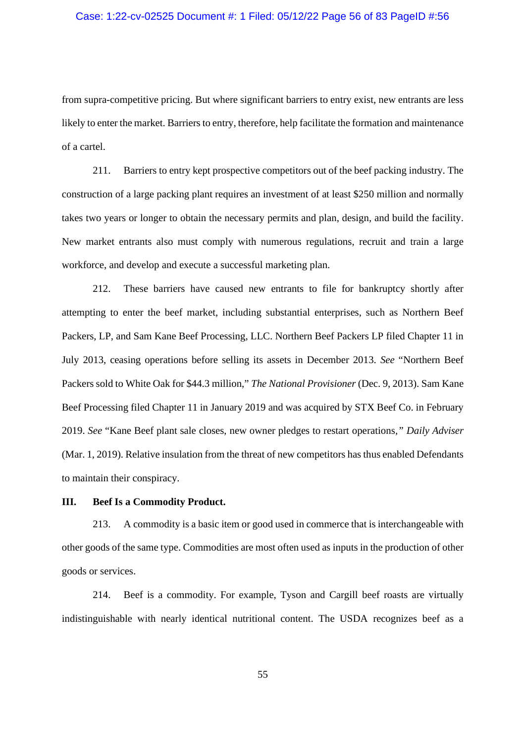#### Case: 1:22-cv-02525 Document #: 1 Filed: 05/12/22 Page 56 of 83 PageID #:56

from supra-competitive pricing. But where significant barriers to entry exist, new entrants are less likely to enter the market. Barriers to entry, therefore, help facilitate the formation and maintenance of a cartel.

211. Barriers to entry kept prospective competitors out of the beef packing industry. The construction of a large packing plant requires an investment of at least \$250 million and normally takes two years or longer to obtain the necessary permits and plan, design, and build the facility. New market entrants also must comply with numerous regulations, recruit and train a large workforce, and develop and execute a successful marketing plan.

212. These barriers have caused new entrants to file for bankruptcy shortly after attempting to enter the beef market, including substantial enterprises, such as Northern Beef Packers, LP, and Sam Kane Beef Processing, LLC. Northern Beef Packers LP filed Chapter 11 in July 2013, ceasing operations before selling its assets in December 2013. *See* "Northern Beef Packers sold to White Oak for \$44.3 million," *The National Provisioner* (Dec. 9, 2013). Sam Kane Beef Processing filed Chapter 11 in January 2019 and was acquired by STX Beef Co. in February 2019. *See* "Kane Beef plant sale closes, new owner pledges to restart operations*," Daily Adviser* (Mar. 1, 2019). Relative insulation from the threat of new competitors has thus enabled Defendants to maintain their conspiracy.

#### **III. Beef Is a Commodity Product.**

213. A commodity is a basic item or good used in commerce that is interchangeable with other goods of the same type. Commodities are most often used as inputs in the production of other goods or services.

214. Beef is a commodity. For example, Tyson and Cargill beef roasts are virtually indistinguishable with nearly identical nutritional content. The USDA recognizes beef as a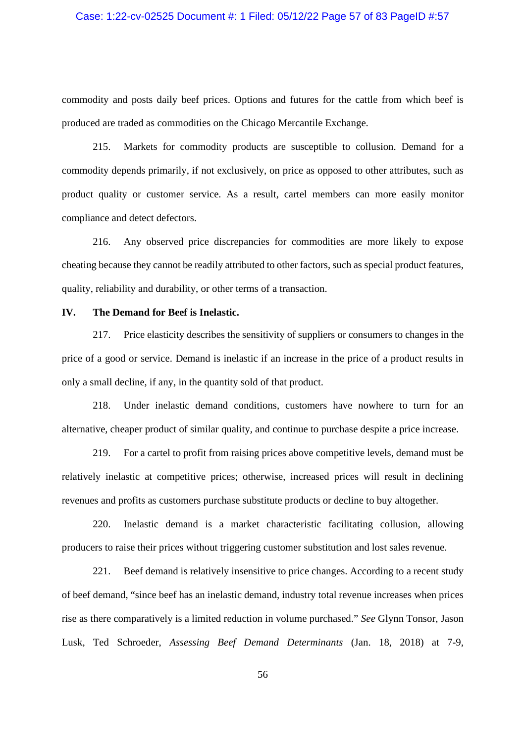## Case: 1:22-cv-02525 Document #: 1 Filed: 05/12/22 Page 57 of 83 PageID #:57

commodity and posts daily beef prices. Options and futures for the cattle from which beef is produced are traded as commodities on the Chicago Mercantile Exchange.

215. Markets for commodity products are susceptible to collusion. Demand for a commodity depends primarily, if not exclusively, on price as opposed to other attributes, such as product quality or customer service. As a result, cartel members can more easily monitor compliance and detect defectors.

216. Any observed price discrepancies for commodities are more likely to expose cheating because they cannot be readily attributed to other factors, such as special product features, quality, reliability and durability, or other terms of a transaction.

#### **IV. The Demand for Beef is Inelastic.**

217. Price elasticity describes the sensitivity of suppliers or consumers to changes in the price of a good or service. Demand is inelastic if an increase in the price of a product results in only a small decline, if any, in the quantity sold of that product.

218. Under inelastic demand conditions, customers have nowhere to turn for an alternative, cheaper product of similar quality, and continue to purchase despite a price increase.

219. For a cartel to profit from raising prices above competitive levels, demand must be relatively inelastic at competitive prices; otherwise, increased prices will result in declining revenues and profits as customers purchase substitute products or decline to buy altogether.

220. Inelastic demand is a market characteristic facilitating collusion, allowing producers to raise their prices without triggering customer substitution and lost sales revenue.

221. Beef demand is relatively insensitive to price changes. According to a recent study of beef demand, "since beef has an inelastic demand, industry total revenue increases when prices rise as there comparatively is a limited reduction in volume purchased." *See* Glynn Tonsor, Jason Lusk, Ted Schroeder, *Assessing Beef Demand Determinants* (Jan. 18, 2018) at 7-9,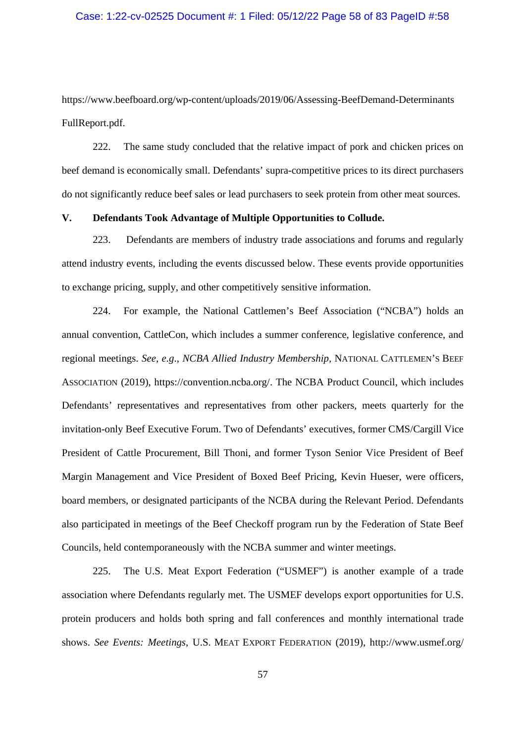#### Case: 1:22-cv-02525 Document #: 1 Filed: 05/12/22 Page 58 of 83 PageID #:58

https://www.beefboard.org/wp-content/uploads/2019/06/Assessing-BeefDemand-Determinants FullReport.pdf.

222. The same study concluded that the relative impact of pork and chicken prices on beef demand is economically small. Defendants' supra-competitive prices to its direct purchasers do not significantly reduce beef sales or lead purchasers to seek protein from other meat sources.

### **V. Defendants Took Advantage of Multiple Opportunities to Collude.**

223. Defendants are members of industry trade associations and forums and regularly attend industry events, including the events discussed below. These events provide opportunities to exchange pricing, supply, and other competitively sensitive information.

224. For example, the National Cattlemen's Beef Association ("NCBA") holds an annual convention, CattleCon, which includes a summer conference, legislative conference, and regional meetings. *See, e.g*., *NCBA Allied Industry Membership*, NATIONAL CATTLEMEN'S BEEF ASSOCIATION (2019), https://convention.ncba.org/. The NCBA Product Council, which includes Defendants' representatives and representatives from other packers, meets quarterly for the invitation-only Beef Executive Forum. Two of Defendants' executives, former CMS/Cargill Vice President of Cattle Procurement, Bill Thoni, and former Tyson Senior Vice President of Beef Margin Management and Vice President of Boxed Beef Pricing, Kevin Hueser, were officers, board members, or designated participants of the NCBA during the Relevant Period. Defendants also participated in meetings of the Beef Checkoff program run by the Federation of State Beef Councils, held contemporaneously with the NCBA summer and winter meetings.

225. The U.S. Meat Export Federation ("USMEF") is another example of a trade association where Defendants regularly met. The USMEF develops export opportunities for U.S. protein producers and holds both spring and fall conferences and monthly international trade shows. *See Events: Meetings*, U.S. MEAT EXPORT FEDERATION (2019), http://www.usmef.org/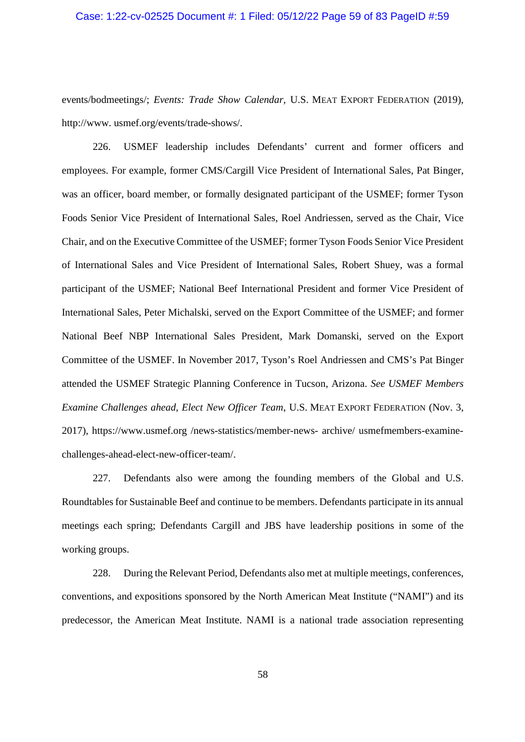#### Case: 1:22-cv-02525 Document #: 1 Filed: 05/12/22 Page 59 of 83 PageID #:59

events/bodmeetings/; *Events: Trade Show Calendar,* U.S. MEAT EXPORT FEDERATION (2019), http://www. usmef.org/events/trade-shows/.

226. USMEF leadership includes Defendants' current and former officers and employees. For example, former CMS/Cargill Vice President of International Sales, Pat Binger, was an officer, board member, or formally designated participant of the USMEF; former Tyson Foods Senior Vice President of International Sales, Roel Andriessen, served as the Chair, Vice Chair, and on the Executive Committee of the USMEF; former Tyson Foods Senior Vice President of International Sales and Vice President of International Sales, Robert Shuey, was a formal participant of the USMEF; National Beef International President and former Vice President of International Sales, Peter Michalski, served on the Export Committee of the USMEF; and former National Beef NBP International Sales President, Mark Domanski, served on the Export Committee of the USMEF. In November 2017, Tyson's Roel Andriessen and CMS's Pat Binger attended the USMEF Strategic Planning Conference in Tucson, Arizona. *See USMEF Members Examine Challenges ahead, Elect New Officer Team*, U.S. MEAT EXPORT FEDERATION (Nov. 3, 2017), https://www.usmef.org /news-statistics/member-news- archive/ usmefmembers-examinechallenges-ahead-elect-new-officer-team/.

227. Defendants also were among the founding members of the Global and U.S. Roundtables for Sustainable Beef and continue to be members. Defendants participate in its annual meetings each spring; Defendants Cargill and JBS have leadership positions in some of the working groups.

228. During the Relevant Period, Defendants also met at multiple meetings, conferences, conventions, and expositions sponsored by the North American Meat Institute ("NAMI") and its predecessor, the American Meat Institute. NAMI is a national trade association representing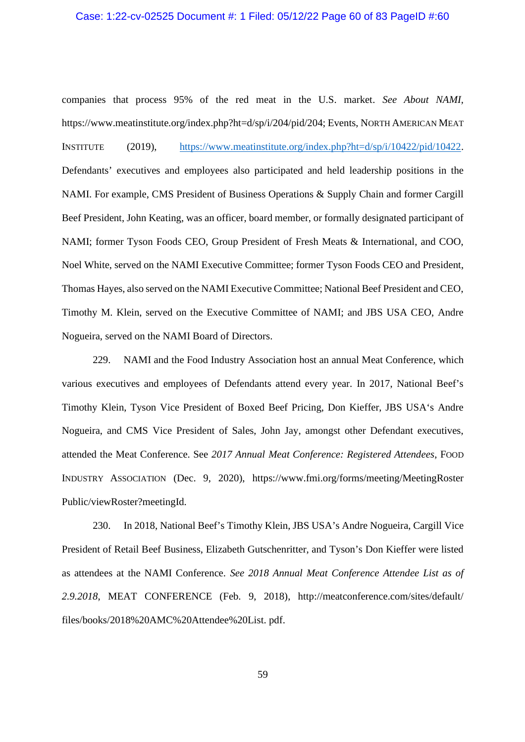#### Case: 1:22-cv-02525 Document #: 1 Filed: 05/12/22 Page 60 of 83 PageID #:60

companies that process 95% of the red meat in the U.S. market. *See About NAMI,* https://www.meatinstitute.org/index.php?ht=d/sp/i/204/pid/204; Events, NORTH AMERICAN MEAT INSTITUTE (2019), https://www.meatinstitute.org/index.php?ht=d/sp/i/10422/pid/10422. Defendants' executives and employees also participated and held leadership positions in the NAMI. For example, CMS President of Business Operations & Supply Chain and former Cargill Beef President, John Keating, was an officer, board member, or formally designated participant of NAMI; former Tyson Foods CEO, Group President of Fresh Meats & International, and COO, Noel White, served on the NAMI Executive Committee; former Tyson Foods CEO and President, Thomas Hayes, also served on the NAMI Executive Committee; National Beef President and CEO, Timothy M. Klein, served on the Executive Committee of NAMI; and JBS USA CEO, Andre Nogueira, served on the NAMI Board of Directors.

229. NAMI and the Food Industry Association host an annual Meat Conference, which various executives and employees of Defendants attend every year. In 2017, National Beef's Timothy Klein, Tyson Vice President of Boxed Beef Pricing, Don Kieffer, JBS USA's Andre Nogueira, and CMS Vice President of Sales, John Jay, amongst other Defendant executives, attended the Meat Conference. See *2017 Annual Meat Conference: Registered Attendees*, FOOD INDUSTRY ASSOCIATION (Dec. 9, 2020), https://www.fmi.org/forms/meeting/MeetingRoster Public/viewRoster?meetingId.

230. In 2018, National Beef's Timothy Klein, JBS USA's Andre Nogueira, Cargill Vice President of Retail Beef Business, Elizabeth Gutschenritter, and Tyson's Don Kieffer were listed as attendees at the NAMI Conference. *See 2018 Annual Meat Conference Attendee List as of 2.9.2018*, MEAT CONFERENCE (Feb. 9, 2018), http://meatconference.com/sites/default/ files/books/2018%20AMC%20Attendee%20List. pdf.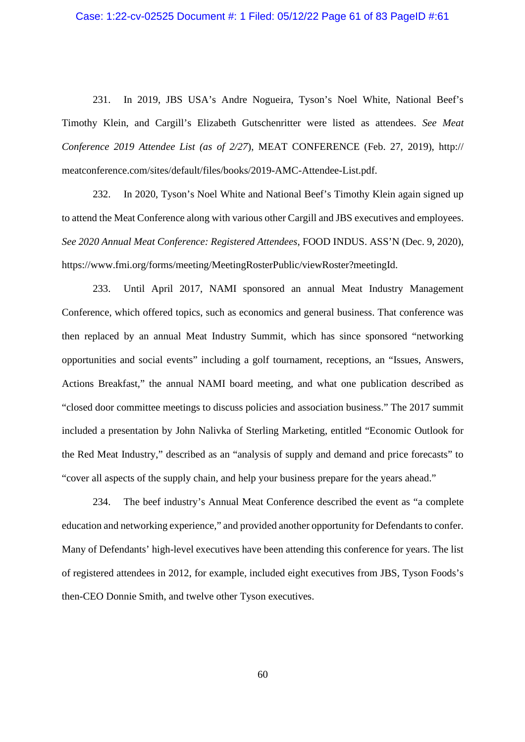231. In 2019, JBS USA's Andre Nogueira, Tyson's Noel White, National Beef's Timothy Klein, and Cargill's Elizabeth Gutschenritter were listed as attendees. *See Meat Conference 2019 Attendee List (as of 2/27*), MEAT CONFERENCE (Feb. 27, 2019), http:// meatconference.com/sites/default/files/books/2019-AMC-Attendee-List.pdf.

232. In 2020, Tyson's Noel White and National Beef's Timothy Klein again signed up to attend the Meat Conference along with various other Cargill and JBS executives and employees. *See 2020 Annual Meat Conference: Registered Attendees*, FOOD INDUS. ASS'N (Dec. 9, 2020), https://www.fmi.org/forms/meeting/MeetingRosterPublic/viewRoster?meetingId.

233. Until April 2017, NAMI sponsored an annual Meat Industry Management Conference, which offered topics, such as economics and general business. That conference was then replaced by an annual Meat Industry Summit, which has since sponsored "networking opportunities and social events" including a golf tournament, receptions, an "Issues, Answers, Actions Breakfast," the annual NAMI board meeting, and what one publication described as "closed door committee meetings to discuss policies and association business." The 2017 summit included a presentation by John Nalivka of Sterling Marketing, entitled "Economic Outlook for the Red Meat Industry," described as an "analysis of supply and demand and price forecasts" to "cover all aspects of the supply chain, and help your business prepare for the years ahead."

234. The beef industry's Annual Meat Conference described the event as "a complete education and networking experience," and provided another opportunity for Defendants to confer. Many of Defendants' high-level executives have been attending this conference for years. The list of registered attendees in 2012, for example, included eight executives from JBS, Tyson Foods's then-CEO Donnie Smith, and twelve other Tyson executives.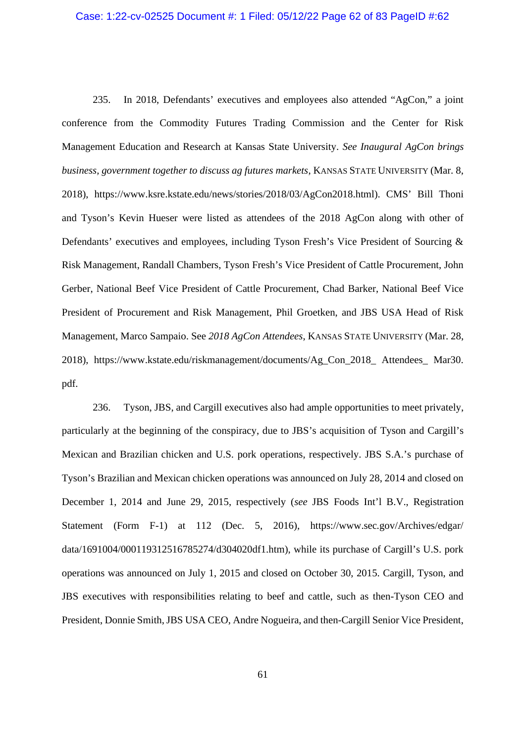#### Case: 1:22-cv-02525 Document #: 1 Filed: 05/12/22 Page 62 of 83 PageID #:62

235. In 2018, Defendants' executives and employees also attended "AgCon," a joint conference from the Commodity Futures Trading Commission and the Center for Risk Management Education and Research at Kansas State University. *See Inaugural AgCon brings business, government together to discuss ag futures markets*, KANSAS STATE UNIVERSITY (Mar. 8, 2018), https://www.ksre.kstate.edu/news/stories/2018/03/AgCon2018.html). CMS' Bill Thoni and Tyson's Kevin Hueser were listed as attendees of the 2018 AgCon along with other of Defendants' executives and employees, including Tyson Fresh's Vice President of Sourcing & Risk Management, Randall Chambers, Tyson Fresh's Vice President of Cattle Procurement, John Gerber, National Beef Vice President of Cattle Procurement, Chad Barker, National Beef Vice President of Procurement and Risk Management, Phil Groetken, and JBS USA Head of Risk Management, Marco Sampaio. See *2018 AgCon Attendees*, KANSAS STATE UNIVERSITY (Mar. 28, 2018), https://www.kstate.edu/riskmanagement/documents/Ag\_Con\_2018\_ Attendees\_ Mar30. pdf.

236. Tyson, JBS, and Cargill executives also had ample opportunities to meet privately, particularly at the beginning of the conspiracy, due to JBS's acquisition of Tyson and Cargill's Mexican and Brazilian chicken and U.S. pork operations, respectively. JBS S.A.'s purchase of Tyson's Brazilian and Mexican chicken operations was announced on July 28, 2014 and closed on December 1, 2014 and June 29, 2015, respectively (*see* JBS Foods Int'l B.V., Registration Statement (Form F-1) at 112 (Dec. 5, 2016), https://www.sec.gov/Archives/edgar/ data/1691004/000119312516785274/d304020df1.htm), while its purchase of Cargill's U.S. pork operations was announced on July 1, 2015 and closed on October 30, 2015. Cargill, Tyson, and JBS executives with responsibilities relating to beef and cattle, such as then-Tyson CEO and President, Donnie Smith, JBS USA CEO, Andre Nogueira, and then-Cargill Senior Vice President,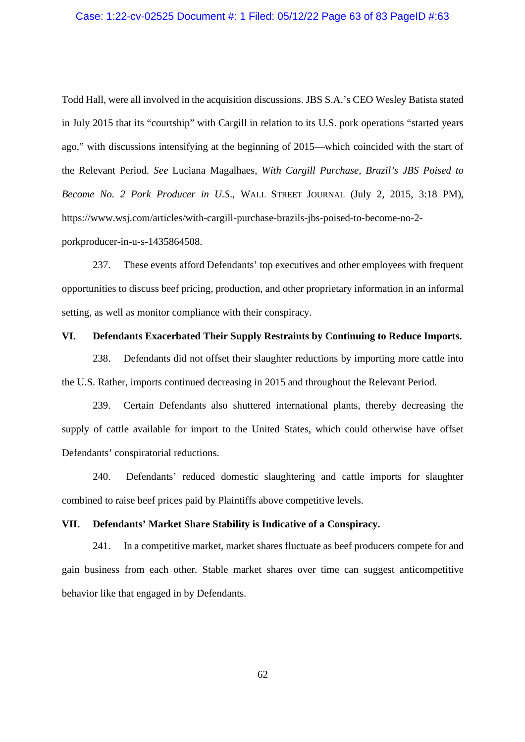### Case: 1:22-cv-02525 Document #: 1 Filed: 05/12/22 Page 63 of 83 PageID #:63

Todd Hall, were all involved in the acquisition discussions. JBS S.A.'s CEO Wesley Batista stated in July 2015 that its "courtship" with Cargill in relation to its U.S. pork operations "started years ago," with discussions intensifying at the beginning of 2015—which coincided with the start of the Relevant Period. *See* Luciana Magalhaes, *With Cargill Purchase, Brazil's JBS Poised to Become No. 2 Pork Producer in U.S*., WALL STREET JOURNAL (July 2, 2015, 3:18 PM), https://www.wsj.com/articles/with-cargill-purchase-brazils-jbs-poised-to-become-no-2 porkproducer-in-u-s-1435864508.

237. These events afford Defendants' top executives and other employees with frequent opportunities to discuss beef pricing, production, and other proprietary information in an informal setting, as well as monitor compliance with their conspiracy.

## **VI. Defendants Exacerbated Their Supply Restraints by Continuing to Reduce Imports.**

238. Defendants did not offset their slaughter reductions by importing more cattle into the U.S. Rather, imports continued decreasing in 2015 and throughout the Relevant Period.

239. Certain Defendants also shuttered international plants, thereby decreasing the supply of cattle available for import to the United States, which could otherwise have offset Defendants' conspiratorial reductions.

240. Defendants' reduced domestic slaughtering and cattle imports for slaughter combined to raise beef prices paid by Plaintiffs above competitive levels.

## **VII. Defendants' Market Share Stability is Indicative of a Conspiracy.**

241. In a competitive market, market shares fluctuate as beef producers compete for and gain business from each other. Stable market shares over time can suggest anticompetitive behavior like that engaged in by Defendants.

62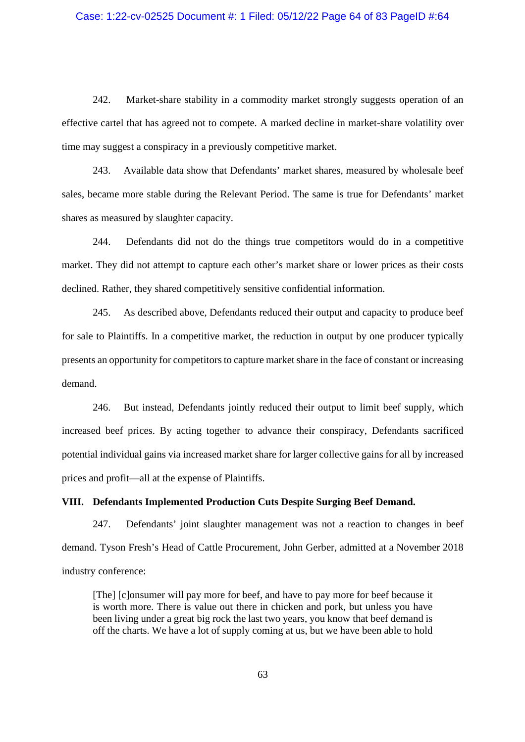#### Case: 1:22-cv-02525 Document #: 1 Filed: 05/12/22 Page 64 of 83 PageID #:64

242. Market-share stability in a commodity market strongly suggests operation of an effective cartel that has agreed not to compete. A marked decline in market-share volatility over time may suggest a conspiracy in a previously competitive market.

243. Available data show that Defendants' market shares, measured by wholesale beef sales, became more stable during the Relevant Period. The same is true for Defendants' market shares as measured by slaughter capacity.

244. Defendants did not do the things true competitors would do in a competitive market. They did not attempt to capture each other's market share or lower prices as their costs declined. Rather, they shared competitively sensitive confidential information.

245. As described above, Defendants reduced their output and capacity to produce beef for sale to Plaintiffs. In a competitive market, the reduction in output by one producer typically presents an opportunity for competitors to capture market share in the face of constant or increasing demand.

246. But instead, Defendants jointly reduced their output to limit beef supply, which increased beef prices. By acting together to advance their conspiracy, Defendants sacrificed potential individual gains via increased market share for larger collective gains for all by increased prices and profit—all at the expense of Plaintiffs.

#### **VIII. Defendants Implemented Production Cuts Despite Surging Beef Demand.**

247. Defendants' joint slaughter management was not a reaction to changes in beef demand. Tyson Fresh's Head of Cattle Procurement, John Gerber, admitted at a November 2018 industry conference:

[The] [c]onsumer will pay more for beef, and have to pay more for beef because it is worth more. There is value out there in chicken and pork, but unless you have been living under a great big rock the last two years, you know that beef demand is off the charts. We have a lot of supply coming at us, but we have been able to hold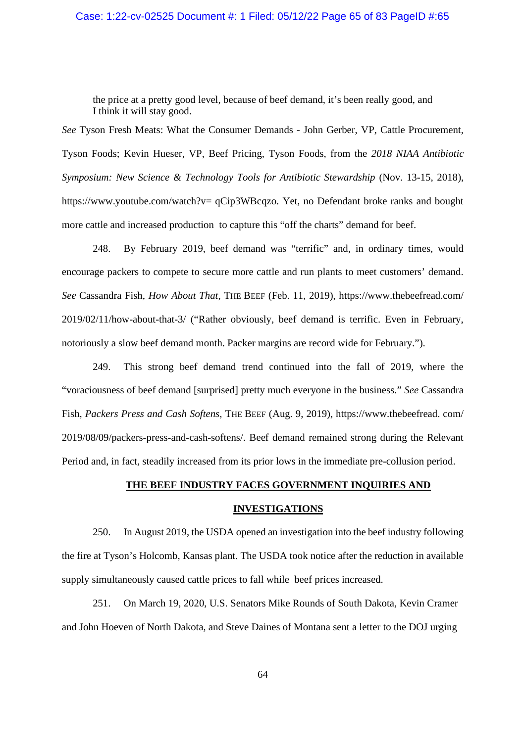### Case: 1:22-cv-02525 Document #: 1 Filed: 05/12/22 Page 65 of 83 PageID #:65

the price at a pretty good level, because of beef demand, it's been really good, and I think it will stay good.

*See* Tyson Fresh Meats: What the Consumer Demands - John Gerber, VP, Cattle Procurement, Tyson Foods; Kevin Hueser, VP, Beef Pricing, Tyson Foods, from the *2018 NIAA Antibiotic Symposium: New Science & Technology Tools for Antibiotic Stewardship* (Nov. 13-15, 2018), https://www.youtube.com/watch?v= qCip3WBcqzo. Yet, no Defendant broke ranks and bought more cattle and increased production to capture this "off the charts" demand for beef.

248. By February 2019, beef demand was "terrific" and, in ordinary times, would encourage packers to compete to secure more cattle and run plants to meet customers' demand. *See* Cassandra Fish, *How About That*, THE BEEF (Feb. 11, 2019), https://www.thebeefread.com/ 2019/02/11/how-about-that-3/ ("Rather obviously, beef demand is terrific. Even in February, notoriously a slow beef demand month. Packer margins are record wide for February.").

249. This strong beef demand trend continued into the fall of 2019, where the "voraciousness of beef demand [surprised] pretty much everyone in the business." *See* Cassandra Fish, *Packers Press and Cash Softens*, THE BEEF (Aug. 9, 2019), https://www.thebeefread. com/ 2019/08/09/packers-press-and-cash-softens/. Beef demand remained strong during the Relevant Period and, in fact, steadily increased from its prior lows in the immediate pre-collusion period.

#### **THE BEEF INDUSTRY FACES GOVERNMENT INQUIRIES AND**

#### **INVESTIGATIONS**

250. In August 2019, the USDA opened an investigation into the beef industry following the fire at Tyson's Holcomb, Kansas plant. The USDA took notice after the reduction in available supply simultaneously caused cattle prices to fall while beef prices increased.

251. On March 19, 2020, U.S. Senators Mike Rounds of South Dakota, Kevin Cramer and John Hoeven of North Dakota, and Steve Daines of Montana sent a letter to the DOJ urging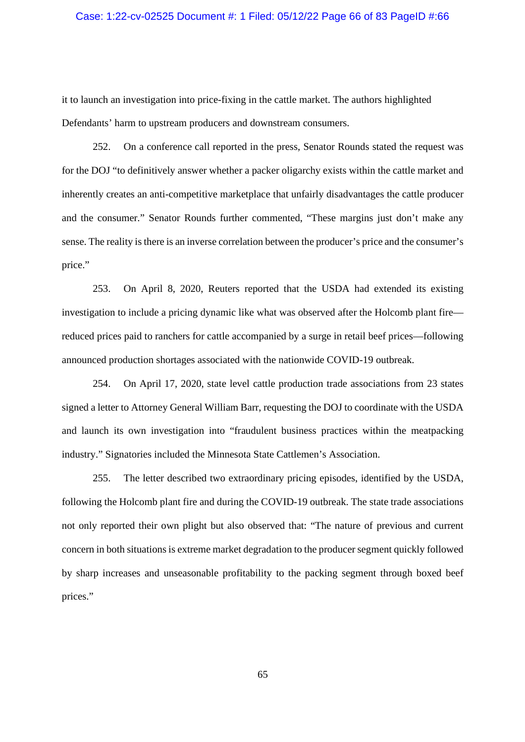#### Case: 1:22-cv-02525 Document #: 1 Filed: 05/12/22 Page 66 of 83 PageID #:66

it to launch an investigation into price-fixing in the cattle market. The authors highlighted Defendants' harm to upstream producers and downstream consumers.

252. On a conference call reported in the press, Senator Rounds stated the request was for the DOJ "to definitively answer whether a packer oligarchy exists within the cattle market and inherently creates an anti-competitive marketplace that unfairly disadvantages the cattle producer and the consumer." Senator Rounds further commented, "These margins just don't make any sense. The reality is there is an inverse correlation between the producer's price and the consumer's price."

253. On April 8, 2020, Reuters reported that the USDA had extended its existing investigation to include a pricing dynamic like what was observed after the Holcomb plant fire reduced prices paid to ranchers for cattle accompanied by a surge in retail beef prices—following announced production shortages associated with the nationwide COVID-19 outbreak.

254. On April 17, 2020, state level cattle production trade associations from 23 states signed a letter to Attorney General William Barr, requesting the DOJ to coordinate with the USDA and launch its own investigation into "fraudulent business practices within the meatpacking industry." Signatories included the Minnesota State Cattlemen's Association.

255. The letter described two extraordinary pricing episodes, identified by the USDA, following the Holcomb plant fire and during the COVID-19 outbreak. The state trade associations not only reported their own plight but also observed that: "The nature of previous and current concern in both situations is extreme market degradation to the producer segment quickly followed by sharp increases and unseasonable profitability to the packing segment through boxed beef prices."

65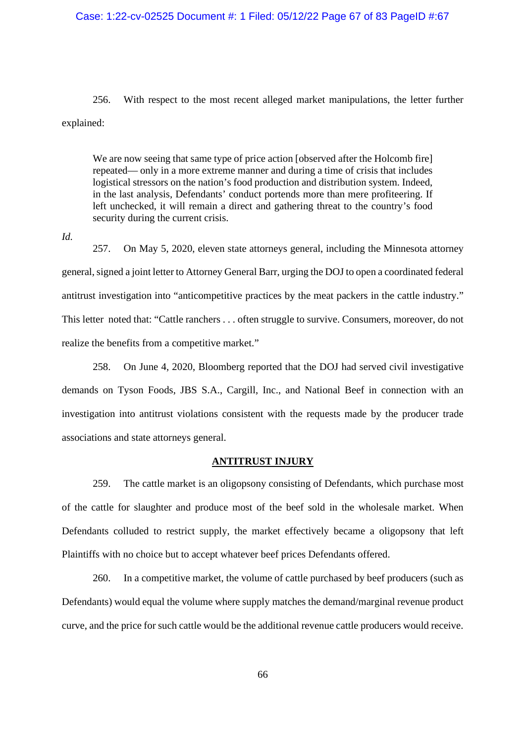### Case: 1:22-cv-02525 Document #: 1 Filed: 05/12/22 Page 67 of 83 PageID #:67

256. With respect to the most recent alleged market manipulations, the letter further explained:

We are now seeing that same type of price action [observed after the Holcomb fire] repeated— only in a more extreme manner and during a time of crisis that includes logistical stressors on the nation's food production and distribution system. Indeed, in the last analysis, Defendants' conduct portends more than mere profiteering. If left unchecked, it will remain a direct and gathering threat to the country's food security during the current crisis.

*Id.*

257. On May 5, 2020, eleven state attorneys general, including the Minnesota attorney general, signed a joint letter to Attorney General Barr, urging the DOJ to open a coordinated federal antitrust investigation into "anticompetitive practices by the meat packers in the cattle industry." This letter noted that: "Cattle ranchers . . . often struggle to survive. Consumers, moreover, do not realize the benefits from a competitive market."

258. On June 4, 2020, Bloomberg reported that the DOJ had served civil investigative demands on Tyson Foods, JBS S.A., Cargill, Inc., and National Beef in connection with an investigation into antitrust violations consistent with the requests made by the producer trade associations and state attorneys general.

## **ANTITRUST INJURY**

259. The cattle market is an oligopsony consisting of Defendants, which purchase most of the cattle for slaughter and produce most of the beef sold in the wholesale market. When Defendants colluded to restrict supply, the market effectively became a oligopsony that left Plaintiffs with no choice but to accept whatever beef prices Defendants offered.

260. In a competitive market, the volume of cattle purchased by beef producers (such as Defendants) would equal the volume where supply matches the demand/marginal revenue product curve, and the price for such cattle would be the additional revenue cattle producers would receive.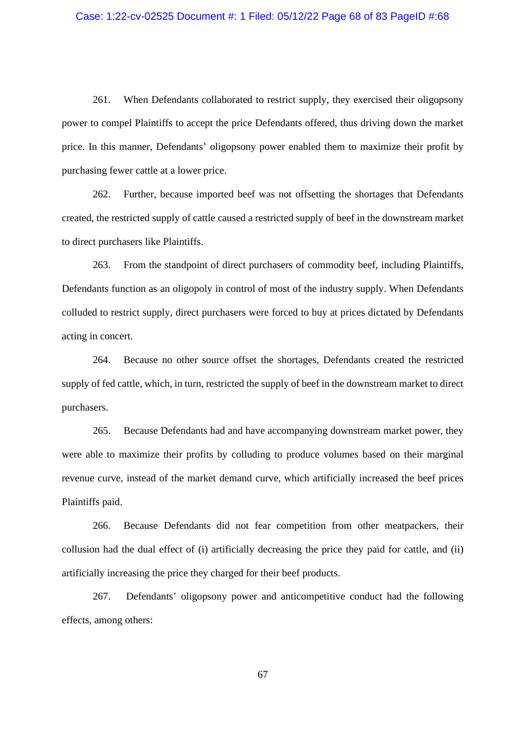# Case: 1:22-cv-02525 Document #: 1 Filed: 05/12/22 Page 68 of 83 PageID #:68

261. When Defendants collaborated to restrict supply, they exercised their oligopsony power to compel Plaintiffs to accept the price Defendants offered, thus driving down the market price. In this manner, Defendants' oligopsony power enabled them to maximize their profit by purchasing fewer cattle at a lower price.

262. Further, because imported beef was not offsetting the shortages that Defendants created, the restricted supply of cattle caused a restricted supply of beef in the downstream market to direct purchasers like Plaintiffs.

263. From the standpoint of direct purchasers of commodity beef, including Plaintiffs, Defendants function as an oligopoly in control of most of the industry supply. When Defendants colluded to restrict supply, direct purchasers were forced to buy at prices dictated by Defendants acting in concert.

264. Because no other source offset the shortages, Defendants created the restricted supply of fed cattle, which, in turn, restricted the supply of beef in the downstream market to direct purchasers.

265. Because Defendants had and have accompanying downstream market power, they were able to maximize their profits by colluding to produce volumes based on their marginal revenue curve, instead of the market demand curve, which artificially increased the beef prices Plaintiffs paid.

266. Because Defendants did not fear competition from other meatpackers, their collusion had the dual effect of (i) artificially decreasing the price they paid for cattle, and (ii) artificially increasing the price they charged for their beef products.

267. Defendants' oligopsony power and anticompetitive conduct had the following effects, among others:

67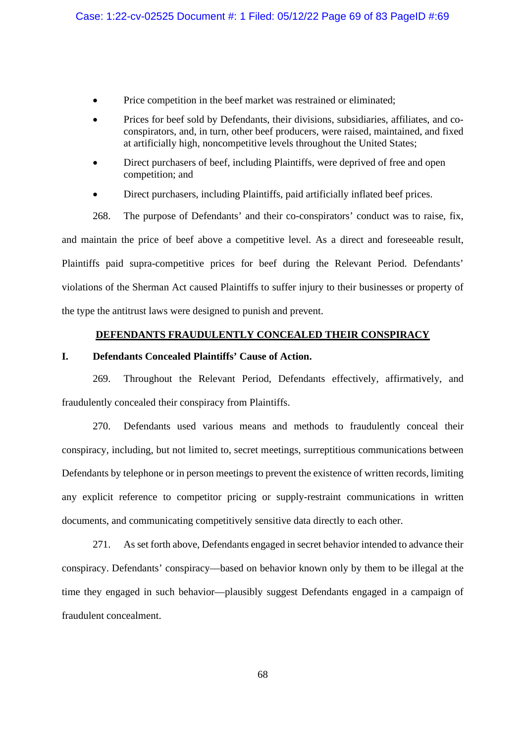- Price competition in the beef market was restrained or eliminated;
- Prices for beef sold by Defendants, their divisions, subsidiaries, affiliates, and coconspirators, and, in turn, other beef producers, were raised, maintained, and fixed at artificially high, noncompetitive levels throughout the United States;
- Direct purchasers of beef, including Plaintiffs, were deprived of free and open competition; and
- Direct purchasers, including Plaintiffs, paid artificially inflated beef prices.

268. The purpose of Defendants' and their co-conspirators' conduct was to raise, fix, and maintain the price of beef above a competitive level. As a direct and foreseeable result, Plaintiffs paid supra-competitive prices for beef during the Relevant Period. Defendants' violations of the Sherman Act caused Plaintiffs to suffer injury to their businesses or property of the type the antitrust laws were designed to punish and prevent.

### **DEFENDANTS FRAUDULENTLY CONCEALED THEIR CONSPIRACY**

## **I. Defendants Concealed Plaintiffs' Cause of Action.**

269. Throughout the Relevant Period, Defendants effectively, affirmatively, and fraudulently concealed their conspiracy from Plaintiffs.

270. Defendants used various means and methods to fraudulently conceal their conspiracy, including, but not limited to, secret meetings, surreptitious communications between Defendants by telephone or in person meetings to prevent the existence of written records, limiting any explicit reference to competitor pricing or supply-restraint communications in written documents, and communicating competitively sensitive data directly to each other.

271. As set forth above, Defendants engaged in secret behavior intended to advance their conspiracy. Defendants' conspiracy—based on behavior known only by them to be illegal at the time they engaged in such behavior—plausibly suggest Defendants engaged in a campaign of fraudulent concealment.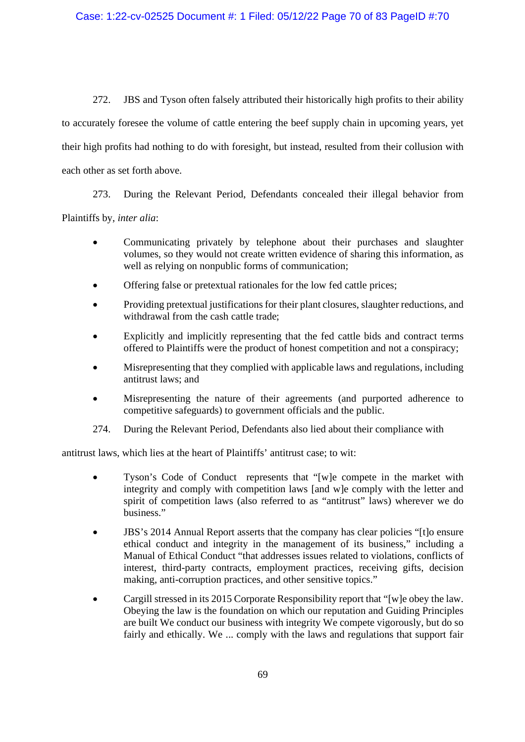272. JBS and Tyson often falsely attributed their historically high profits to their ability to accurately foresee the volume of cattle entering the beef supply chain in upcoming years, yet their high profits had nothing to do with foresight, but instead, resulted from their collusion with each other as set forth above.

273. During the Relevant Period, Defendants concealed their illegal behavior from Plaintiffs by, *inter alia*:

- Communicating privately by telephone about their purchases and slaughter volumes, so they would not create written evidence of sharing this information, as well as relying on nonpublic forms of communication:
- Offering false or pretextual rationales for the low fed cattle prices;
- Providing pretextual justifications for their plant closures, slaughter reductions, and withdrawal from the cash cattle trade:
- Explicitly and implicitly representing that the fed cattle bids and contract terms offered to Plaintiffs were the product of honest competition and not a conspiracy;
- Misrepresenting that they complied with applicable laws and regulations, including antitrust laws; and
- Misrepresenting the nature of their agreements (and purported adherence to competitive safeguards) to government officials and the public.
- 274. During the Relevant Period, Defendants also lied about their compliance with

antitrust laws, which lies at the heart of Plaintiffs' antitrust case; to wit:

- Tyson's Code of Conduct represents that "[w]e compete in the market with integrity and comply with competition laws [and w]e comply with the letter and spirit of competition laws (also referred to as "antitrust" laws) wherever we do business."
- JBS's 2014 Annual Report asserts that the company has clear policies "[t]o ensure ethical conduct and integrity in the management of its business," including a Manual of Ethical Conduct "that addresses issues related to violations, conflicts of interest, third-party contracts, employment practices, receiving gifts, decision making, anti-corruption practices, and other sensitive topics."
- Cargill stressed in its 2015 Corporate Responsibility report that "[w]e obey the law. Obeying the law is the foundation on which our reputation and Guiding Principles are built We conduct our business with integrity We compete vigorously, but do so fairly and ethically. We ... comply with the laws and regulations that support fair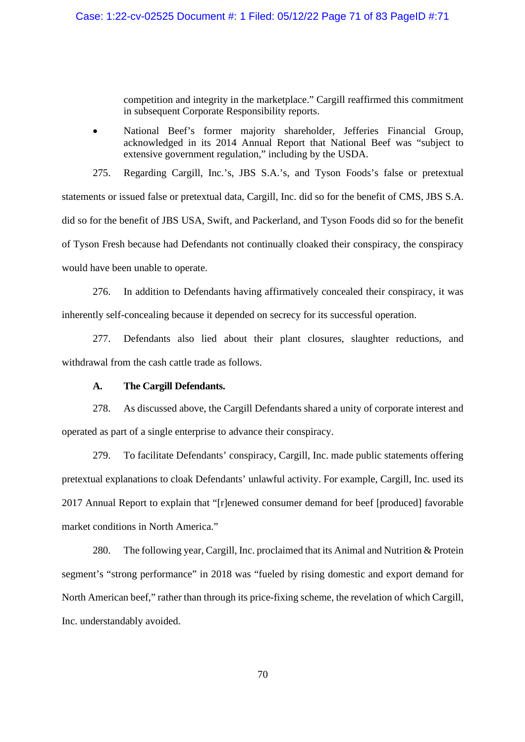competition and integrity in the marketplace." Cargill reaffirmed this commitment in subsequent Corporate Responsibility reports.

 National Beef's former majority shareholder, Jefferies Financial Group, acknowledged in its 2014 Annual Report that National Beef was "subject to extensive government regulation," including by the USDA.

275. Regarding Cargill, Inc.'s, JBS S.A.'s, and Tyson Foods's false or pretextual statements or issued false or pretextual data, Cargill, Inc. did so for the benefit of CMS, JBS S.A. did so for the benefit of JBS USA, Swift, and Packerland, and Tyson Foods did so for the benefit of Tyson Fresh because had Defendants not continually cloaked their conspiracy, the conspiracy would have been unable to operate.

276. In addition to Defendants having affirmatively concealed their conspiracy, it was inherently self-concealing because it depended on secrecy for its successful operation.

277. Defendants also lied about their plant closures, slaughter reductions, and withdrawal from the cash cattle trade as follows.

### **A. The Cargill Defendants.**

278. As discussed above, the Cargill Defendants shared a unity of corporate interest and operated as part of a single enterprise to advance their conspiracy.

279. To facilitate Defendants' conspiracy, Cargill, Inc. made public statements offering pretextual explanations to cloak Defendants' unlawful activity. For example, Cargill, Inc. used its 2017 Annual Report to explain that "[r]enewed consumer demand for beef [produced] favorable market conditions in North America."

280. The following year, Cargill, Inc. proclaimed that its Animal and Nutrition & Protein segment's "strong performance" in 2018 was "fueled by rising domestic and export demand for North American beef," rather than through its price-fixing scheme, the revelation of which Cargill, Inc. understandably avoided.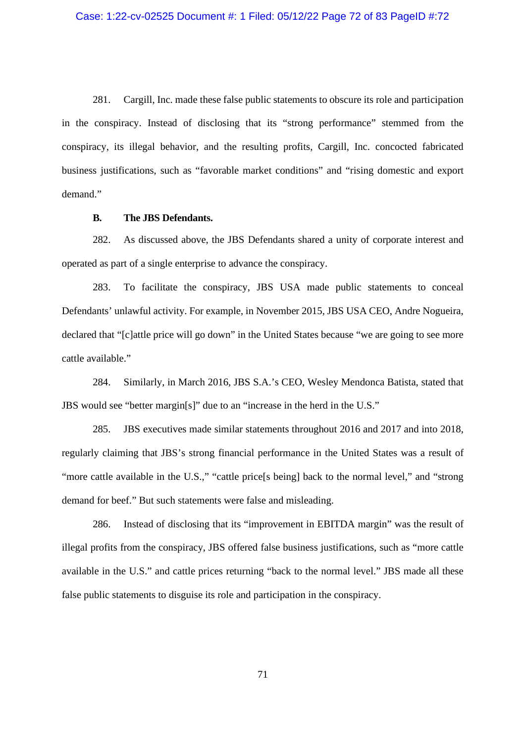281. Cargill, Inc. made these false public statements to obscure its role and participation in the conspiracy. Instead of disclosing that its "strong performance" stemmed from the conspiracy, its illegal behavior, and the resulting profits, Cargill, Inc. concocted fabricated business justifications, such as "favorable market conditions" and "rising domestic and export demand."

#### **B. The JBS Defendants.**

282. As discussed above, the JBS Defendants shared a unity of corporate interest and operated as part of a single enterprise to advance the conspiracy.

283. To facilitate the conspiracy, JBS USA made public statements to conceal Defendants' unlawful activity. For example, in November 2015, JBS USA CEO, Andre Nogueira, declared that "[c]attle price will go down" in the United States because "we are going to see more cattle available."

284. Similarly, in March 2016, JBS S.A.'s CEO, Wesley Mendonca Batista, stated that JBS would see "better margin[s]" due to an "increase in the herd in the U.S."

285. JBS executives made similar statements throughout 2016 and 2017 and into 2018, regularly claiming that JBS's strong financial performance in the United States was a result of "more cattle available in the U.S.," "cattle price[s being] back to the normal level," and "strong demand for beef." But such statements were false and misleading.

286. Instead of disclosing that its "improvement in EBITDA margin" was the result of illegal profits from the conspiracy, JBS offered false business justifications, such as "more cattle available in the U.S." and cattle prices returning "back to the normal level." JBS made all these false public statements to disguise its role and participation in the conspiracy.

71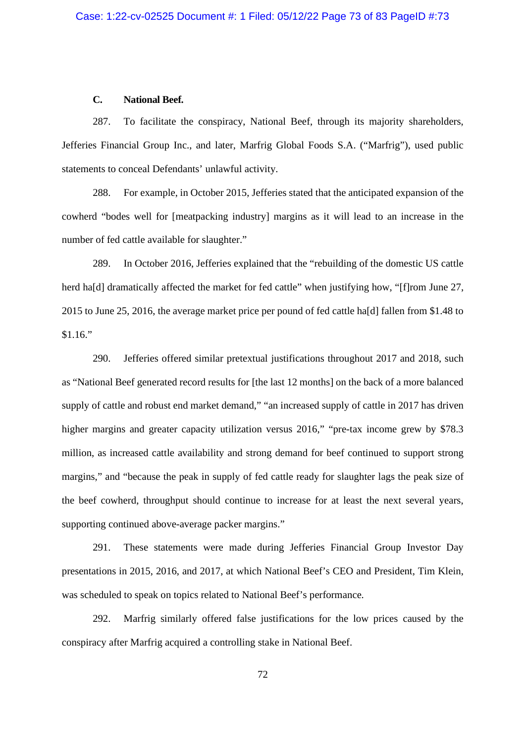## **C. National Beef.**

287. To facilitate the conspiracy, National Beef, through its majority shareholders, Jefferies Financial Group Inc., and later, Marfrig Global Foods S.A. ("Marfrig"), used public statements to conceal Defendants' unlawful activity.

288. For example, in October 2015, Jefferies stated that the anticipated expansion of the cowherd "bodes well for [meatpacking industry] margins as it will lead to an increase in the number of fed cattle available for slaughter."

289. In October 2016, Jefferies explained that the "rebuilding of the domestic US cattle herd ha[d] dramatically affected the market for fed cattle" when justifying how, "[f]rom June 27, 2015 to June 25, 2016, the average market price per pound of fed cattle ha[d] fallen from \$1.48 to \$1.16."

290. Jefferies offered similar pretextual justifications throughout 2017 and 2018, such as "National Beef generated record results for [the last 12 months] on the back of a more balanced supply of cattle and robust end market demand," "an increased supply of cattle in 2017 has driven higher margins and greater capacity utilization versus 2016," "pre-tax income grew by \$78.3 million, as increased cattle availability and strong demand for beef continued to support strong margins," and "because the peak in supply of fed cattle ready for slaughter lags the peak size of the beef cowherd, throughput should continue to increase for at least the next several years, supporting continued above-average packer margins."

291. These statements were made during Jefferies Financial Group Investor Day presentations in 2015, 2016, and 2017, at which National Beef's CEO and President, Tim Klein, was scheduled to speak on topics related to National Beef's performance.

292. Marfrig similarly offered false justifications for the low prices caused by the conspiracy after Marfrig acquired a controlling stake in National Beef.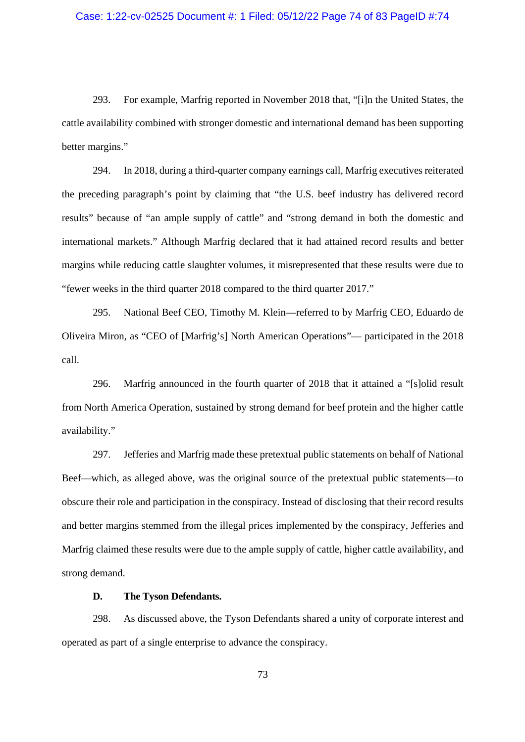## Case: 1:22-cv-02525 Document #: 1 Filed: 05/12/22 Page 74 of 83 PageID #:74

293. For example, Marfrig reported in November 2018 that, "[i]n the United States, the cattle availability combined with stronger domestic and international demand has been supporting better margins."

294. In 2018, during a third-quarter company earnings call, Marfrig executives reiterated the preceding paragraph's point by claiming that "the U.S. beef industry has delivered record results" because of "an ample supply of cattle" and "strong demand in both the domestic and international markets." Although Marfrig declared that it had attained record results and better margins while reducing cattle slaughter volumes, it misrepresented that these results were due to "fewer weeks in the third quarter 2018 compared to the third quarter 2017."

295. National Beef CEO, Timothy M. Klein—referred to by Marfrig CEO, Eduardo de Oliveira Miron, as "CEO of [Marfrig's] North American Operations"— participated in the 2018 call.

296. Marfrig announced in the fourth quarter of 2018 that it attained a "[s]olid result from North America Operation, sustained by strong demand for beef protein and the higher cattle availability."

297. Jefferies and Marfrig made these pretextual public statements on behalf of National Beef—which, as alleged above, was the original source of the pretextual public statements—to obscure their role and participation in the conspiracy. Instead of disclosing that their record results and better margins stemmed from the illegal prices implemented by the conspiracy, Jefferies and Marfrig claimed these results were due to the ample supply of cattle, higher cattle availability, and strong demand.

## **D. The Tyson Defendants.**

298. As discussed above, the Tyson Defendants shared a unity of corporate interest and operated as part of a single enterprise to advance the conspiracy.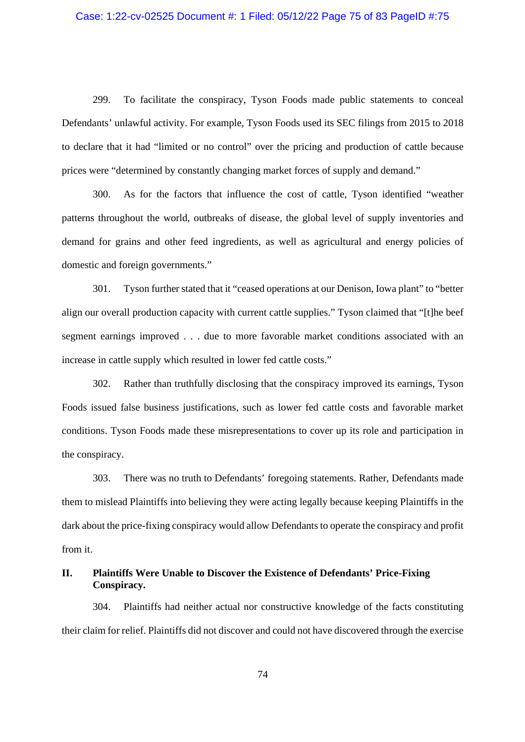# Case: 1:22-cv-02525 Document #: 1 Filed: 05/12/22 Page 75 of 83 PageID #:75

299. To facilitate the conspiracy, Tyson Foods made public statements to conceal Defendants' unlawful activity. For example, Tyson Foods used its SEC filings from 2015 to 2018 to declare that it had "limited or no control" over the pricing and production of cattle because prices were "determined by constantly changing market forces of supply and demand."

300. As for the factors that influence the cost of cattle, Tyson identified "weather patterns throughout the world, outbreaks of disease, the global level of supply inventories and demand for grains and other feed ingredients, as well as agricultural and energy policies of domestic and foreign governments."

301. Tyson further stated that it "ceased operations at our Denison, Iowa plant" to "better align our overall production capacity with current cattle supplies." Tyson claimed that "[t]he beef segment earnings improved . . . due to more favorable market conditions associated with an increase in cattle supply which resulted in lower fed cattle costs."

302. Rather than truthfully disclosing that the conspiracy improved its earnings, Tyson Foods issued false business justifications, such as lower fed cattle costs and favorable market conditions. Tyson Foods made these misrepresentations to cover up its role and participation in the conspiracy.

303. There was no truth to Defendants' foregoing statements. Rather, Defendants made them to mislead Plaintiffs into believing they were acting legally because keeping Plaintiffs in the dark about the price-fixing conspiracy would allow Defendants to operate the conspiracy and profit from it.

## **II. Plaintiffs Were Unable to Discover the Existence of Defendants' Price-Fixing Conspiracy.**

304. Plaintiffs had neither actual nor constructive knowledge of the facts constituting their claim for relief. Plaintiffs did not discover and could not have discovered through the exercise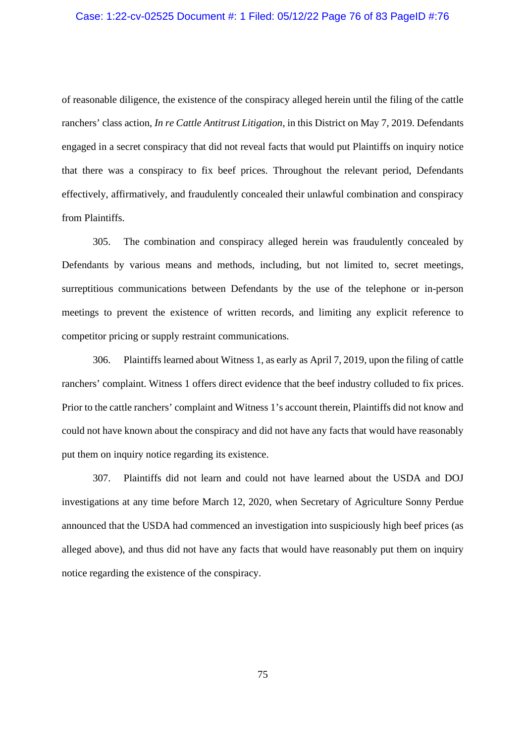#### Case: 1:22-cv-02525 Document #: 1 Filed: 05/12/22 Page 76 of 83 PageID #:76

of reasonable diligence, the existence of the conspiracy alleged herein until the filing of the cattle ranchers' class action, *In re Cattle Antitrust Litigation*, in this District on May 7, 2019. Defendants engaged in a secret conspiracy that did not reveal facts that would put Plaintiffs on inquiry notice that there was a conspiracy to fix beef prices. Throughout the relevant period, Defendants effectively, affirmatively, and fraudulently concealed their unlawful combination and conspiracy from Plaintiffs.

305. The combination and conspiracy alleged herein was fraudulently concealed by Defendants by various means and methods, including, but not limited to, secret meetings, surreptitious communications between Defendants by the use of the telephone or in-person meetings to prevent the existence of written records, and limiting any explicit reference to competitor pricing or supply restraint communications.

306. Plaintiffs learned about Witness 1, as early as April 7, 2019, upon the filing of cattle ranchers' complaint. Witness 1 offers direct evidence that the beef industry colluded to fix prices. Prior to the cattle ranchers' complaint and Witness 1's account therein, Plaintiffs did not know and could not have known about the conspiracy and did not have any facts that would have reasonably put them on inquiry notice regarding its existence.

307. Plaintiffs did not learn and could not have learned about the USDA and DOJ investigations at any time before March 12, 2020, when Secretary of Agriculture Sonny Perdue announced that the USDA had commenced an investigation into suspiciously high beef prices (as alleged above), and thus did not have any facts that would have reasonably put them on inquiry notice regarding the existence of the conspiracy.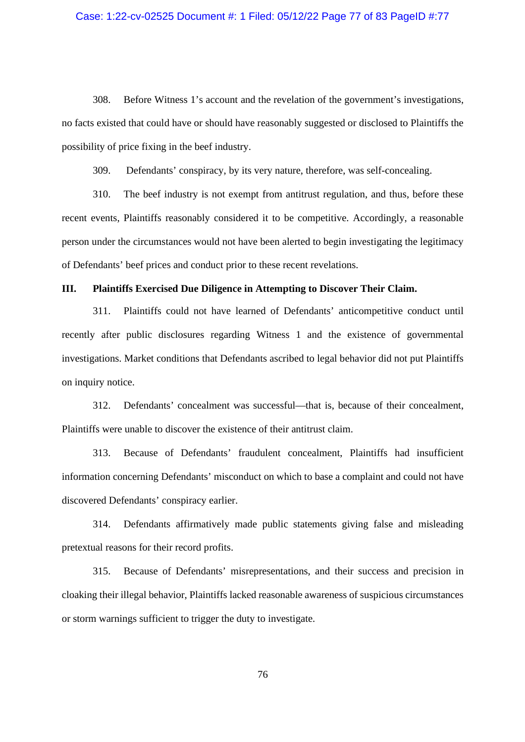# Case: 1:22-cv-02525 Document #: 1 Filed: 05/12/22 Page 77 of 83 PageID #:77

308. Before Witness 1's account and the revelation of the government's investigations, no facts existed that could have or should have reasonably suggested or disclosed to Plaintiffs the possibility of price fixing in the beef industry.

309. Defendants' conspiracy, by its very nature, therefore, was self-concealing.

310. The beef industry is not exempt from antitrust regulation, and thus, before these recent events, Plaintiffs reasonably considered it to be competitive. Accordingly, a reasonable person under the circumstances would not have been alerted to begin investigating the legitimacy of Defendants' beef prices and conduct prior to these recent revelations.

#### **III. Plaintiffs Exercised Due Diligence in Attempting to Discover Their Claim.**

311. Plaintiffs could not have learned of Defendants' anticompetitive conduct until recently after public disclosures regarding Witness 1 and the existence of governmental investigations. Market conditions that Defendants ascribed to legal behavior did not put Plaintiffs on inquiry notice.

312. Defendants' concealment was successful—that is, because of their concealment, Plaintiffs were unable to discover the existence of their antitrust claim.

313. Because of Defendants' fraudulent concealment, Plaintiffs had insufficient information concerning Defendants' misconduct on which to base a complaint and could not have discovered Defendants' conspiracy earlier.

314. Defendants affirmatively made public statements giving false and misleading pretextual reasons for their record profits.

315. Because of Defendants' misrepresentations, and their success and precision in cloaking their illegal behavior, Plaintiffs lacked reasonable awareness of suspicious circumstances or storm warnings sufficient to trigger the duty to investigate.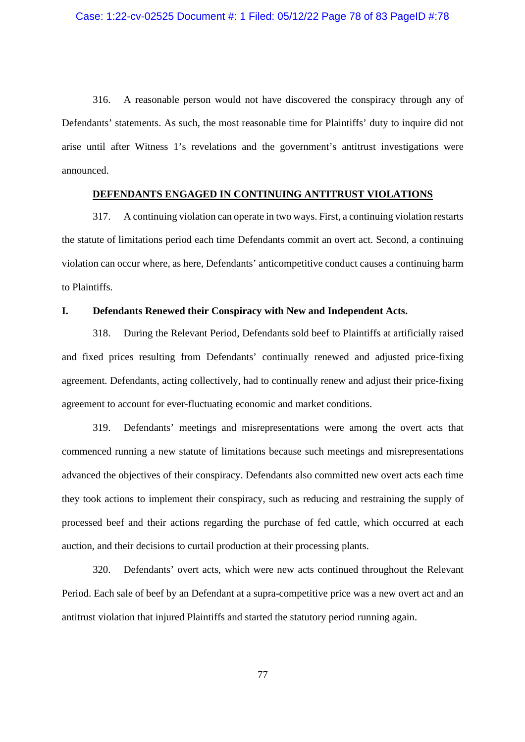316. A reasonable person would not have discovered the conspiracy through any of Defendants' statements. As such, the most reasonable time for Plaintiffs' duty to inquire did not arise until after Witness 1's revelations and the government's antitrust investigations were announced.

## **DEFENDANTS ENGAGED IN CONTINUING ANTITRUST VIOLATIONS**

317. A continuing violation can operate in two ways. First, a continuing violation restarts the statute of limitations period each time Defendants commit an overt act. Second, a continuing violation can occur where, as here, Defendants' anticompetitive conduct causes a continuing harm to Plaintiffs.

#### **I. Defendants Renewed their Conspiracy with New and Independent Acts.**

318. During the Relevant Period, Defendants sold beef to Plaintiffs at artificially raised and fixed prices resulting from Defendants' continually renewed and adjusted price-fixing agreement. Defendants, acting collectively, had to continually renew and adjust their price-fixing agreement to account for ever-fluctuating economic and market conditions.

319. Defendants' meetings and misrepresentations were among the overt acts that commenced running a new statute of limitations because such meetings and misrepresentations advanced the objectives of their conspiracy. Defendants also committed new overt acts each time they took actions to implement their conspiracy, such as reducing and restraining the supply of processed beef and their actions regarding the purchase of fed cattle, which occurred at each auction, and their decisions to curtail production at their processing plants.

320. Defendants' overt acts, which were new acts continued throughout the Relevant Period. Each sale of beef by an Defendant at a supra-competitive price was a new overt act and an antitrust violation that injured Plaintiffs and started the statutory period running again.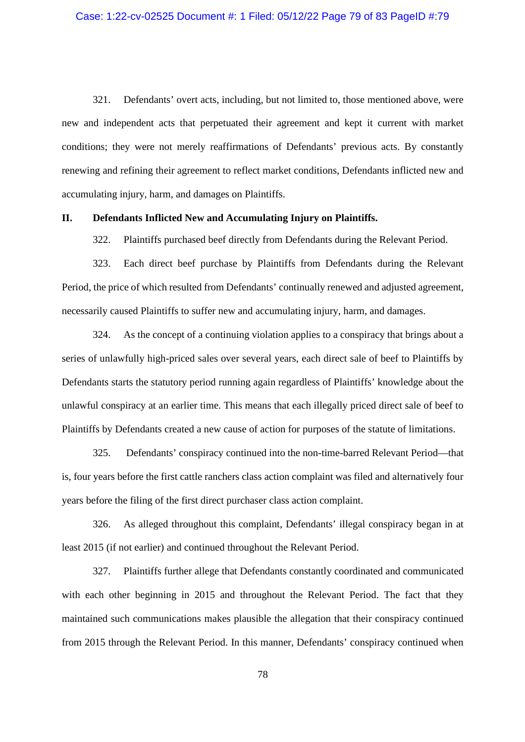321. Defendants' overt acts, including, but not limited to, those mentioned above, were new and independent acts that perpetuated their agreement and kept it current with market conditions; they were not merely reaffirmations of Defendants' previous acts. By constantly renewing and refining their agreement to reflect market conditions, Defendants inflicted new and accumulating injury, harm, and damages on Plaintiffs.

#### **II. Defendants Inflicted New and Accumulating Injury on Plaintiffs.**

322. Plaintiffs purchased beef directly from Defendants during the Relevant Period.

323. Each direct beef purchase by Plaintiffs from Defendants during the Relevant Period, the price of which resulted from Defendants' continually renewed and adjusted agreement, necessarily caused Plaintiffs to suffer new and accumulating injury, harm, and damages.

324. As the concept of a continuing violation applies to a conspiracy that brings about a series of unlawfully high-priced sales over several years, each direct sale of beef to Plaintiffs by Defendants starts the statutory period running again regardless of Plaintiffs' knowledge about the unlawful conspiracy at an earlier time. This means that each illegally priced direct sale of beef to Plaintiffs by Defendants created a new cause of action for purposes of the statute of limitations.

325. Defendants' conspiracy continued into the non-time-barred Relevant Period—that is, four years before the first cattle ranchers class action complaint was filed and alternatively four years before the filing of the first direct purchaser class action complaint.

326. As alleged throughout this complaint, Defendants' illegal conspiracy began in at least 2015 (if not earlier) and continued throughout the Relevant Period.

327. Plaintiffs further allege that Defendants constantly coordinated and communicated with each other beginning in 2015 and throughout the Relevant Period. The fact that they maintained such communications makes plausible the allegation that their conspiracy continued from 2015 through the Relevant Period. In this manner, Defendants' conspiracy continued when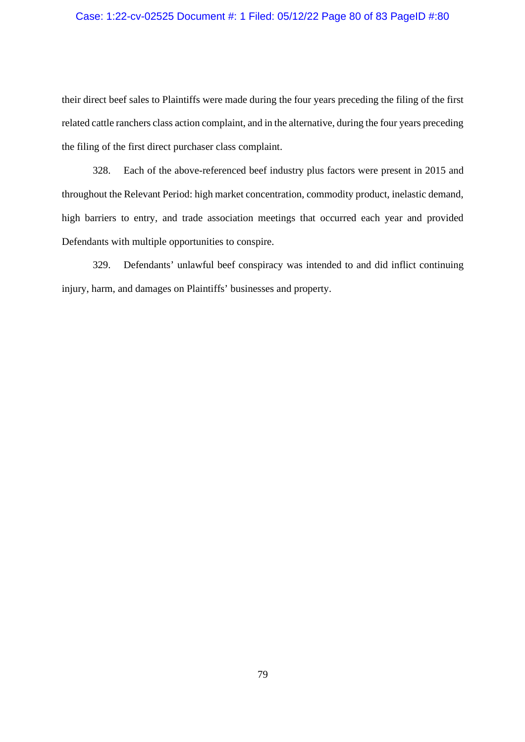## Case: 1:22-cv-02525 Document #: 1 Filed: 05/12/22 Page 80 of 83 PageID #:80

their direct beef sales to Plaintiffs were made during the four years preceding the filing of the first related cattle ranchers class action complaint, and in the alternative, during the four years preceding the filing of the first direct purchaser class complaint.

328. Each of the above-referenced beef industry plus factors were present in 2015 and throughout the Relevant Period: high market concentration, commodity product, inelastic demand, high barriers to entry, and trade association meetings that occurred each year and provided Defendants with multiple opportunities to conspire.

329. Defendants' unlawful beef conspiracy was intended to and did inflict continuing injury, harm, and damages on Plaintiffs' businesses and property.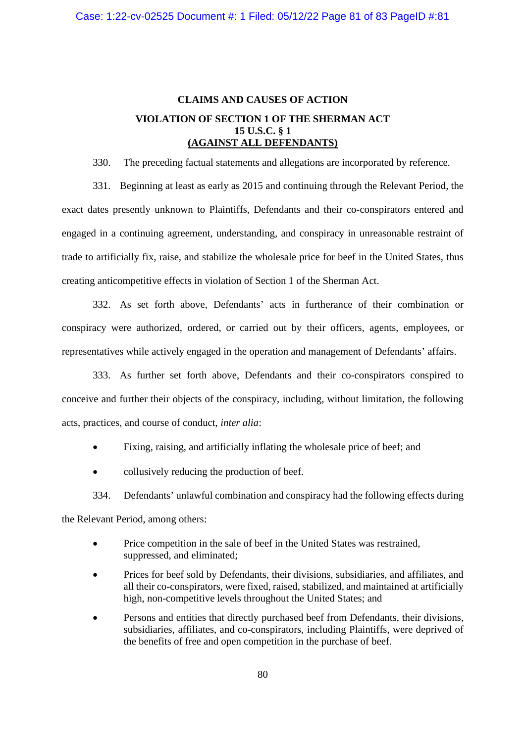# **CLAIMS AND CAUSES OF ACTION VIOLATION OF SECTION 1 OF THE SHERMAN ACT 15 U.S.C. § 1 (AGAINST ALL DEFENDANTS)**

330. The preceding factual statements and allegations are incorporated by reference.

331. Beginning at least as early as 2015 and continuing through the Relevant Period, the exact dates presently unknown to Plaintiffs, Defendants and their co-conspirators entered and engaged in a continuing agreement, understanding, and conspiracy in unreasonable restraint of trade to artificially fix, raise, and stabilize the wholesale price for beef in the United States, thus creating anticompetitive effects in violation of Section 1 of the Sherman Act.

332. As set forth above, Defendants' acts in furtherance of their combination or conspiracy were authorized, ordered, or carried out by their officers, agents, employees, or representatives while actively engaged in the operation and management of Defendants' affairs.

333. As further set forth above, Defendants and their co-conspirators conspired to conceive and further their objects of the conspiracy, including, without limitation, the following acts, practices, and course of conduct, *inter alia*:

- Fixing, raising, and artificially inflating the wholesale price of beef; and
- collusively reducing the production of beef.

334. Defendants' unlawful combination and conspiracy had the following effects during the Relevant Period, among others:

- Price competition in the sale of beef in the United States was restrained, suppressed, and eliminated;
- Prices for beef sold by Defendants, their divisions, subsidiaries, and affiliates, and all their co-conspirators, were fixed, raised, stabilized, and maintained at artificially high, non-competitive levels throughout the United States; and
- Persons and entities that directly purchased beef from Defendants, their divisions, subsidiaries, affiliates, and co-conspirators, including Plaintiffs, were deprived of the benefits of free and open competition in the purchase of beef.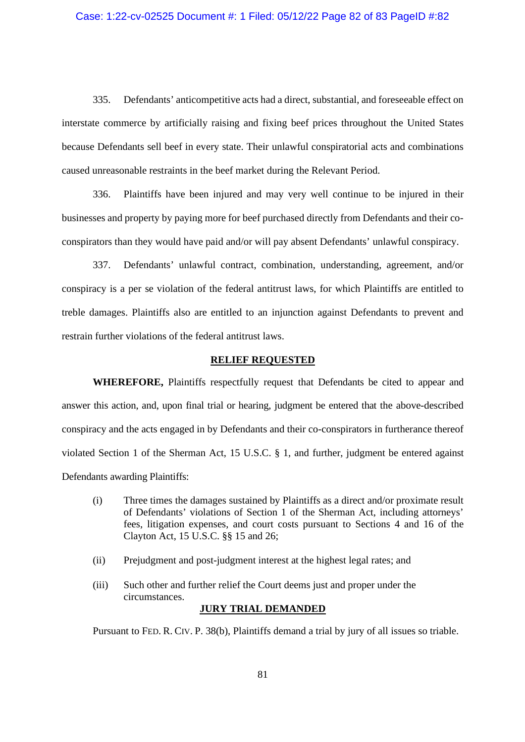#### Case: 1:22-cv-02525 Document #: 1 Filed: 05/12/22 Page 82 of 83 PageID #:82

335. Defendants' anticompetitive acts had a direct, substantial, and foreseeable effect on interstate commerce by artificially raising and fixing beef prices throughout the United States because Defendants sell beef in every state. Their unlawful conspiratorial acts and combinations caused unreasonable restraints in the beef market during the Relevant Period.

336. Plaintiffs have been injured and may very well continue to be injured in their businesses and property by paying more for beef purchased directly from Defendants and their coconspirators than they would have paid and/or will pay absent Defendants' unlawful conspiracy.

337. Defendants' unlawful contract, combination, understanding, agreement, and/or conspiracy is a per se violation of the federal antitrust laws, for which Plaintiffs are entitled to treble damages. Plaintiffs also are entitled to an injunction against Defendants to prevent and restrain further violations of the federal antitrust laws.

#### **RELIEF REQUESTED**

**WHEREFORE,** Plaintiffs respectfully request that Defendants be cited to appear and answer this action, and, upon final trial or hearing, judgment be entered that the above-described conspiracy and the acts engaged in by Defendants and their co-conspirators in furtherance thereof violated Section 1 of the Sherman Act, 15 U.S.C. § 1, and further, judgment be entered against Defendants awarding Plaintiffs:

- (i) Three times the damages sustained by Plaintiffs as a direct and/or proximate result of Defendants' violations of Section 1 of the Sherman Act, including attorneys' fees, litigation expenses, and court costs pursuant to Sections 4 and 16 of the Clayton Act, 15 U.S.C. §§ 15 and 26;
- (ii) Prejudgment and post-judgment interest at the highest legal rates; and
- (iii) Such other and further relief the Court deems just and proper under the circumstances.

## **JURY TRIAL DEMANDED**

Pursuant to FED. R. CIV. P. 38(b), Plaintiffs demand a trial by jury of all issues so triable.